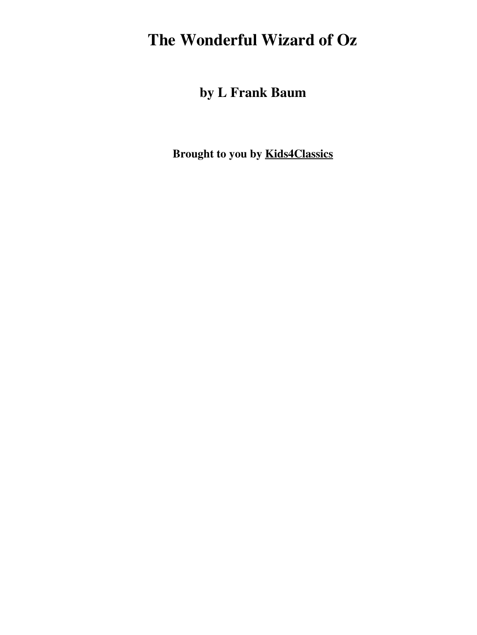### **The Wonderful Wizard of Oz**

**by L Frank Baum**

**Brought to you by [Kids4Classics](http://www.kids4classics.com)**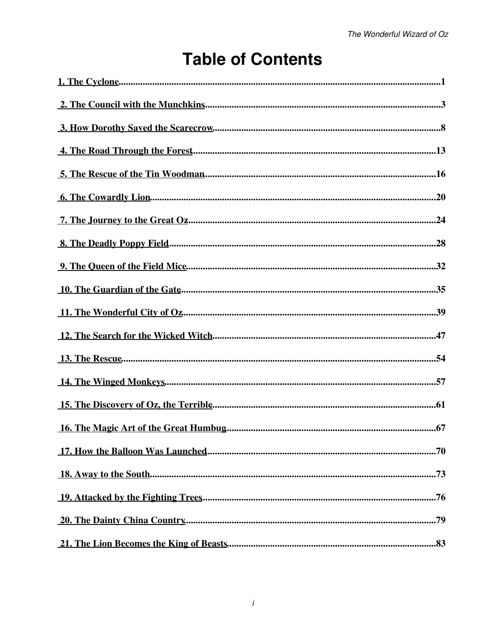## **Table of Contents**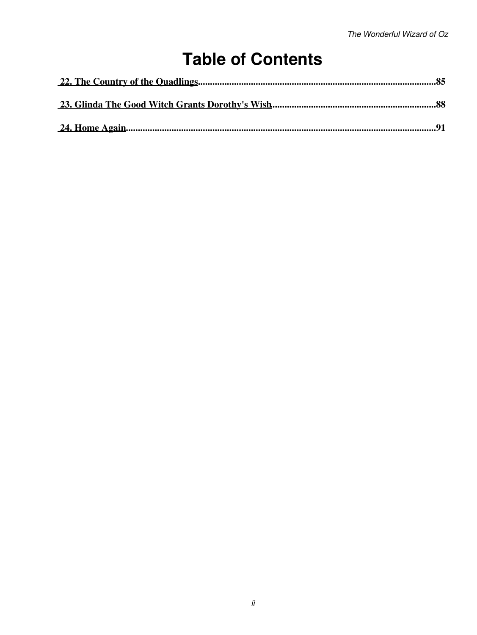## **Table of Contents**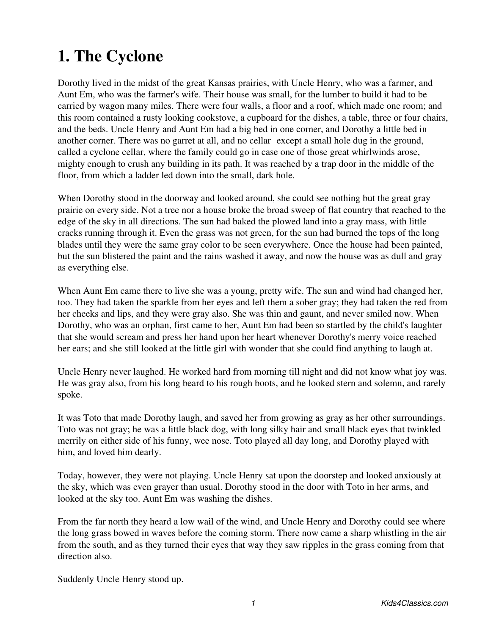# <span id="page-3-0"></span>**1. The Cyclone**

Dorothy lived in the midst of the great Kansas prairies, with Uncle Henry, who was a farmer, and Aunt Em, who was the farmer's wife. Their house was small, for the lumber to build it had to be carried by wagon many miles. There were four walls, a floor and a roof, which made one room; and this room contained a rusty looking cookstove, a cupboard for the dishes, a table, three or four chairs, and the beds. Uncle Henry and Aunt Em had a big bed in one corner, and Dorothy a little bed in another corner. There was no garret at all, and no cellar except a small hole dug in the ground, called a cyclone cellar, where the family could go in case one of those great whirlwinds arose, mighty enough to crush any building in its path. It was reached by a trap door in the middle of the floor, from which a ladder led down into the small, dark hole.

When Dorothy stood in the doorway and looked around, she could see nothing but the great gray prairie on every side. Not a tree nor a house broke the broad sweep of flat country that reached to the edge of the sky in all directions. The sun had baked the plowed land into a gray mass, with little cracks running through it. Even the grass was not green, for the sun had burned the tops of the long blades until they were the same gray color to be seen everywhere. Once the house had been painted, but the sun blistered the paint and the rains washed it away, and now the house was as dull and gray as everything else.

When Aunt Em came there to live she was a young, pretty wife. The sun and wind had changed her, too. They had taken the sparkle from her eyes and left them a sober gray; they had taken the red from her cheeks and lips, and they were gray also. She was thin and gaunt, and never smiled now. When Dorothy, who was an orphan, first came to her, Aunt Em had been so startled by the child's laughter that she would scream and press her hand upon her heart whenever Dorothy's merry voice reached her ears; and she still looked at the little girl with wonder that she could find anything to laugh at.

Uncle Henry never laughed. He worked hard from morning till night and did not know what joy was. He was gray also, from his long beard to his rough boots, and he looked stern and solemn, and rarely spoke.

It was Toto that made Dorothy laugh, and saved her from growing as gray as her other surroundings. Toto was not gray; he was a little black dog, with long silky hair and small black eyes that twinkled merrily on either side of his funny, wee nose. Toto played all day long, and Dorothy played with him, and loved him dearly.

Today, however, they were not playing. Uncle Henry sat upon the doorstep and looked anxiously at the sky, which was even grayer than usual. Dorothy stood in the door with Toto in her arms, and looked at the sky too. Aunt Em was washing the dishes.

From the far north they heard a low wail of the wind, and Uncle Henry and Dorothy could see where the long grass bowed in waves before the coming storm. There now came a sharp whistling in the air from the south, and as they turned their eyes that way they saw ripples in the grass coming from that direction also.

Suddenly Uncle Henry stood up.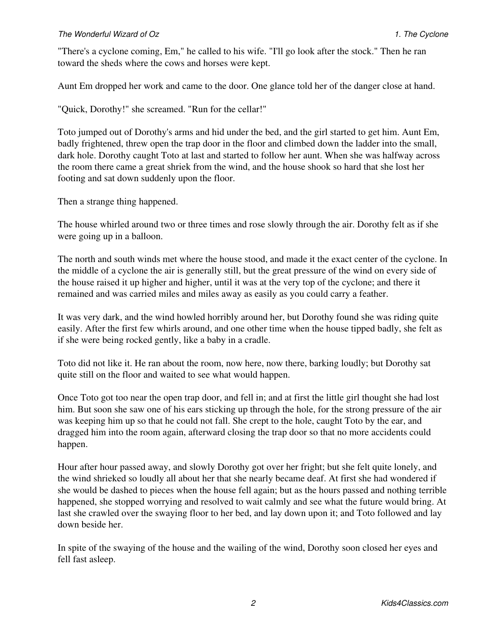### *The Wonderful Wizard of Oz 1. The Cyclone*

"There's a cyclone coming, Em," he called to his wife. "I'll go look after the stock." Then he ran toward the sheds where the cows and horses were kept.

Aunt Em dropped her work and came to the door. One glance told her of the danger close at hand.

"Quick, Dorothy!" she screamed. "Run for the cellar!"

Toto jumped out of Dorothy's arms and hid under the bed, and the girl started to get him. Aunt Em, badly frightened, threw open the trap door in the floor and climbed down the ladder into the small, dark hole. Dorothy caught Toto at last and started to follow her aunt. When she was halfway across the room there came a great shriek from the wind, and the house shook so hard that she lost her footing and sat down suddenly upon the floor.

Then a strange thing happened.

The house whirled around two or three times and rose slowly through the air. Dorothy felt as if she were going up in a balloon.

The north and south winds met where the house stood, and made it the exact center of the cyclone. In the middle of a cyclone the air is generally still, but the great pressure of the wind on every side of the house raised it up higher and higher, until it was at the very top of the cyclone; and there it remained and was carried miles and miles away as easily as you could carry a feather.

It was very dark, and the wind howled horribly around her, but Dorothy found she was riding quite easily. After the first few whirls around, and one other time when the house tipped badly, she felt as if she were being rocked gently, like a baby in a cradle.

Toto did not like it. He ran about the room, now here, now there, barking loudly; but Dorothy sat quite still on the floor and waited to see what would happen.

Once Toto got too near the open trap door, and fell in; and at first the little girl thought she had lost him. But soon she saw one of his ears sticking up through the hole, for the strong pressure of the air was keeping him up so that he could not fall. She crept to the hole, caught Toto by the ear, and dragged him into the room again, afterward closing the trap door so that no more accidents could happen.

Hour after hour passed away, and slowly Dorothy got over her fright; but she felt quite lonely, and the wind shrieked so loudly all about her that she nearly became deaf. At first she had wondered if she would be dashed to pieces when the house fell again; but as the hours passed and nothing terrible happened, she stopped worrying and resolved to wait calmly and see what the future would bring. At last she crawled over the swaying floor to her bed, and lay down upon it; and Toto followed and lay down beside her.

In spite of the swaying of the house and the wailing of the wind, Dorothy soon closed her eyes and fell fast asleep.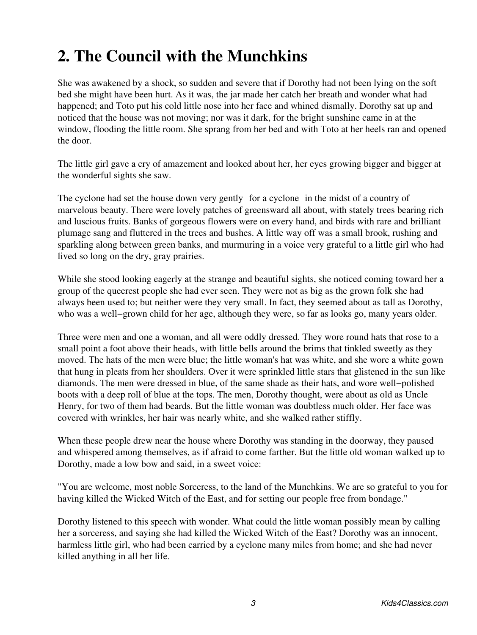# <span id="page-5-0"></span>**2. The Council with the Munchkins**

She was awakened by a shock, so sudden and severe that if Dorothy had not been lying on the soft bed she might have been hurt. As it was, the jar made her catch her breath and wonder what had happened; and Toto put his cold little nose into her face and whined dismally. Dorothy sat up and noticed that the house was not moving; nor was it dark, for the bright sunshine came in at the window, flooding the little room. She sprang from her bed and with Toto at her heels ran and opened the door.

The little girl gave a cry of amazement and looked about her, her eyes growing bigger and bigger at the wonderful sights she saw.

The cyclone had set the house down very gently for a cyclone in the midst of a country of marvelous beauty. There were lovely patches of greensward all about, with stately trees bearing rich and luscious fruits. Banks of gorgeous flowers were on every hand, and birds with rare and brilliant plumage sang and fluttered in the trees and bushes. A little way off was a small brook, rushing and sparkling along between green banks, and murmuring in a voice very grateful to a little girl who had lived so long on the dry, gray prairies.

While she stood looking eagerly at the strange and beautiful sights, she noticed coming toward her a group of the queerest people she had ever seen. They were not as big as the grown folk she had always been used to; but neither were they very small. In fact, they seemed about as tall as Dorothy, who was a well−grown child for her age, although they were, so far as looks go, many years older.

Three were men and one a woman, and all were oddly dressed. They wore round hats that rose to a small point a foot above their heads, with little bells around the brims that tinkled sweetly as they moved. The hats of the men were blue; the little woman's hat was white, and she wore a white gown that hung in pleats from her shoulders. Over it were sprinkled little stars that glistened in the sun like diamonds. The men were dressed in blue, of the same shade as their hats, and wore well−polished boots with a deep roll of blue at the tops. The men, Dorothy thought, were about as old as Uncle Henry, for two of them had beards. But the little woman was doubtless much older. Her face was covered with wrinkles, her hair was nearly white, and she walked rather stiffly.

When these people drew near the house where Dorothy was standing in the doorway, they paused and whispered among themselves, as if afraid to come farther. But the little old woman walked up to Dorothy, made a low bow and said, in a sweet voice:

"You are welcome, most noble Sorceress, to the land of the Munchkins. We are so grateful to you for having killed the Wicked Witch of the East, and for setting our people free from bondage."

Dorothy listened to this speech with wonder. What could the little woman possibly mean by calling her a sorceress, and saying she had killed the Wicked Witch of the East? Dorothy was an innocent, harmless little girl, who had been carried by a cyclone many miles from home; and she had never killed anything in all her life.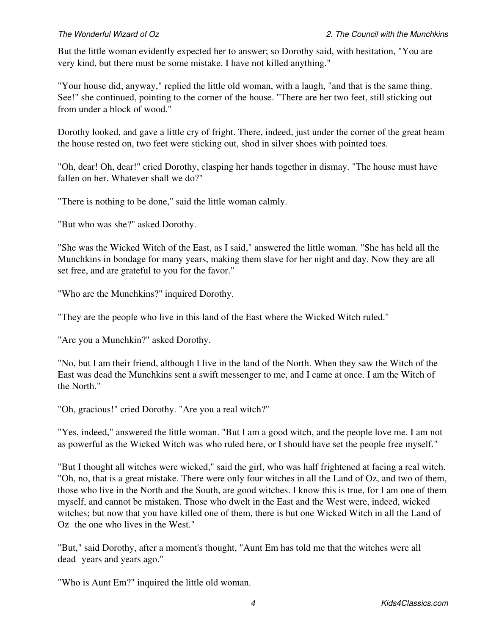But the little woman evidently expected her to answer; so Dorothy said, with hesitation, "You are very kind, but there must be some mistake. I have not killed anything."

"Your house did, anyway," replied the little old woman, with a laugh, "and that is the same thing. See!" she continued, pointing to the corner of the house. "There are her two feet, still sticking out from under a block of wood."

Dorothy looked, and gave a little cry of fright. There, indeed, just under the corner of the great beam the house rested on, two feet were sticking out, shod in silver shoes with pointed toes.

"Oh, dear! Oh, dear!" cried Dorothy, clasping her hands together in dismay. "The house must have fallen on her. Whatever shall we do?"

"There is nothing to be done," said the little woman calmly.

"But who was she?" asked Dorothy.

"She was the Wicked Witch of the East, as I said," answered the little woman. "She has held all the Munchkins in bondage for many years, making them slave for her night and day. Now they are all set free, and are grateful to you for the favor."

"Who are the Munchkins?" inquired Dorothy.

"They are the people who live in this land of the East where the Wicked Witch ruled."

"Are you a Munchkin?" asked Dorothy.

"No, but I am their friend, although I live in the land of the North. When they saw the Witch of the East was dead the Munchkins sent a swift messenger to me, and I came at once. I am the Witch of the North."

"Oh, gracious!" cried Dorothy. "Are you a real witch?"

"Yes, indeed," answered the little woman. "But I am a good witch, and the people love me. I am not as powerful as the Wicked Witch was who ruled here, or I should have set the people free myself."

"But I thought all witches were wicked," said the girl, who was half frightened at facing a real witch. "Oh, no, that is a great mistake. There were only four witches in all the Land of Oz, and two of them, those who live in the North and the South, are good witches. I know this is true, for I am one of them myself, and cannot be mistaken. Those who dwelt in the East and the West were, indeed, wicked witches; but now that you have killed one of them, there is but one Wicked Witch in all the Land of Oz the one who lives in the West."

"But," said Dorothy, after a moment's thought, "Aunt Em has told me that the witches were all dead years and years ago."

"Who is Aunt Em?" inquired the little old woman.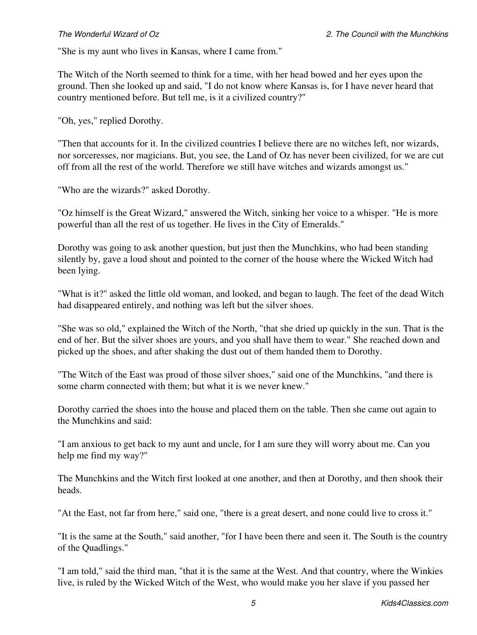"She is my aunt who lives in Kansas, where I came from."

The Witch of the North seemed to think for a time, with her head bowed and her eyes upon the ground. Then she looked up and said, "I do not know where Kansas is, for I have never heard that country mentioned before. But tell me, is it a civilized country?"

"Oh, yes," replied Dorothy.

"Then that accounts for it. In the civilized countries I believe there are no witches left, nor wizards, nor sorceresses, nor magicians. But, you see, the Land of Oz has never been civilized, for we are cut off from all the rest of the world. Therefore we still have witches and wizards amongst us."

"Who are the wizards?" asked Dorothy.

"Oz himself is the Great Wizard," answered the Witch, sinking her voice to a whisper. "He is more powerful than all the rest of us together. He lives in the City of Emeralds."

Dorothy was going to ask another question, but just then the Munchkins, who had been standing silently by, gave a loud shout and pointed to the corner of the house where the Wicked Witch had been lying.

"What is it?" asked the little old woman, and looked, and began to laugh. The feet of the dead Witch had disappeared entirely, and nothing was left but the silver shoes.

"She was so old," explained the Witch of the North, "that she dried up quickly in the sun. That is the end of her. But the silver shoes are yours, and you shall have them to wear." She reached down and picked up the shoes, and after shaking the dust out of them handed them to Dorothy.

"The Witch of the East was proud of those silver shoes," said one of the Munchkins, "and there is some charm connected with them; but what it is we never knew."

Dorothy carried the shoes into the house and placed them on the table. Then she came out again to the Munchkins and said:

"I am anxious to get back to my aunt and uncle, for I am sure they will worry about me. Can you help me find my way?"

The Munchkins and the Witch first looked at one another, and then at Dorothy, and then shook their heads.

"At the East, not far from here," said one, "there is a great desert, and none could live to cross it."

"It is the same at the South," said another, "for I have been there and seen it. The South is the country of the Quadlings."

"I am told," said the third man, "that it is the same at the West. And that country, where the Winkies live, is ruled by the Wicked Witch of the West, who would make you her slave if you passed her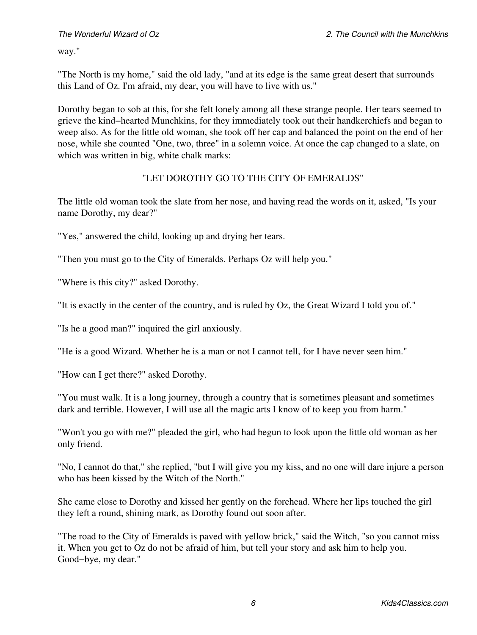way."

"The North is my home," said the old lady, "and at its edge is the same great desert that surrounds this Land of Oz. I'm afraid, my dear, you will have to live with us."

Dorothy began to sob at this, for she felt lonely among all these strange people. Her tears seemed to grieve the kind−hearted Munchkins, for they immediately took out their handkerchiefs and began to weep also. As for the little old woman, she took off her cap and balanced the point on the end of her nose, while she counted "One, two, three" in a solemn voice. At once the cap changed to a slate, on which was written in big, white chalk marks:

### "LET DOROTHY GO TO THE CITY OF EMERALDS"

The little old woman took the slate from her nose, and having read the words on it, asked, "Is your name Dorothy, my dear?"

"Yes," answered the child, looking up and drying her tears.

"Then you must go to the City of Emeralds. Perhaps Oz will help you."

"Where is this city?" asked Dorothy.

"It is exactly in the center of the country, and is ruled by Oz, the Great Wizard I told you of."

"Is he a good man?" inquired the girl anxiously.

"He is a good Wizard. Whether he is a man or not I cannot tell, for I have never seen him."

"How can I get there?" asked Dorothy.

"You must walk. It is a long journey, through a country that is sometimes pleasant and sometimes dark and terrible. However, I will use all the magic arts I know of to keep you from harm."

"Won't you go with me?" pleaded the girl, who had begun to look upon the little old woman as her only friend.

"No, I cannot do that," she replied, "but I will give you my kiss, and no one will dare injure a person who has been kissed by the Witch of the North."

She came close to Dorothy and kissed her gently on the forehead. Where her lips touched the girl they left a round, shining mark, as Dorothy found out soon after.

"The road to the City of Emeralds is paved with yellow brick," said the Witch, "so you cannot miss it. When you get to Oz do not be afraid of him, but tell your story and ask him to help you. Good−bye, my dear."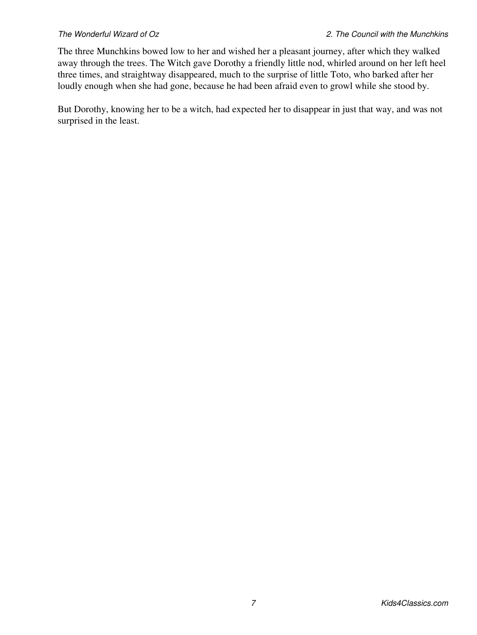The three Munchkins bowed low to her and wished her a pleasant journey, after which they walked away through the trees. The Witch gave Dorothy a friendly little nod, whirled around on her left heel three times, and straightway disappeared, much to the surprise of little Toto, who barked after her loudly enough when she had gone, because he had been afraid even to growl while she stood by.

But Dorothy, knowing her to be a witch, had expected her to disappear in just that way, and was not surprised in the least.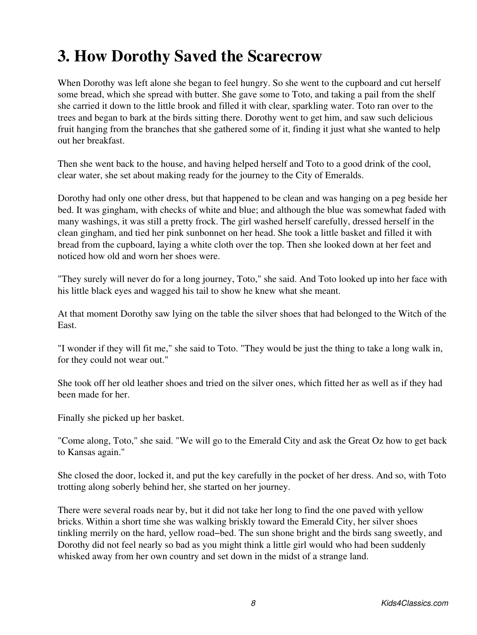## <span id="page-10-0"></span>**3. How Dorothy Saved the Scarecrow**

When Dorothy was left alone she began to feel hungry. So she went to the cupboard and cut herself some bread, which she spread with butter. She gave some to Toto, and taking a pail from the shelf she carried it down to the little brook and filled it with clear, sparkling water. Toto ran over to the trees and began to bark at the birds sitting there. Dorothy went to get him, and saw such delicious fruit hanging from the branches that she gathered some of it, finding it just what she wanted to help out her breakfast.

Then she went back to the house, and having helped herself and Toto to a good drink of the cool, clear water, she set about making ready for the journey to the City of Emeralds.

Dorothy had only one other dress, but that happened to be clean and was hanging on a peg beside her bed. It was gingham, with checks of white and blue; and although the blue was somewhat faded with many washings, it was still a pretty frock. The girl washed herself carefully, dressed herself in the clean gingham, and tied her pink sunbonnet on her head. She took a little basket and filled it with bread from the cupboard, laying a white cloth over the top. Then she looked down at her feet and noticed how old and worn her shoes were.

"They surely will never do for a long journey, Toto," she said. And Toto looked up into her face with his little black eyes and wagged his tail to show he knew what she meant.

At that moment Dorothy saw lying on the table the silver shoes that had belonged to the Witch of the East.

"I wonder if they will fit me," she said to Toto. "They would be just the thing to take a long walk in, for they could not wear out."

She took off her old leather shoes and tried on the silver ones, which fitted her as well as if they had been made for her.

Finally she picked up her basket.

"Come along, Toto," she said. "We will go to the Emerald City and ask the Great Oz how to get back to Kansas again."

She closed the door, locked it, and put the key carefully in the pocket of her dress. And so, with Toto trotting along soberly behind her, she started on her journey.

There were several roads near by, but it did not take her long to find the one paved with yellow bricks. Within a short time she was walking briskly toward the Emerald City, her silver shoes tinkling merrily on the hard, yellow road−bed. The sun shone bright and the birds sang sweetly, and Dorothy did not feel nearly so bad as you might think a little girl would who had been suddenly whisked away from her own country and set down in the midst of a strange land.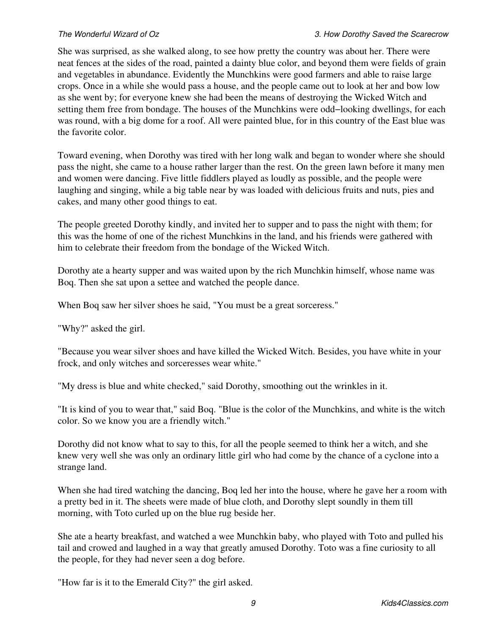She was surprised, as she walked along, to see how pretty the country was about her. There were neat fences at the sides of the road, painted a dainty blue color, and beyond them were fields of grain and vegetables in abundance. Evidently the Munchkins were good farmers and able to raise large crops. Once in a while she would pass a house, and the people came out to look at her and bow low as she went by; for everyone knew she had been the means of destroying the Wicked Witch and setting them free from bondage. The houses of the Munchkins were odd−looking dwellings, for each was round, with a big dome for a roof. All were painted blue, for in this country of the East blue was the favorite color.

Toward evening, when Dorothy was tired with her long walk and began to wonder where she should pass the night, she came to a house rather larger than the rest. On the green lawn before it many men and women were dancing. Five little fiddlers played as loudly as possible, and the people were laughing and singing, while a big table near by was loaded with delicious fruits and nuts, pies and cakes, and many other good things to eat.

The people greeted Dorothy kindly, and invited her to supper and to pass the night with them; for this was the home of one of the richest Munchkins in the land, and his friends were gathered with him to celebrate their freedom from the bondage of the Wicked Witch.

Dorothy ate a hearty supper and was waited upon by the rich Munchkin himself, whose name was Boq. Then she sat upon a settee and watched the people dance.

When Boq saw her silver shoes he said, "You must be a great sorceress."

"Why?" asked the girl.

"Because you wear silver shoes and have killed the Wicked Witch. Besides, you have white in your frock, and only witches and sorceresses wear white."

"My dress is blue and white checked," said Dorothy, smoothing out the wrinkles in it.

"It is kind of you to wear that," said Boq. "Blue is the color of the Munchkins, and white is the witch color. So we know you are a friendly witch."

Dorothy did not know what to say to this, for all the people seemed to think her a witch, and she knew very well she was only an ordinary little girl who had come by the chance of a cyclone into a strange land.

When she had tired watching the dancing, Boq led her into the house, where he gave her a room with a pretty bed in it. The sheets were made of blue cloth, and Dorothy slept soundly in them till morning, with Toto curled up on the blue rug beside her.

She ate a hearty breakfast, and watched a wee Munchkin baby, who played with Toto and pulled his tail and crowed and laughed in a way that greatly amused Dorothy. Toto was a fine curiosity to all the people, for they had never seen a dog before.

"How far is it to the Emerald City?" the girl asked.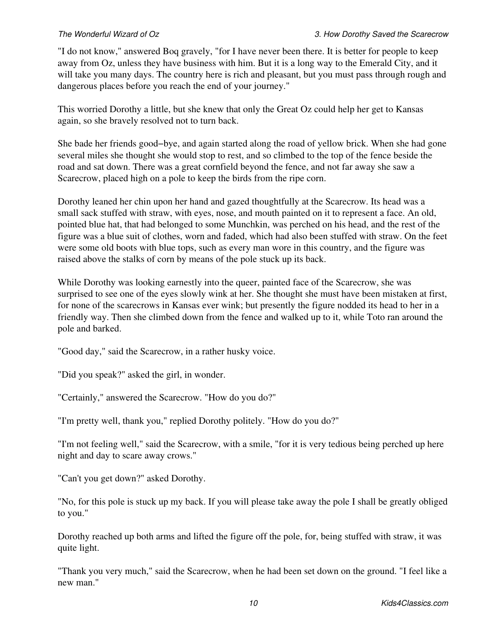"I do not know," answered Boq gravely, "for I have never been there. It is better for people to keep away from Oz, unless they have business with him. But it is a long way to the Emerald City, and it will take you many days. The country here is rich and pleasant, but you must pass through rough and dangerous places before you reach the end of your journey."

This worried Dorothy a little, but she knew that only the Great Oz could help her get to Kansas again, so she bravely resolved not to turn back.

She bade her friends good−bye, and again started along the road of yellow brick. When she had gone several miles she thought she would stop to rest, and so climbed to the top of the fence beside the road and sat down. There was a great cornfield beyond the fence, and not far away she saw a Scarecrow, placed high on a pole to keep the birds from the ripe corn.

Dorothy leaned her chin upon her hand and gazed thoughtfully at the Scarecrow. Its head was a small sack stuffed with straw, with eyes, nose, and mouth painted on it to represent a face. An old, pointed blue hat, that had belonged to some Munchkin, was perched on his head, and the rest of the figure was a blue suit of clothes, worn and faded, which had also been stuffed with straw. On the feet were some old boots with blue tops, such as every man wore in this country, and the figure was raised above the stalks of corn by means of the pole stuck up its back.

While Dorothy was looking earnestly into the queer, painted face of the Scarecrow, she was surprised to see one of the eyes slowly wink at her. She thought she must have been mistaken at first, for none of the scarecrows in Kansas ever wink; but presently the figure nodded its head to her in a friendly way. Then she climbed down from the fence and walked up to it, while Toto ran around the pole and barked.

"Good day," said the Scarecrow, in a rather husky voice.

"Did you speak?" asked the girl, in wonder.

"Certainly," answered the Scarecrow. "How do you do?"

"I'm pretty well, thank you," replied Dorothy politely. "How do you do?"

"I'm not feeling well," said the Scarecrow, with a smile, "for it is very tedious being perched up here night and day to scare away crows."

"Can't you get down?" asked Dorothy.

"No, for this pole is stuck up my back. If you will please take away the pole I shall be greatly obliged to you."

Dorothy reached up both arms and lifted the figure off the pole, for, being stuffed with straw, it was quite light.

"Thank you very much," said the Scarecrow, when he had been set down on the ground. "I feel like a new man."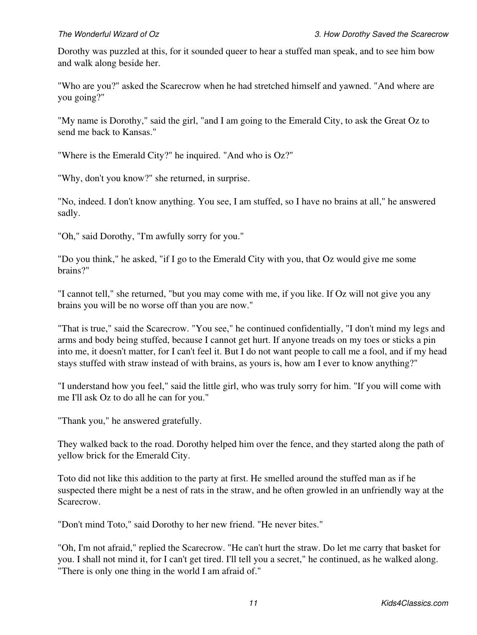Dorothy was puzzled at this, for it sounded queer to hear a stuffed man speak, and to see him bow and walk along beside her.

"Who are you?" asked the Scarecrow when he had stretched himself and yawned. "And where are you going?"

"My name is Dorothy," said the girl, "and I am going to the Emerald City, to ask the Great Oz to send me back to Kansas."

"Where is the Emerald City?" he inquired. "And who is Oz?"

"Why, don't you know?" she returned, in surprise.

"No, indeed. I don't know anything. You see, I am stuffed, so I have no brains at all," he answered sadly.

"Oh," said Dorothy, "I'm awfully sorry for you."

"Do you think," he asked, "if I go to the Emerald City with you, that Oz would give me some brains?"

"I cannot tell," she returned, "but you may come with me, if you like. If Oz will not give you any brains you will be no worse off than you are now."

"That is true," said the Scarecrow. "You see," he continued confidentially, "I don't mind my legs and arms and body being stuffed, because I cannot get hurt. If anyone treads on my toes or sticks a pin into me, it doesn't matter, for I can't feel it. But I do not want people to call me a fool, and if my head stays stuffed with straw instead of with brains, as yours is, how am I ever to know anything?"

"I understand how you feel," said the little girl, who was truly sorry for him. "If you will come with me I'll ask Oz to do all he can for you."

"Thank you," he answered gratefully.

They walked back to the road. Dorothy helped him over the fence, and they started along the path of yellow brick for the Emerald City.

Toto did not like this addition to the party at first. He smelled around the stuffed man as if he suspected there might be a nest of rats in the straw, and he often growled in an unfriendly way at the Scarecrow.

"Don't mind Toto," said Dorothy to her new friend. "He never bites."

"Oh, I'm not afraid," replied the Scarecrow. "He can't hurt the straw. Do let me carry that basket for you. I shall not mind it, for I can't get tired. I'll tell you a secret," he continued, as he walked along. "There is only one thing in the world I am afraid of."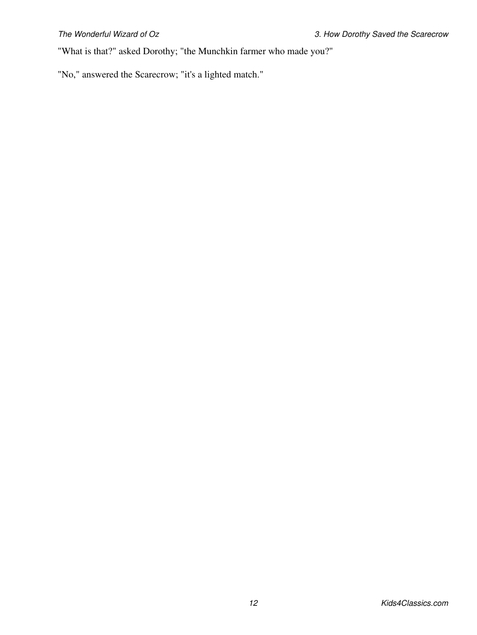"What is that?" asked Dorothy; "the Munchkin farmer who made you?"

"No," answered the Scarecrow; "it's a lighted match."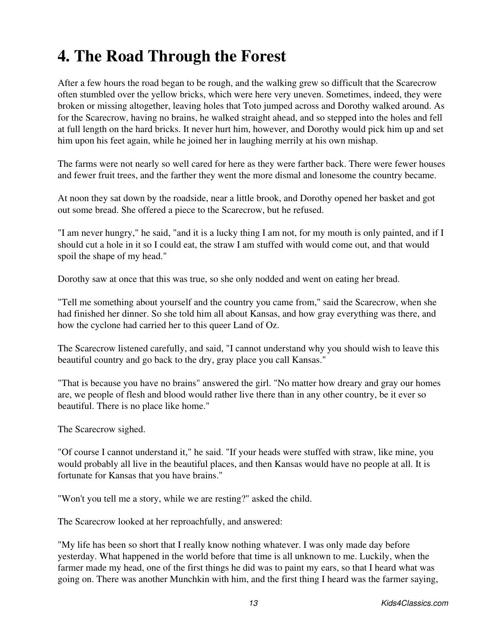# <span id="page-15-0"></span>**4. The Road Through the Forest**

After a few hours the road began to be rough, and the walking grew so difficult that the Scarecrow often stumbled over the yellow bricks, which were here very uneven. Sometimes, indeed, they were broken or missing altogether, leaving holes that Toto jumped across and Dorothy walked around. As for the Scarecrow, having no brains, he walked straight ahead, and so stepped into the holes and fell at full length on the hard bricks. It never hurt him, however, and Dorothy would pick him up and set him upon his feet again, while he joined her in laughing merrily at his own mishap.

The farms were not nearly so well cared for here as they were farther back. There were fewer houses and fewer fruit trees, and the farther they went the more dismal and lonesome the country became.

At noon they sat down by the roadside, near a little brook, and Dorothy opened her basket and got out some bread. She offered a piece to the Scarecrow, but he refused.

"I am never hungry," he said, "and it is a lucky thing I am not, for my mouth is only painted, and if I should cut a hole in it so I could eat, the straw I am stuffed with would come out, and that would spoil the shape of my head."

Dorothy saw at once that this was true, so she only nodded and went on eating her bread.

"Tell me something about yourself and the country you came from," said the Scarecrow, when she had finished her dinner. So she told him all about Kansas, and how gray everything was there, and how the cyclone had carried her to this queer Land of Oz.

The Scarecrow listened carefully, and said, "I cannot understand why you should wish to leave this beautiful country and go back to the dry, gray place you call Kansas."

"That is because you have no brains" answered the girl. "No matter how dreary and gray our homes are, we people of flesh and blood would rather live there than in any other country, be it ever so beautiful. There is no place like home."

The Scarecrow sighed.

"Of course I cannot understand it," he said. "If your heads were stuffed with straw, like mine, you would probably all live in the beautiful places, and then Kansas would have no people at all. It is fortunate for Kansas that you have brains."

"Won't you tell me a story, while we are resting?" asked the child.

The Scarecrow looked at her reproachfully, and answered:

"My life has been so short that I really know nothing whatever. I was only made day before yesterday. What happened in the world before that time is all unknown to me. Luckily, when the farmer made my head, one of the first things he did was to paint my ears, so that I heard what was going on. There was another Munchkin with him, and the first thing I heard was the farmer saying,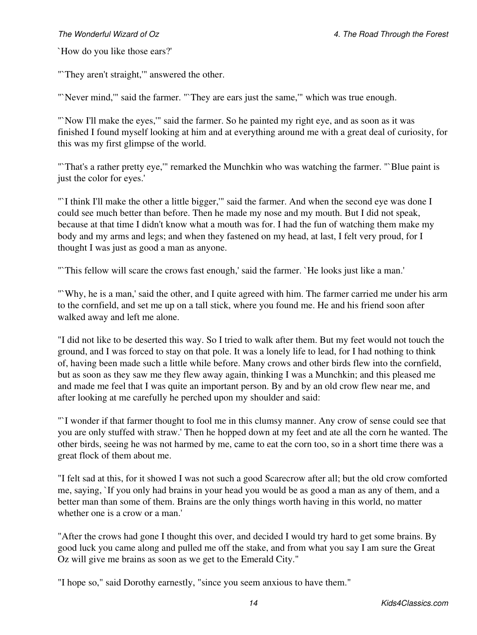`How do you like those ears?'

"`They aren't straight,'" answered the other.

"'Never mind,"' said the farmer. "'They are ears just the same,"' which was true enough.

"`Now I'll make the eyes,'" said the farmer. So he painted my right eye, and as soon as it was finished I found myself looking at him and at everything around me with a great deal of curiosity, for this was my first glimpse of the world.

"`That's a rather pretty eye,'" remarked the Munchkin who was watching the farmer. "`Blue paint is just the color for eyes.'

"`I think I'll make the other a little bigger,'" said the farmer. And when the second eye was done I could see much better than before. Then he made my nose and my mouth. But I did not speak, because at that time I didn't know what a mouth was for. I had the fun of watching them make my body and my arms and legs; and when they fastened on my head, at last, I felt very proud, for I thought I was just as good a man as anyone.

"`This fellow will scare the crows fast enough,' said the farmer. `He looks just like a man.'

"`Why, he is a man,' said the other, and I quite agreed with him. The farmer carried me under his arm to the cornfield, and set me up on a tall stick, where you found me. He and his friend soon after walked away and left me alone.

"I did not like to be deserted this way. So I tried to walk after them. But my feet would not touch the ground, and I was forced to stay on that pole. It was a lonely life to lead, for I had nothing to think of, having been made such a little while before. Many crows and other birds flew into the cornfield, but as soon as they saw me they flew away again, thinking I was a Munchkin; and this pleased me and made me feel that I was quite an important person. By and by an old crow flew near me, and after looking at me carefully he perched upon my shoulder and said:

"`I wonder if that farmer thought to fool me in this clumsy manner. Any crow of sense could see that you are only stuffed with straw.' Then he hopped down at my feet and ate all the corn he wanted. The other birds, seeing he was not harmed by me, came to eat the corn too, so in a short time there was a great flock of them about me.

"I felt sad at this, for it showed I was not such a good Scarecrow after all; but the old crow comforted me, saying, `If you only had brains in your head you would be as good a man as any of them, and a better man than some of them. Brains are the only things worth having in this world, no matter whether one is a crow or a man.'

"After the crows had gone I thought this over, and decided I would try hard to get some brains. By good luck you came along and pulled me off the stake, and from what you say I am sure the Great Oz will give me brains as soon as we get to the Emerald City."

"I hope so," said Dorothy earnestly, "since you seem anxious to have them."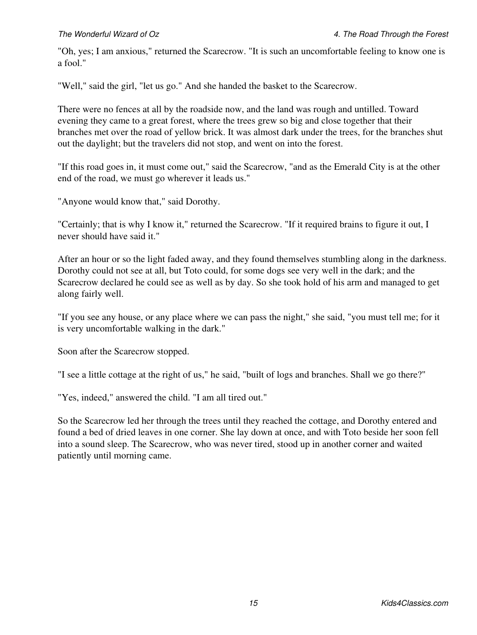"Oh, yes; I am anxious," returned the Scarecrow. "It is such an uncomfortable feeling to know one is a fool."

"Well," said the girl, "let us go." And she handed the basket to the Scarecrow.

There were no fences at all by the roadside now, and the land was rough and untilled. Toward evening they came to a great forest, where the trees grew so big and close together that their branches met over the road of yellow brick. It was almost dark under the trees, for the branches shut out the daylight; but the travelers did not stop, and went on into the forest.

"If this road goes in, it must come out," said the Scarecrow, "and as the Emerald City is at the other end of the road, we must go wherever it leads us."

"Anyone would know that," said Dorothy.

"Certainly; that is why I know it," returned the Scarecrow. "If it required brains to figure it out, I never should have said it."

After an hour or so the light faded away, and they found themselves stumbling along in the darkness. Dorothy could not see at all, but Toto could, for some dogs see very well in the dark; and the Scarecrow declared he could see as well as by day. So she took hold of his arm and managed to get along fairly well.

"If you see any house, or any place where we can pass the night," she said, "you must tell me; for it is very uncomfortable walking in the dark."

Soon after the Scarecrow stopped.

"I see a little cottage at the right of us," he said, "built of logs and branches. Shall we go there?"

"Yes, indeed," answered the child. "I am all tired out."

So the Scarecrow led her through the trees until they reached the cottage, and Dorothy entered and found a bed of dried leaves in one corner. She lay down at once, and with Toto beside her soon fell into a sound sleep. The Scarecrow, who was never tired, stood up in another corner and waited patiently until morning came.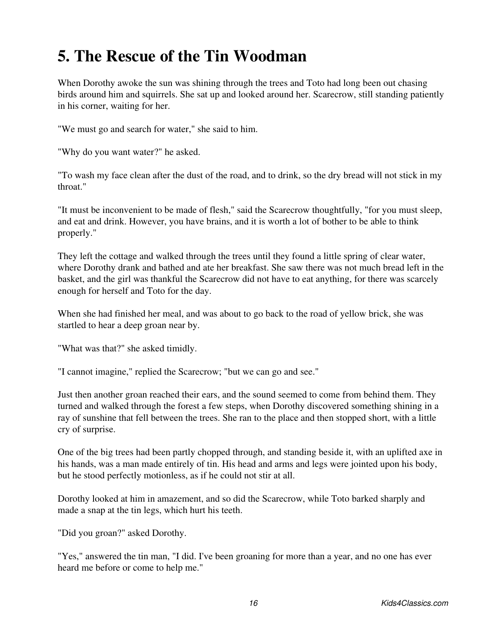## <span id="page-18-0"></span>**5. The Rescue of the Tin Woodman**

When Dorothy awoke the sun was shining through the trees and Toto had long been out chasing birds around him and squirrels. She sat up and looked around her. Scarecrow, still standing patiently in his corner, waiting for her.

"We must go and search for water," she said to him.

"Why do you want water?" he asked.

"To wash my face clean after the dust of the road, and to drink, so the dry bread will not stick in my throat."

"It must be inconvenient to be made of flesh," said the Scarecrow thoughtfully, "for you must sleep, and eat and drink. However, you have brains, and it is worth a lot of bother to be able to think properly."

They left the cottage and walked through the trees until they found a little spring of clear water, where Dorothy drank and bathed and ate her breakfast. She saw there was not much bread left in the basket, and the girl was thankful the Scarecrow did not have to eat anything, for there was scarcely enough for herself and Toto for the day.

When she had finished her meal, and was about to go back to the road of yellow brick, she was startled to hear a deep groan near by.

"What was that?" she asked timidly.

"I cannot imagine," replied the Scarecrow; "but we can go and see."

Just then another groan reached their ears, and the sound seemed to come from behind them. They turned and walked through the forest a few steps, when Dorothy discovered something shining in a ray of sunshine that fell between the trees. She ran to the place and then stopped short, with a little cry of surprise.

One of the big trees had been partly chopped through, and standing beside it, with an uplifted axe in his hands, was a man made entirely of tin. His head and arms and legs were jointed upon his body, but he stood perfectly motionless, as if he could not stir at all.

Dorothy looked at him in amazement, and so did the Scarecrow, while Toto barked sharply and made a snap at the tin legs, which hurt his teeth.

"Did you groan?" asked Dorothy.

"Yes," answered the tin man, "I did. I've been groaning for more than a year, and no one has ever heard me before or come to help me."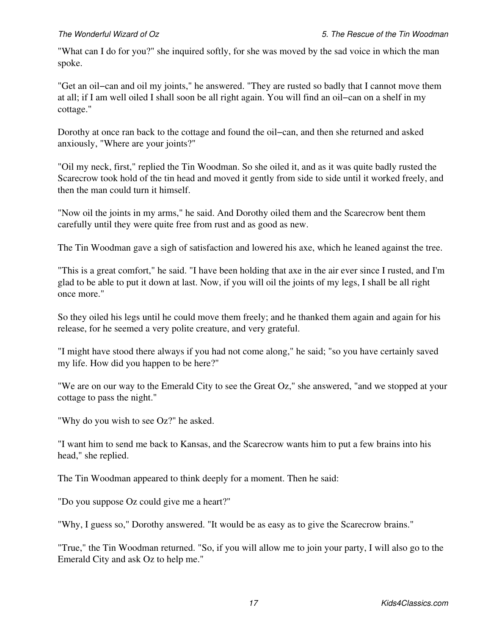"What can I do for you?" she inquired softly, for she was moved by the sad voice in which the man spoke.

"Get an oil−can and oil my joints," he answered. "They are rusted so badly that I cannot move them at all; if I am well oiled I shall soon be all right again. You will find an oil−can on a shelf in my cottage."

Dorothy at once ran back to the cottage and found the oil−can, and then she returned and asked anxiously, "Where are your joints?"

"Oil my neck, first," replied the Tin Woodman. So she oiled it, and as it was quite badly rusted the Scarecrow took hold of the tin head and moved it gently from side to side until it worked freely, and then the man could turn it himself.

"Now oil the joints in my arms," he said. And Dorothy oiled them and the Scarecrow bent them carefully until they were quite free from rust and as good as new.

The Tin Woodman gave a sigh of satisfaction and lowered his axe, which he leaned against the tree.

"This is a great comfort," he said. "I have been holding that axe in the air ever since I rusted, and I'm glad to be able to put it down at last. Now, if you will oil the joints of my legs, I shall be all right once more."

So they oiled his legs until he could move them freely; and he thanked them again and again for his release, for he seemed a very polite creature, and very grateful.

"I might have stood there always if you had not come along," he said; "so you have certainly saved my life. How did you happen to be here?"

"We are on our way to the Emerald City to see the Great Oz," she answered, "and we stopped at your cottage to pass the night."

"Why do you wish to see Oz?" he asked.

"I want him to send me back to Kansas, and the Scarecrow wants him to put a few brains into his head," she replied.

The Tin Woodman appeared to think deeply for a moment. Then he said:

"Do you suppose Oz could give me a heart?"

"Why, I guess so," Dorothy answered. "It would be as easy as to give the Scarecrow brains."

"True," the Tin Woodman returned. "So, if you will allow me to join your party, I will also go to the Emerald City and ask Oz to help me."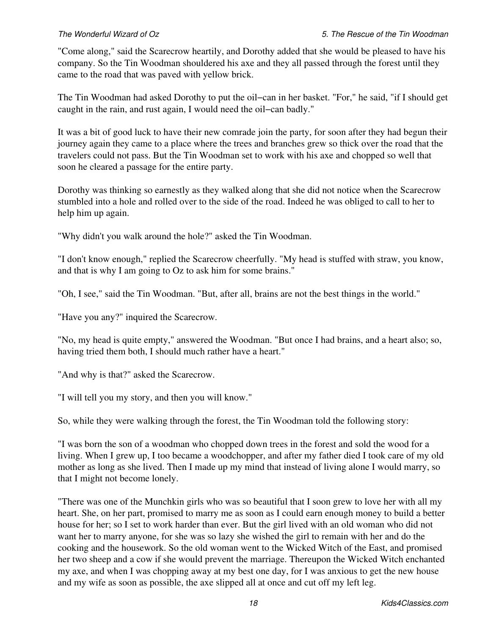"Come along," said the Scarecrow heartily, and Dorothy added that she would be pleased to have his company. So the Tin Woodman shouldered his axe and they all passed through the forest until they came to the road that was paved with yellow brick.

The Tin Woodman had asked Dorothy to put the oil−can in her basket. "For," he said, "if I should get caught in the rain, and rust again, I would need the oil−can badly."

It was a bit of good luck to have their new comrade join the party, for soon after they had begun their journey again they came to a place where the trees and branches grew so thick over the road that the travelers could not pass. But the Tin Woodman set to work with his axe and chopped so well that soon he cleared a passage for the entire party.

Dorothy was thinking so earnestly as they walked along that she did not notice when the Scarecrow stumbled into a hole and rolled over to the side of the road. Indeed he was obliged to call to her to help him up again.

"Why didn't you walk around the hole?" asked the Tin Woodman.

"I don't know enough," replied the Scarecrow cheerfully. "My head is stuffed with straw, you know, and that is why I am going to Oz to ask him for some brains."

"Oh, I see," said the Tin Woodman. "But, after all, brains are not the best things in the world."

"Have you any?" inquired the Scarecrow.

"No, my head is quite empty," answered the Woodman. "But once I had brains, and a heart also; so, having tried them both, I should much rather have a heart."

"And why is that?" asked the Scarecrow.

"I will tell you my story, and then you will know."

So, while they were walking through the forest, the Tin Woodman told the following story:

"I was born the son of a woodman who chopped down trees in the forest and sold the wood for a living. When I grew up, I too became a woodchopper, and after my father died I took care of my old mother as long as she lived. Then I made up my mind that instead of living alone I would marry, so that I might not become lonely.

"There was one of the Munchkin girls who was so beautiful that I soon grew to love her with all my heart. She, on her part, promised to marry me as soon as I could earn enough money to build a better house for her; so I set to work harder than ever. But the girl lived with an old woman who did not want her to marry anyone, for she was so lazy she wished the girl to remain with her and do the cooking and the housework. So the old woman went to the Wicked Witch of the East, and promised her two sheep and a cow if she would prevent the marriage. Thereupon the Wicked Witch enchanted my axe, and when I was chopping away at my best one day, for I was anxious to get the new house and my wife as soon as possible, the axe slipped all at once and cut off my left leg.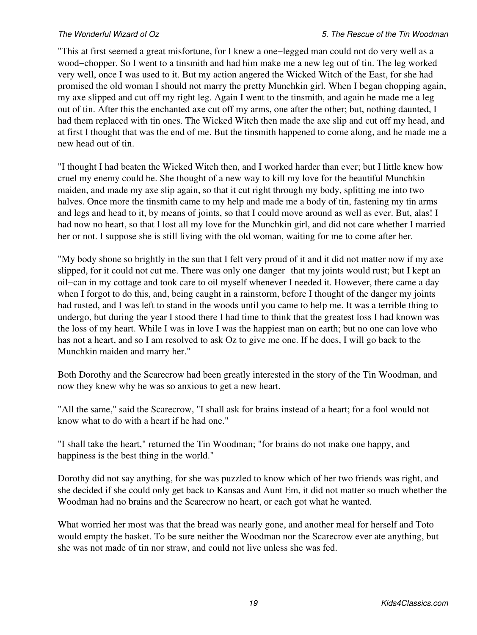"This at first seemed a great misfortune, for I knew a one−legged man could not do very well as a wood−chopper. So I went to a tinsmith and had him make me a new leg out of tin. The leg worked very well, once I was used to it. But my action angered the Wicked Witch of the East, for she had promised the old woman I should not marry the pretty Munchkin girl. When I began chopping again, my axe slipped and cut off my right leg. Again I went to the tinsmith, and again he made me a leg out of tin. After this the enchanted axe cut off my arms, one after the other; but, nothing daunted, I had them replaced with tin ones. The Wicked Witch then made the axe slip and cut off my head, and at first I thought that was the end of me. But the tinsmith happened to come along, and he made me a new head out of tin.

"I thought I had beaten the Wicked Witch then, and I worked harder than ever; but I little knew how cruel my enemy could be. She thought of a new way to kill my love for the beautiful Munchkin maiden, and made my axe slip again, so that it cut right through my body, splitting me into two halves. Once more the tinsmith came to my help and made me a body of tin, fastening my tin arms and legs and head to it, by means of joints, so that I could move around as well as ever. But, alas! I had now no heart, so that I lost all my love for the Munchkin girl, and did not care whether I married her or not. I suppose she is still living with the old woman, waiting for me to come after her.

"My body shone so brightly in the sun that I felt very proud of it and it did not matter now if my axe slipped, for it could not cut me. There was only one danger that my joints would rust; but I kept an oil−can in my cottage and took care to oil myself whenever I needed it. However, there came a day when I forgot to do this, and, being caught in a rainstorm, before I thought of the danger my joints had rusted, and I was left to stand in the woods until you came to help me. It was a terrible thing to undergo, but during the year I stood there I had time to think that the greatest loss I had known was the loss of my heart. While I was in love I was the happiest man on earth; but no one can love who has not a heart, and so I am resolved to ask Oz to give me one. If he does, I will go back to the Munchkin maiden and marry her."

Both Dorothy and the Scarecrow had been greatly interested in the story of the Tin Woodman, and now they knew why he was so anxious to get a new heart.

"All the same," said the Scarecrow, "I shall ask for brains instead of a heart; for a fool would not know what to do with a heart if he had one."

"I shall take the heart," returned the Tin Woodman; "for brains do not make one happy, and happiness is the best thing in the world."

Dorothy did not say anything, for she was puzzled to know which of her two friends was right, and she decided if she could only get back to Kansas and Aunt Em, it did not matter so much whether the Woodman had no brains and the Scarecrow no heart, or each got what he wanted.

What worried her most was that the bread was nearly gone, and another meal for herself and Toto would empty the basket. To be sure neither the Woodman nor the Scarecrow ever ate anything, but she was not made of tin nor straw, and could not live unless she was fed.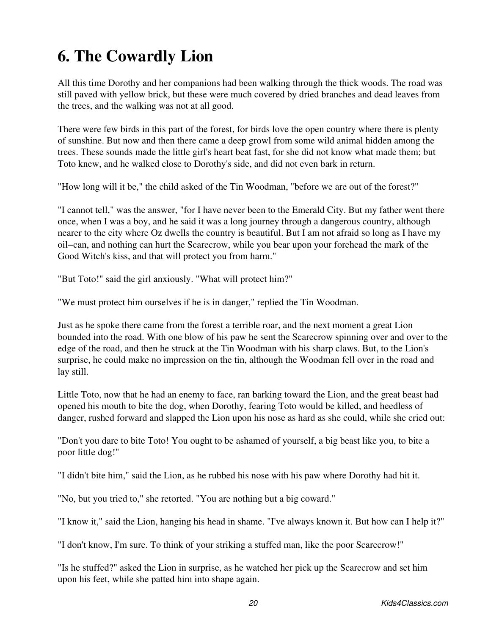# <span id="page-22-0"></span>**6. The Cowardly Lion**

All this time Dorothy and her companions had been walking through the thick woods. The road was still paved with yellow brick, but these were much covered by dried branches and dead leaves from the trees, and the walking was not at all good.

There were few birds in this part of the forest, for birds love the open country where there is plenty of sunshine. But now and then there came a deep growl from some wild animal hidden among the trees. These sounds made the little girl's heart beat fast, for she did not know what made them; but Toto knew, and he walked close to Dorothy's side, and did not even bark in return.

"How long will it be," the child asked of the Tin Woodman, "before we are out of the forest?"

"I cannot tell," was the answer, "for I have never been to the Emerald City. But my father went there once, when I was a boy, and he said it was a long journey through a dangerous country, although nearer to the city where Oz dwells the country is beautiful. But I am not afraid so long as I have my oil−can, and nothing can hurt the Scarecrow, while you bear upon your forehead the mark of the Good Witch's kiss, and that will protect you from harm."

"But Toto!" said the girl anxiously. "What will protect him?"

"We must protect him ourselves if he is in danger," replied the Tin Woodman.

Just as he spoke there came from the forest a terrible roar, and the next moment a great Lion bounded into the road. With one blow of his paw he sent the Scarecrow spinning over and over to the edge of the road, and then he struck at the Tin Woodman with his sharp claws. But, to the Lion's surprise, he could make no impression on the tin, although the Woodman fell over in the road and lay still.

Little Toto, now that he had an enemy to face, ran barking toward the Lion, and the great beast had opened his mouth to bite the dog, when Dorothy, fearing Toto would be killed, and heedless of danger, rushed forward and slapped the Lion upon his nose as hard as she could, while she cried out:

"Don't you dare to bite Toto! You ought to be ashamed of yourself, a big beast like you, to bite a poor little dog!"

"I didn't bite him," said the Lion, as he rubbed his nose with his paw where Dorothy had hit it.

"No, but you tried to," she retorted. "You are nothing but a big coward."

"I know it," said the Lion, hanging his head in shame. "I've always known it. But how can I help it?"

"I don't know, I'm sure. To think of your striking a stuffed man, like the poor Scarecrow!"

"Is he stuffed?" asked the Lion in surprise, as he watched her pick up the Scarecrow and set him upon his feet, while she patted him into shape again.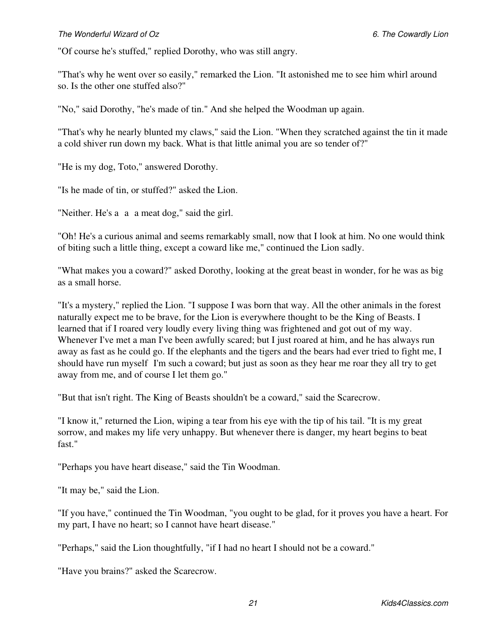### *The Wonderful Wizard of Oz 6. The Cowardly Lion*

"Of course he's stuffed," replied Dorothy, who was still angry.

"That's why he went over so easily," remarked the Lion. "It astonished me to see him whirl around so. Is the other one stuffed also?"

"No," said Dorothy, "he's made of tin." And she helped the Woodman up again.

"That's why he nearly blunted my claws," said the Lion. "When they scratched against the tin it made a cold shiver run down my back. What is that little animal you are so tender of?"

"He is my dog, Toto," answered Dorothy.

"Is he made of tin, or stuffed?" asked the Lion.

"Neither. He's a a a meat dog," said the girl.

"Oh! He's a curious animal and seems remarkably small, now that I look at him. No one would think of biting such a little thing, except a coward like me," continued the Lion sadly.

"What makes you a coward?" asked Dorothy, looking at the great beast in wonder, for he was as big as a small horse.

"It's a mystery," replied the Lion. "I suppose I was born that way. All the other animals in the forest naturally expect me to be brave, for the Lion is everywhere thought to be the King of Beasts. I learned that if I roared very loudly every living thing was frightened and got out of my way. Whenever I've met a man I've been awfully scared; but I just roared at him, and he has always run away as fast as he could go. If the elephants and the tigers and the bears had ever tried to fight me, I should have run myself I'm such a coward; but just as soon as they hear me roar they all try to get away from me, and of course I let them go."

"But that isn't right. The King of Beasts shouldn't be a coward," said the Scarecrow.

"I know it," returned the Lion, wiping a tear from his eye with the tip of his tail. "It is my great sorrow, and makes my life very unhappy. But whenever there is danger, my heart begins to beat fast."

"Perhaps you have heart disease," said the Tin Woodman.

"It may be," said the Lion.

"If you have," continued the Tin Woodman, "you ought to be glad, for it proves you have a heart. For my part, I have no heart; so I cannot have heart disease."

"Perhaps," said the Lion thoughtfully, "if I had no heart I should not be a coward."

"Have you brains?" asked the Scarecrow.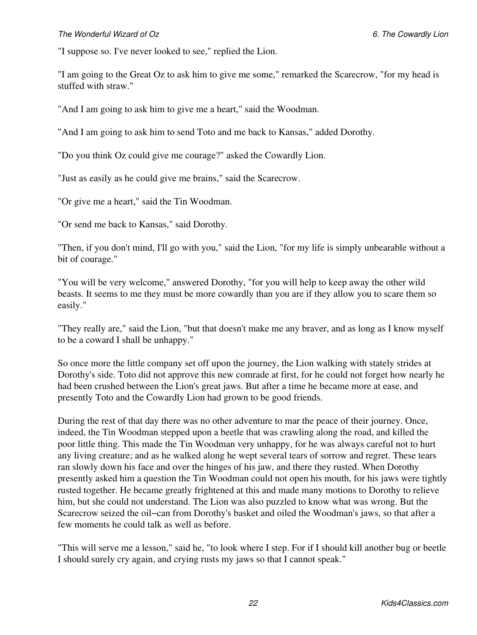"I suppose so. I've never looked to see," replied the Lion.

"I am going to the Great Oz to ask him to give me some," remarked the Scarecrow, "for my head is stuffed with straw."

"And I am going to ask him to give me a heart," said the Woodman.

"And I am going to ask him to send Toto and me back to Kansas," added Dorothy.

"Do you think Oz could give me courage?" asked the Cowardly Lion.

"Just as easily as he could give me brains," said the Scarecrow.

"Or give me a heart," said the Tin Woodman.

"Or send me back to Kansas," said Dorothy.

"Then, if you don't mind, I'll go with you," said the Lion, "for my life is simply unbearable without a bit of courage."

"You will be very welcome," answered Dorothy, "for you will help to keep away the other wild beasts. It seems to me they must be more cowardly than you are if they allow you to scare them so easily."

"They really are," said the Lion, "but that doesn't make me any braver, and as long as I know myself to be a coward I shall be unhappy."

So once more the little company set off upon the journey, the Lion walking with stately strides at Dorothy's side. Toto did not approve this new comrade at first, for he could not forget how nearly he had been crushed between the Lion's great jaws. But after a time he became more at ease, and presently Toto and the Cowardly Lion had grown to be good friends.

During the rest of that day there was no other adventure to mar the peace of their journey. Once, indeed, the Tin Woodman stepped upon a beetle that was crawling along the road, and killed the poor little thing. This made the Tin Woodman very unhappy, for he was always careful not to hurt any living creature; and as he walked along he wept several tears of sorrow and regret. These tears ran slowly down his face and over the hinges of his jaw, and there they rusted. When Dorothy presently asked him a question the Tin Woodman could not open his mouth, for his jaws were tightly rusted together. He became greatly frightened at this and made many motions to Dorothy to relieve him, but she could not understand. The Lion was also puzzled to know what was wrong. But the Scarecrow seized the oil−can from Dorothy's basket and oiled the Woodman's jaws, so that after a few moments he could talk as well as before.

"This will serve me a lesson," said he, "to look where I step. For if I should kill another bug or beetle I should surely cry again, and crying rusts my jaws so that I cannot speak."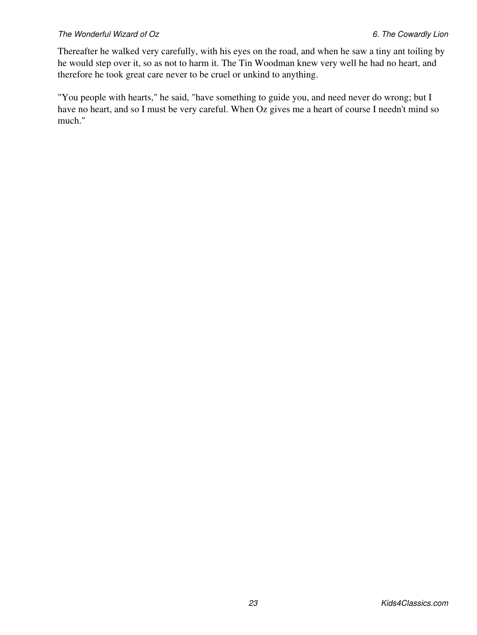Thereafter he walked very carefully, with his eyes on the road, and when he saw a tiny ant toiling by he would step over it, so as not to harm it. The Tin Woodman knew very well he had no heart, and therefore he took great care never to be cruel or unkind to anything.

"You people with hearts," he said, "have something to guide you, and need never do wrong; but I have no heart, and so I must be very careful. When Oz gives me a heart of course I needn't mind so much."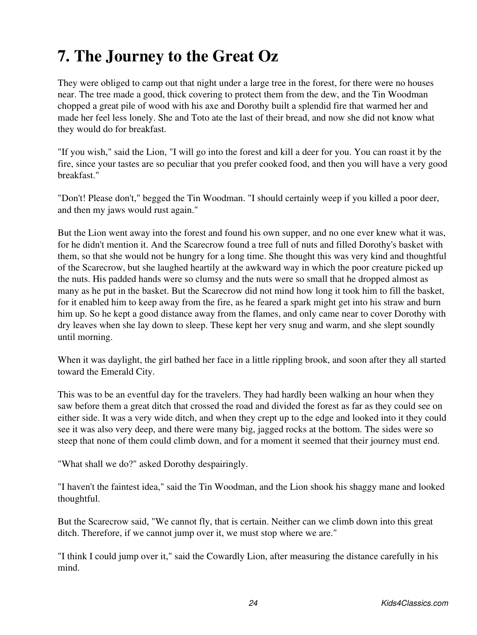# <span id="page-26-0"></span>**7. The Journey to the Great Oz**

They were obliged to camp out that night under a large tree in the forest, for there were no houses near. The tree made a good, thick covering to protect them from the dew, and the Tin Woodman chopped a great pile of wood with his axe and Dorothy built a splendid fire that warmed her and made her feel less lonely. She and Toto ate the last of their bread, and now she did not know what they would do for breakfast.

"If you wish," said the Lion, "I will go into the forest and kill a deer for you. You can roast it by the fire, since your tastes are so peculiar that you prefer cooked food, and then you will have a very good breakfast."

"Don't! Please don't," begged the Tin Woodman. "I should certainly weep if you killed a poor deer, and then my jaws would rust again."

But the Lion went away into the forest and found his own supper, and no one ever knew what it was, for he didn't mention it. And the Scarecrow found a tree full of nuts and filled Dorothy's basket with them, so that she would not be hungry for a long time. She thought this was very kind and thoughtful of the Scarecrow, but she laughed heartily at the awkward way in which the poor creature picked up the nuts. His padded hands were so clumsy and the nuts were so small that he dropped almost as many as he put in the basket. But the Scarecrow did not mind how long it took him to fill the basket, for it enabled him to keep away from the fire, as he feared a spark might get into his straw and burn him up. So he kept a good distance away from the flames, and only came near to cover Dorothy with dry leaves when she lay down to sleep. These kept her very snug and warm, and she slept soundly until morning.

When it was daylight, the girl bathed her face in a little rippling brook, and soon after they all started toward the Emerald City.

This was to be an eventful day for the travelers. They had hardly been walking an hour when they saw before them a great ditch that crossed the road and divided the forest as far as they could see on either side. It was a very wide ditch, and when they crept up to the edge and looked into it they could see it was also very deep, and there were many big, jagged rocks at the bottom. The sides were so steep that none of them could climb down, and for a moment it seemed that their journey must end.

"What shall we do?" asked Dorothy despairingly.

"I haven't the faintest idea," said the Tin Woodman, and the Lion shook his shaggy mane and looked thoughtful.

But the Scarecrow said, "We cannot fly, that is certain. Neither can we climb down into this great ditch. Therefore, if we cannot jump over it, we must stop where we are."

"I think I could jump over it," said the Cowardly Lion, after measuring the distance carefully in his mind.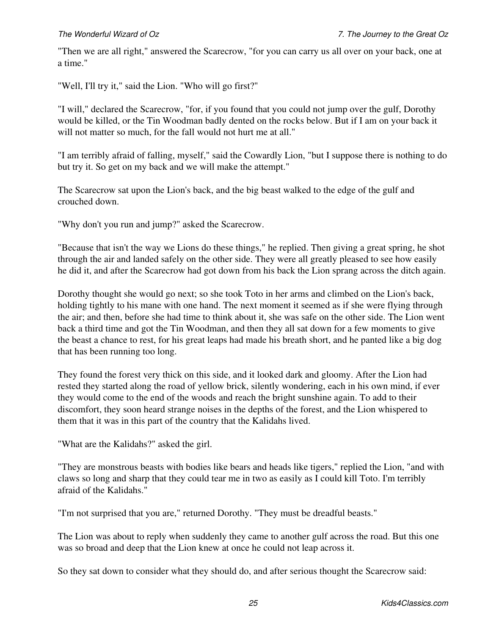"Then we are all right," answered the Scarecrow, "for you can carry us all over on your back, one at a time."

"Well, I'll try it," said the Lion. "Who will go first?"

"I will," declared the Scarecrow, "for, if you found that you could not jump over the gulf, Dorothy would be killed, or the Tin Woodman badly dented on the rocks below. But if I am on your back it will not matter so much, for the fall would not hurt me at all."

"I am terribly afraid of falling, myself," said the Cowardly Lion, "but I suppose there is nothing to do but try it. So get on my back and we will make the attempt."

The Scarecrow sat upon the Lion's back, and the big beast walked to the edge of the gulf and crouched down.

"Why don't you run and jump?" asked the Scarecrow.

"Because that isn't the way we Lions do these things," he replied. Then giving a great spring, he shot through the air and landed safely on the other side. They were all greatly pleased to see how easily he did it, and after the Scarecrow had got down from his back the Lion sprang across the ditch again.

Dorothy thought she would go next; so she took Toto in her arms and climbed on the Lion's back, holding tightly to his mane with one hand. The next moment it seemed as if she were flying through the air; and then, before she had time to think about it, she was safe on the other side. The Lion went back a third time and got the Tin Woodman, and then they all sat down for a few moments to give the beast a chance to rest, for his great leaps had made his breath short, and he panted like a big dog that has been running too long.

They found the forest very thick on this side, and it looked dark and gloomy. After the Lion had rested they started along the road of yellow brick, silently wondering, each in his own mind, if ever they would come to the end of the woods and reach the bright sunshine again. To add to their discomfort, they soon heard strange noises in the depths of the forest, and the Lion whispered to them that it was in this part of the country that the Kalidahs lived.

"What are the Kalidahs?" asked the girl.

"They are monstrous beasts with bodies like bears and heads like tigers," replied the Lion, "and with claws so long and sharp that they could tear me in two as easily as I could kill Toto. I'm terribly afraid of the Kalidahs."

"I'm not surprised that you are," returned Dorothy. "They must be dreadful beasts."

The Lion was about to reply when suddenly they came to another gulf across the road. But this one was so broad and deep that the Lion knew at once he could not leap across it.

So they sat down to consider what they should do, and after serious thought the Scarecrow said: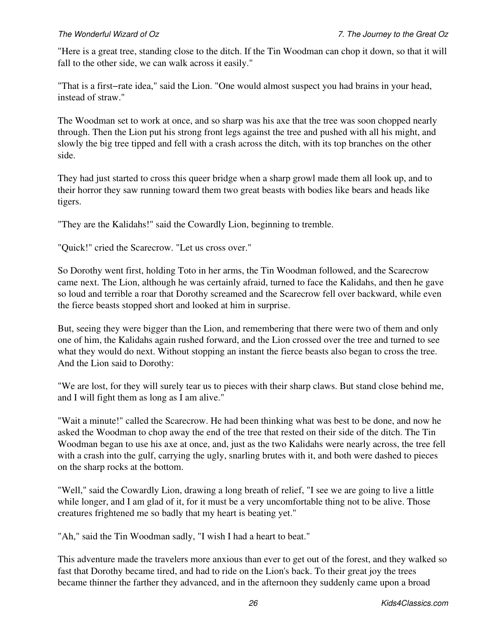"Here is a great tree, standing close to the ditch. If the Tin Woodman can chop it down, so that it will fall to the other side, we can walk across it easily."

"That is a first−rate idea," said the Lion. "One would almost suspect you had brains in your head, instead of straw."

The Woodman set to work at once, and so sharp was his axe that the tree was soon chopped nearly through. Then the Lion put his strong front legs against the tree and pushed with all his might, and slowly the big tree tipped and fell with a crash across the ditch, with its top branches on the other side.

They had just started to cross this queer bridge when a sharp growl made them all look up, and to their horror they saw running toward them two great beasts with bodies like bears and heads like tigers.

"They are the Kalidahs!" said the Cowardly Lion, beginning to tremble.

"Quick!" cried the Scarecrow. "Let us cross over."

So Dorothy went first, holding Toto in her arms, the Tin Woodman followed, and the Scarecrow came next. The Lion, although he was certainly afraid, turned to face the Kalidahs, and then he gave so loud and terrible a roar that Dorothy screamed and the Scarecrow fell over backward, while even the fierce beasts stopped short and looked at him in surprise.

But, seeing they were bigger than the Lion, and remembering that there were two of them and only one of him, the Kalidahs again rushed forward, and the Lion crossed over the tree and turned to see what they would do next. Without stopping an instant the fierce beasts also began to cross the tree. And the Lion said to Dorothy:

"We are lost, for they will surely tear us to pieces with their sharp claws. But stand close behind me, and I will fight them as long as I am alive."

"Wait a minute!" called the Scarecrow. He had been thinking what was best to be done, and now he asked the Woodman to chop away the end of the tree that rested on their side of the ditch. The Tin Woodman began to use his axe at once, and, just as the two Kalidahs were nearly across, the tree fell with a crash into the gulf, carrying the ugly, snarling brutes with it, and both were dashed to pieces on the sharp rocks at the bottom.

"Well," said the Cowardly Lion, drawing a long breath of relief, "I see we are going to live a little while longer, and I am glad of it, for it must be a very uncomfortable thing not to be alive. Those creatures frightened me so badly that my heart is beating yet."

"Ah," said the Tin Woodman sadly, "I wish I had a heart to beat."

This adventure made the travelers more anxious than ever to get out of the forest, and they walked so fast that Dorothy became tired, and had to ride on the Lion's back. To their great joy the trees became thinner the farther they advanced, and in the afternoon they suddenly came upon a broad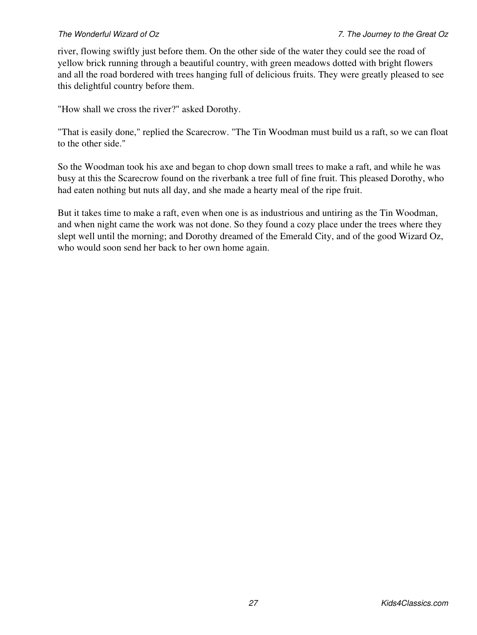river, flowing swiftly just before them. On the other side of the water they could see the road of yellow brick running through a beautiful country, with green meadows dotted with bright flowers and all the road bordered with trees hanging full of delicious fruits. They were greatly pleased to see this delightful country before them.

"How shall we cross the river?" asked Dorothy.

"That is easily done," replied the Scarecrow. "The Tin Woodman must build us a raft, so we can float to the other side."

So the Woodman took his axe and began to chop down small trees to make a raft, and while he was busy at this the Scarecrow found on the riverbank a tree full of fine fruit. This pleased Dorothy, who had eaten nothing but nuts all day, and she made a hearty meal of the ripe fruit.

But it takes time to make a raft, even when one is as industrious and untiring as the Tin Woodman, and when night came the work was not done. So they found a cozy place under the trees where they slept well until the morning; and Dorothy dreamed of the Emerald City, and of the good Wizard Oz, who would soon send her back to her own home again.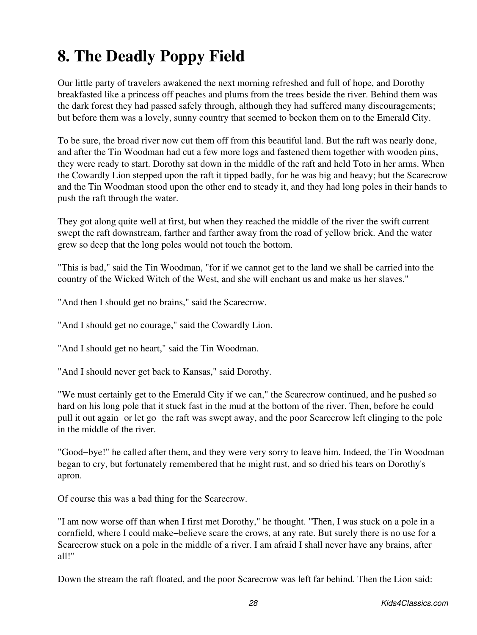# <span id="page-30-0"></span>**8. The Deadly Poppy Field**

Our little party of travelers awakened the next morning refreshed and full of hope, and Dorothy breakfasted like a princess off peaches and plums from the trees beside the river. Behind them was the dark forest they had passed safely through, although they had suffered many discouragements; but before them was a lovely, sunny country that seemed to beckon them on to the Emerald City.

To be sure, the broad river now cut them off from this beautiful land. But the raft was nearly done, and after the Tin Woodman had cut a few more logs and fastened them together with wooden pins, they were ready to start. Dorothy sat down in the middle of the raft and held Toto in her arms. When the Cowardly Lion stepped upon the raft it tipped badly, for he was big and heavy; but the Scarecrow and the Tin Woodman stood upon the other end to steady it, and they had long poles in their hands to push the raft through the water.

They got along quite well at first, but when they reached the middle of the river the swift current swept the raft downstream, farther and farther away from the road of yellow brick. And the water grew so deep that the long poles would not touch the bottom.

"This is bad," said the Tin Woodman, "for if we cannot get to the land we shall be carried into the country of the Wicked Witch of the West, and she will enchant us and make us her slaves."

"And then I should get no brains," said the Scarecrow.

"And I should get no courage," said the Cowardly Lion.

"And I should get no heart," said the Tin Woodman.

"And I should never get back to Kansas," said Dorothy.

"We must certainly get to the Emerald City if we can," the Scarecrow continued, and he pushed so hard on his long pole that it stuck fast in the mud at the bottom of the river. Then, before he could pull it out again or let gothe raft was swept away, and the poor Scarecrow left clinging to the pole in the middle of the river.

"Good−bye!" he called after them, and they were very sorry to leave him. Indeed, the Tin Woodman began to cry, but fortunately remembered that he might rust, and so dried his tears on Dorothy's apron.

Of course this was a bad thing for the Scarecrow.

"I am now worse off than when I first met Dorothy," he thought. "Then, I was stuck on a pole in a cornfield, where I could make−believe scare the crows, at any rate. But surely there is no use for a Scarecrow stuck on a pole in the middle of a river. I am afraid I shall never have any brains, after all!"

Down the stream the raft floated, and the poor Scarecrow was left far behind. Then the Lion said: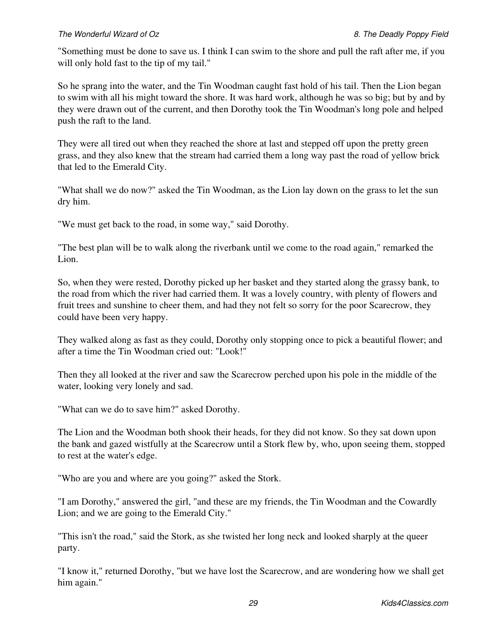### *The Wonderful Wizard of Oz 8. The Deadly Poppy Field*

"Something must be done to save us. I think I can swim to the shore and pull the raft after me, if you will only hold fast to the tip of my tail."

So he sprang into the water, and the Tin Woodman caught fast hold of his tail. Then the Lion began to swim with all his might toward the shore. It was hard work, although he was so big; but by and by they were drawn out of the current, and then Dorothy took the Tin Woodman's long pole and helped push the raft to the land.

They were all tired out when they reached the shore at last and stepped off upon the pretty green grass, and they also knew that the stream had carried them a long way past the road of yellow brick that led to the Emerald City.

"What shall we do now?" asked the Tin Woodman, as the Lion lay down on the grass to let the sun dry him.

"We must get back to the road, in some way," said Dorothy.

"The best plan will be to walk along the riverbank until we come to the road again," remarked the Lion.

So, when they were rested, Dorothy picked up her basket and they started along the grassy bank, to the road from which the river had carried them. It was a lovely country, with plenty of flowers and fruit trees and sunshine to cheer them, and had they not felt so sorry for the poor Scarecrow, they could have been very happy.

They walked along as fast as they could, Dorothy only stopping once to pick a beautiful flower; and after a time the Tin Woodman cried out: "Look!"

Then they all looked at the river and saw the Scarecrow perched upon his pole in the middle of the water, looking very lonely and sad.

"What can we do to save him?" asked Dorothy.

The Lion and the Woodman both shook their heads, for they did not know. So they sat down upon the bank and gazed wistfully at the Scarecrow until a Stork flew by, who, upon seeing them, stopped to rest at the water's edge.

"Who are you and where are you going?" asked the Stork.

"I am Dorothy," answered the girl, "and these are my friends, the Tin Woodman and the Cowardly Lion; and we are going to the Emerald City."

"This isn't the road," said the Stork, as she twisted her long neck and looked sharply at the queer party.

"I know it," returned Dorothy, "but we have lost the Scarecrow, and are wondering how we shall get him again."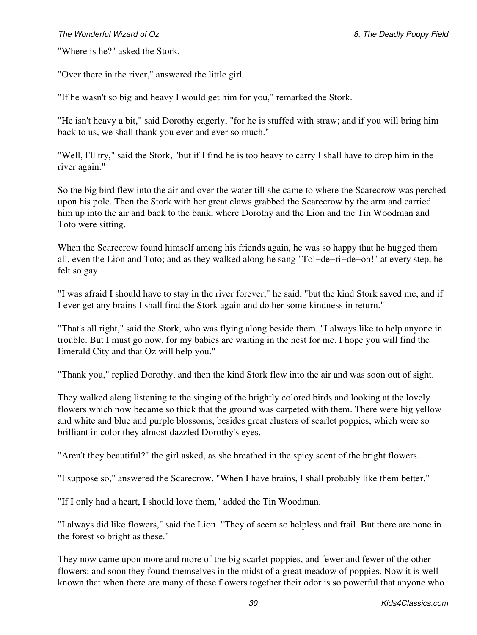### *The Wonderful Wizard of Oz 8. The Deadly Poppy Field*

"Where is he?" asked the Stork.

"Over there in the river," answered the little girl.

"If he wasn't so big and heavy I would get him for you," remarked the Stork.

"He isn't heavy a bit," said Dorothy eagerly, "for he is stuffed with straw; and if you will bring him back to us, we shall thank you ever and ever so much."

"Well, I'll try," said the Stork, "but if I find he is too heavy to carry I shall have to drop him in the river again."

So the big bird flew into the air and over the water till she came to where the Scarecrow was perched upon his pole. Then the Stork with her great claws grabbed the Scarecrow by the arm and carried him up into the air and back to the bank, where Dorothy and the Lion and the Tin Woodman and Toto were sitting.

When the Scarecrow found himself among his friends again, he was so happy that he hugged them all, even the Lion and Toto; and as they walked along he sang "Tol−de−ri−de−oh!" at every step, he felt so gay.

"I was afraid I should have to stay in the river forever," he said, "but the kind Stork saved me, and if I ever get any brains I shall find the Stork again and do her some kindness in return."

"That's all right," said the Stork, who was flying along beside them. "I always like to help anyone in trouble. But I must go now, for my babies are waiting in the nest for me. I hope you will find the Emerald City and that Oz will help you."

"Thank you," replied Dorothy, and then the kind Stork flew into the air and was soon out of sight.

They walked along listening to the singing of the brightly colored birds and looking at the lovely flowers which now became so thick that the ground was carpeted with them. There were big yellow and white and blue and purple blossoms, besides great clusters of scarlet poppies, which were so brilliant in color they almost dazzled Dorothy's eyes.

"Aren't they beautiful?" the girl asked, as she breathed in the spicy scent of the bright flowers.

"I suppose so," answered the Scarecrow. "When I have brains, I shall probably like them better."

"If I only had a heart, I should love them," added the Tin Woodman.

"I always did like flowers," said the Lion. "They of seem so helpless and frail. But there are none in the forest so bright as these."

They now came upon more and more of the big scarlet poppies, and fewer and fewer of the other flowers; and soon they found themselves in the midst of a great meadow of poppies. Now it is well known that when there are many of these flowers together their odor is so powerful that anyone who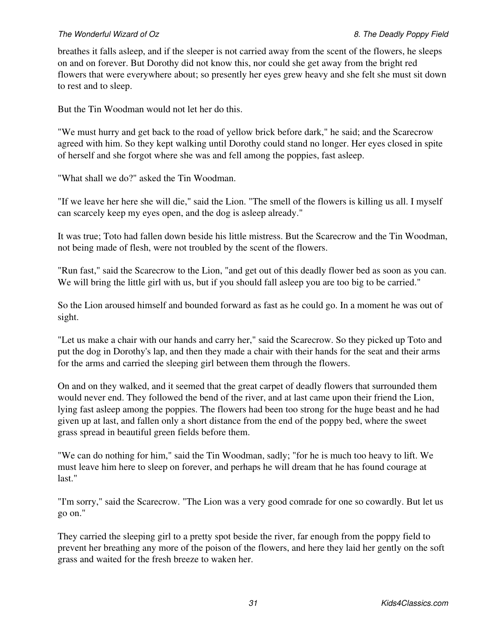### *The Wonderful Wizard of Oz 8. The Deadly Poppy Field*

breathes it falls asleep, and if the sleeper is not carried away from the scent of the flowers, he sleeps on and on forever. But Dorothy did not know this, nor could she get away from the bright red flowers that were everywhere about; so presently her eyes grew heavy and she felt she must sit down to rest and to sleep.

But the Tin Woodman would not let her do this.

"We must hurry and get back to the road of yellow brick before dark," he said; and the Scarecrow agreed with him. So they kept walking until Dorothy could stand no longer. Her eyes closed in spite of herself and she forgot where she was and fell among the poppies, fast asleep.

"What shall we do?" asked the Tin Woodman.

"If we leave her here she will die," said the Lion. "The smell of the flowers is killing us all. I myself can scarcely keep my eyes open, and the dog is asleep already."

It was true; Toto had fallen down beside his little mistress. But the Scarecrow and the Tin Woodman, not being made of flesh, were not troubled by the scent of the flowers.

"Run fast," said the Scarecrow to the Lion, "and get out of this deadly flower bed as soon as you can. We will bring the little girl with us, but if you should fall asleep you are too big to be carried."

So the Lion aroused himself and bounded forward as fast as he could go. In a moment he was out of sight.

"Let us make a chair with our hands and carry her," said the Scarecrow. So they picked up Toto and put the dog in Dorothy's lap, and then they made a chair with their hands for the seat and their arms for the arms and carried the sleeping girl between them through the flowers.

On and on they walked, and it seemed that the great carpet of deadly flowers that surrounded them would never end. They followed the bend of the river, and at last came upon their friend the Lion, lying fast asleep among the poppies. The flowers had been too strong for the huge beast and he had given up at last, and fallen only a short distance from the end of the poppy bed, where the sweet grass spread in beautiful green fields before them.

"We can do nothing for him," said the Tin Woodman, sadly; "for he is much too heavy to lift. We must leave him here to sleep on forever, and perhaps he will dream that he has found courage at last."

"I'm sorry," said the Scarecrow. "The Lion was a very good comrade for one so cowardly. But let us go on."

They carried the sleeping girl to a pretty spot beside the river, far enough from the poppy field to prevent her breathing any more of the poison of the flowers, and here they laid her gently on the soft grass and waited for the fresh breeze to waken her.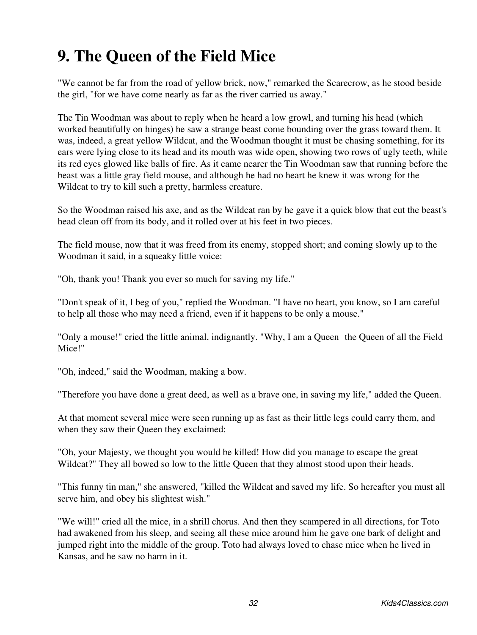# <span id="page-34-0"></span>**9. The Queen of the Field Mice**

"We cannot be far from the road of yellow brick, now," remarked the Scarecrow, as he stood beside the girl, "for we have come nearly as far as the river carried us away."

The Tin Woodman was about to reply when he heard a low growl, and turning his head (which worked beautifully on hinges) he saw a strange beast come bounding over the grass toward them. It was, indeed, a great yellow Wildcat, and the Woodman thought it must be chasing something, for its ears were lying close to its head and its mouth was wide open, showing two rows of ugly teeth, while its red eyes glowed like balls of fire. As it came nearer the Tin Woodman saw that running before the beast was a little gray field mouse, and although he had no heart he knew it was wrong for the Wildcat to try to kill such a pretty, harmless creature.

So the Woodman raised his axe, and as the Wildcat ran by he gave it a quick blow that cut the beast's head clean off from its body, and it rolled over at his feet in two pieces.

The field mouse, now that it was freed from its enemy, stopped short; and coming slowly up to the Woodman it said, in a squeaky little voice:

"Oh, thank you! Thank you ever so much for saving my life."

"Don't speak of it, I beg of you," replied the Woodman. "I have no heart, you know, so I am careful to help all those who may need a friend, even if it happens to be only a mouse."

"Only a mouse!" cried the little animal, indignantly. "Why, I am a Queenthe Queen of all the Field Mice!"

"Oh, indeed," said the Woodman, making a bow.

"Therefore you have done a great deed, as well as a brave one, in saving my life," added the Queen.

At that moment several mice were seen running up as fast as their little legs could carry them, and when they saw their Queen they exclaimed:

"Oh, your Majesty, we thought you would be killed! How did you manage to escape the great Wildcat?" They all bowed so low to the little Queen that they almost stood upon their heads.

"This funny tin man," she answered, "killed the Wildcat and saved my life. So hereafter you must all serve him, and obey his slightest wish."

"We will!" cried all the mice, in a shrill chorus. And then they scampered in all directions, for Toto had awakened from his sleep, and seeing all these mice around him he gave one bark of delight and jumped right into the middle of the group. Toto had always loved to chase mice when he lived in Kansas, and he saw no harm in it.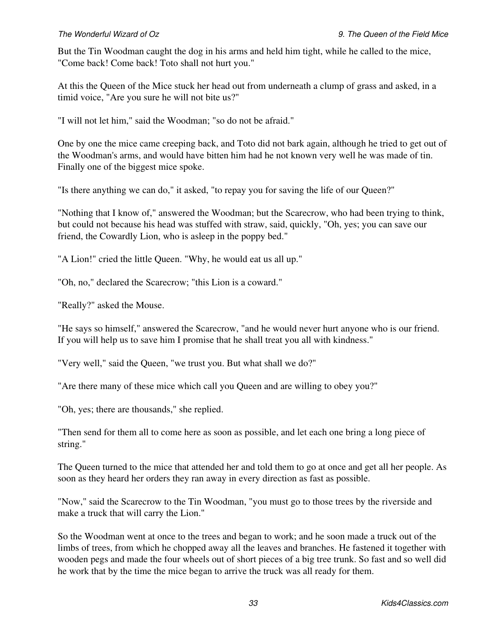But the Tin Woodman caught the dog in his arms and held him tight, while he called to the mice, "Come back! Come back! Toto shall not hurt you."

At this the Queen of the Mice stuck her head out from underneath a clump of grass and asked, in a timid voice, "Are you sure he will not bite us?"

"I will not let him," said the Woodman; "so do not be afraid."

One by one the mice came creeping back, and Toto did not bark again, although he tried to get out of the Woodman's arms, and would have bitten him had he not known very well he was made of tin. Finally one of the biggest mice spoke.

"Is there anything we can do," it asked, "to repay you for saving the life of our Queen?"

"Nothing that I know of," answered the Woodman; but the Scarecrow, who had been trying to think, but could not because his head was stuffed with straw, said, quickly, "Oh, yes; you can save our friend, the Cowardly Lion, who is asleep in the poppy bed."

"A Lion!" cried the little Queen. "Why, he would eat us all up."

"Oh, no," declared the Scarecrow; "this Lion is a coward."

"Really?" asked the Mouse.

"He says so himself," answered the Scarecrow, "and he would never hurt anyone who is our friend. If you will help us to save him I promise that he shall treat you all with kindness."

"Very well," said the Queen, "we trust you. But what shall we do?"

"Are there many of these mice which call you Queen and are willing to obey you?"

"Oh, yes; there are thousands," she replied.

"Then send for them all to come here as soon as possible, and let each one bring a long piece of string."

The Queen turned to the mice that attended her and told them to go at once and get all her people. As soon as they heard her orders they ran away in every direction as fast as possible.

"Now," said the Scarecrow to the Tin Woodman, "you must go to those trees by the riverside and make a truck that will carry the Lion."

So the Woodman went at once to the trees and began to work; and he soon made a truck out of the limbs of trees, from which he chopped away all the leaves and branches. He fastened it together with wooden pegs and made the four wheels out of short pieces of a big tree trunk. So fast and so well did he work that by the time the mice began to arrive the truck was all ready for them.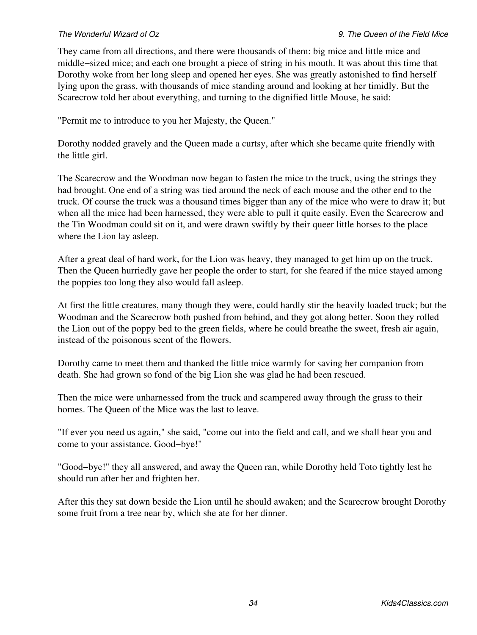They came from all directions, and there were thousands of them: big mice and little mice and middle−sized mice; and each one brought a piece of string in his mouth. It was about this time that Dorothy woke from her long sleep and opened her eyes. She was greatly astonished to find herself lying upon the grass, with thousands of mice standing around and looking at her timidly. But the Scarecrow told her about everything, and turning to the dignified little Mouse, he said:

"Permit me to introduce to you her Majesty, the Queen."

Dorothy nodded gravely and the Queen made a curtsy, after which she became quite friendly with the little girl.

The Scarecrow and the Woodman now began to fasten the mice to the truck, using the strings they had brought. One end of a string was tied around the neck of each mouse and the other end to the truck. Of course the truck was a thousand times bigger than any of the mice who were to draw it; but when all the mice had been harnessed, they were able to pull it quite easily. Even the Scarecrow and the Tin Woodman could sit on it, and were drawn swiftly by their queer little horses to the place where the Lion lay asleep.

After a great deal of hard work, for the Lion was heavy, they managed to get him up on the truck. Then the Queen hurriedly gave her people the order to start, for she feared if the mice stayed among the poppies too long they also would fall asleep.

At first the little creatures, many though they were, could hardly stir the heavily loaded truck; but the Woodman and the Scarecrow both pushed from behind, and they got along better. Soon they rolled the Lion out of the poppy bed to the green fields, where he could breathe the sweet, fresh air again, instead of the poisonous scent of the flowers.

Dorothy came to meet them and thanked the little mice warmly for saving her companion from death. She had grown so fond of the big Lion she was glad he had been rescued.

Then the mice were unharnessed from the truck and scampered away through the grass to their homes. The Queen of the Mice was the last to leave.

"If ever you need us again," she said, "come out into the field and call, and we shall hear you and come to your assistance. Good−bye!"

"Good−bye!" they all answered, and away the Queen ran, while Dorothy held Toto tightly lest he should run after her and frighten her.

After this they sat down beside the Lion until he should awaken; and the Scarecrow brought Dorothy some fruit from a tree near by, which she ate for her dinner.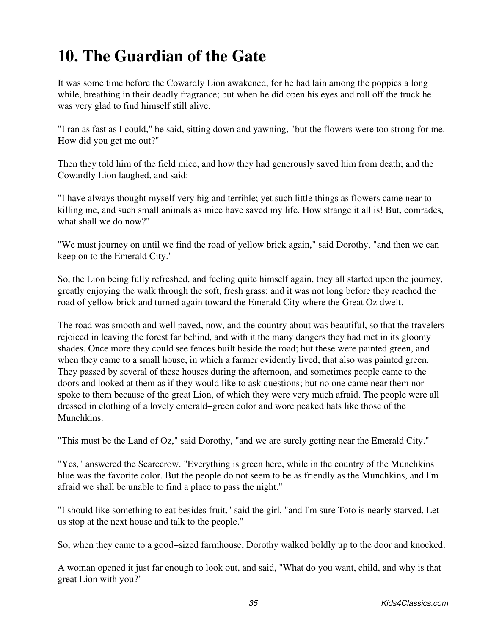## **10. The Guardian of the Gate**

It was some time before the Cowardly Lion awakened, for he had lain among the poppies a long while, breathing in their deadly fragrance; but when he did open his eyes and roll off the truck he was very glad to find himself still alive.

"I ran as fast as I could," he said, sitting down and yawning, "but the flowers were too strong for me. How did you get me out?"

Then they told him of the field mice, and how they had generously saved him from death; and the Cowardly Lion laughed, and said:

"I have always thought myself very big and terrible; yet such little things as flowers came near to killing me, and such small animals as mice have saved my life. How strange it all is! But, comrades, what shall we do now?"

"We must journey on until we find the road of yellow brick again," said Dorothy, "and then we can keep on to the Emerald City."

So, the Lion being fully refreshed, and feeling quite himself again, they all started upon the journey, greatly enjoying the walk through the soft, fresh grass; and it was not long before they reached the road of yellow brick and turned again toward the Emerald City where the Great Oz dwelt.

The road was smooth and well paved, now, and the country about was beautiful, so that the travelers rejoiced in leaving the forest far behind, and with it the many dangers they had met in its gloomy shades. Once more they could see fences built beside the road; but these were painted green, and when they came to a small house, in which a farmer evidently lived, that also was painted green. They passed by several of these houses during the afternoon, and sometimes people came to the doors and looked at them as if they would like to ask questions; but no one came near them nor spoke to them because of the great Lion, of which they were very much afraid. The people were all dressed in clothing of a lovely emerald−green color and wore peaked hats like those of the Munchkins.

"This must be the Land of Oz," said Dorothy, "and we are surely getting near the Emerald City."

"Yes," answered the Scarecrow. "Everything is green here, while in the country of the Munchkins blue was the favorite color. But the people do not seem to be as friendly as the Munchkins, and I'm afraid we shall be unable to find a place to pass the night."

"I should like something to eat besides fruit," said the girl, "and I'm sure Toto is nearly starved. Let us stop at the next house and talk to the people."

So, when they came to a good−sized farmhouse, Dorothy walked boldly up to the door and knocked.

A woman opened it just far enough to look out, and said, "What do you want, child, and why is that great Lion with you?"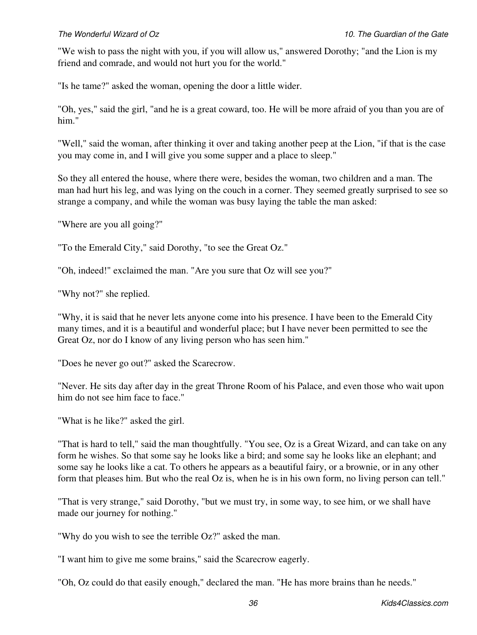"We wish to pass the night with you, if you will allow us," answered Dorothy; "and the Lion is my friend and comrade, and would not hurt you for the world."

"Is he tame?" asked the woman, opening the door a little wider.

"Oh, yes," said the girl, "and he is a great coward, too. He will be more afraid of you than you are of him."

"Well," said the woman, after thinking it over and taking another peep at the Lion, "if that is the case you may come in, and I will give you some supper and a place to sleep."

So they all entered the house, where there were, besides the woman, two children and a man. The man had hurt his leg, and was lying on the couch in a corner. They seemed greatly surprised to see so strange a company, and while the woman was busy laying the table the man asked:

"Where are you all going?"

"To the Emerald City," said Dorothy, "to see the Great Oz."

"Oh, indeed!" exclaimed the man. "Are you sure that Oz will see you?"

"Why not?" she replied.

"Why, it is said that he never lets anyone come into his presence. I have been to the Emerald City many times, and it is a beautiful and wonderful place; but I have never been permitted to see the Great Oz, nor do I know of any living person who has seen him."

"Does he never go out?" asked the Scarecrow.

"Never. He sits day after day in the great Throne Room of his Palace, and even those who wait upon him do not see him face to face."

"What is he like?" asked the girl.

"That is hard to tell," said the man thoughtfully. "You see, Oz is a Great Wizard, and can take on any form he wishes. So that some say he looks like a bird; and some say he looks like an elephant; and some say he looks like a cat. To others he appears as a beautiful fairy, or a brownie, or in any other form that pleases him. But who the real Oz is, when he is in his own form, no living person can tell."

"That is very strange," said Dorothy, "but we must try, in some way, to see him, or we shall have made our journey for nothing."

"Why do you wish to see the terrible Oz?" asked the man.

"I want him to give me some brains," said the Scarecrow eagerly.

"Oh, Oz could do that easily enough," declared the man. "He has more brains than he needs."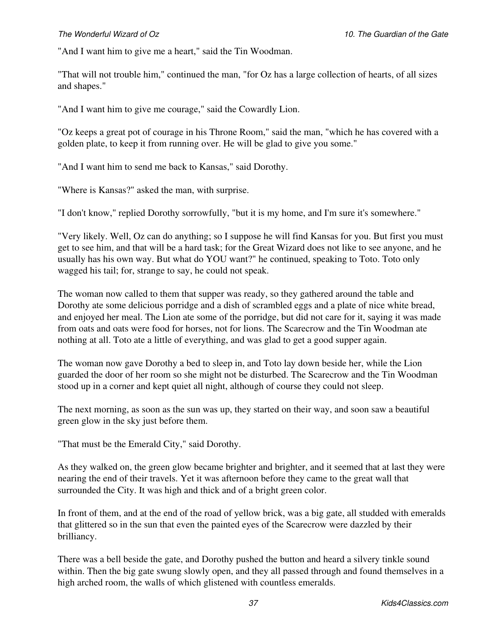"And I want him to give me a heart," said the Tin Woodman.

"That will not trouble him," continued the man, "for Oz has a large collection of hearts, of all sizes and shapes."

"And I want him to give me courage," said the Cowardly Lion.

"Oz keeps a great pot of courage in his Throne Room," said the man, "which he has covered with a golden plate, to keep it from running over. He will be glad to give you some."

"And I want him to send me back to Kansas," said Dorothy.

"Where is Kansas?" asked the man, with surprise.

"I don't know," replied Dorothy sorrowfully, "but it is my home, and I'm sure it's somewhere."

"Very likely. Well, Oz can do anything; so I suppose he will find Kansas for you. But first you must get to see him, and that will be a hard task; for the Great Wizard does not like to see anyone, and he usually has his own way. But what do YOU want?" he continued, speaking to Toto. Toto only wagged his tail; for, strange to say, he could not speak.

The woman now called to them that supper was ready, so they gathered around the table and Dorothy ate some delicious porridge and a dish of scrambled eggs and a plate of nice white bread, and enjoyed her meal. The Lion ate some of the porridge, but did not care for it, saying it was made from oats and oats were food for horses, not for lions. The Scarecrow and the Tin Woodman ate nothing at all. Toto ate a little of everything, and was glad to get a good supper again.

The woman now gave Dorothy a bed to sleep in, and Toto lay down beside her, while the Lion guarded the door of her room so she might not be disturbed. The Scarecrow and the Tin Woodman stood up in a corner and kept quiet all night, although of course they could not sleep.

The next morning, as soon as the sun was up, they started on their way, and soon saw a beautiful green glow in the sky just before them.

"That must be the Emerald City," said Dorothy.

As they walked on, the green glow became brighter and brighter, and it seemed that at last they were nearing the end of their travels. Yet it was afternoon before they came to the great wall that surrounded the City. It was high and thick and of a bright green color.

In front of them, and at the end of the road of yellow brick, was a big gate, all studded with emeralds that glittered so in the sun that even the painted eyes of the Scarecrow were dazzled by their brilliancy.

There was a bell beside the gate, and Dorothy pushed the button and heard a silvery tinkle sound within. Then the big gate swung slowly open, and they all passed through and found themselves in a high arched room, the walls of which glistened with countless emeralds.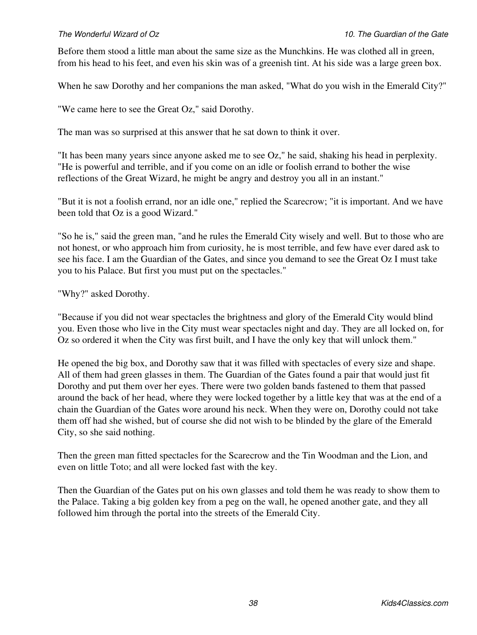Before them stood a little man about the same size as the Munchkins. He was clothed all in green, from his head to his feet, and even his skin was of a greenish tint. At his side was a large green box.

When he saw Dorothy and her companions the man asked, "What do you wish in the Emerald City?"

"We came here to see the Great Oz," said Dorothy.

The man was so surprised at this answer that he sat down to think it over.

"It has been many years since anyone asked me to see Oz," he said, shaking his head in perplexity. "He is powerful and terrible, and if you come on an idle or foolish errand to bother the wise reflections of the Great Wizard, he might be angry and destroy you all in an instant."

"But it is not a foolish errand, nor an idle one," replied the Scarecrow; "it is important. And we have been told that Oz is a good Wizard."

"So he is," said the green man, "and he rules the Emerald City wisely and well. But to those who are not honest, or who approach him from curiosity, he is most terrible, and few have ever dared ask to see his face. I am the Guardian of the Gates, and since you demand to see the Great Oz I must take you to his Palace. But first you must put on the spectacles."

### "Why?" asked Dorothy.

"Because if you did not wear spectacles the brightness and glory of the Emerald City would blind you. Even those who live in the City must wear spectacles night and day. They are all locked on, for Oz so ordered it when the City was first built, and I have the only key that will unlock them."

He opened the big box, and Dorothy saw that it was filled with spectacles of every size and shape. All of them had green glasses in them. The Guardian of the Gates found a pair that would just fit Dorothy and put them over her eyes. There were two golden bands fastened to them that passed around the back of her head, where they were locked together by a little key that was at the end of a chain the Guardian of the Gates wore around his neck. When they were on, Dorothy could not take them off had she wished, but of course she did not wish to be blinded by the glare of the Emerald City, so she said nothing.

Then the green man fitted spectacles for the Scarecrow and the Tin Woodman and the Lion, and even on little Toto; and all were locked fast with the key.

Then the Guardian of the Gates put on his own glasses and told them he was ready to show them to the Palace. Taking a big golden key from a peg on the wall, he opened another gate, and they all followed him through the portal into the streets of the Emerald City.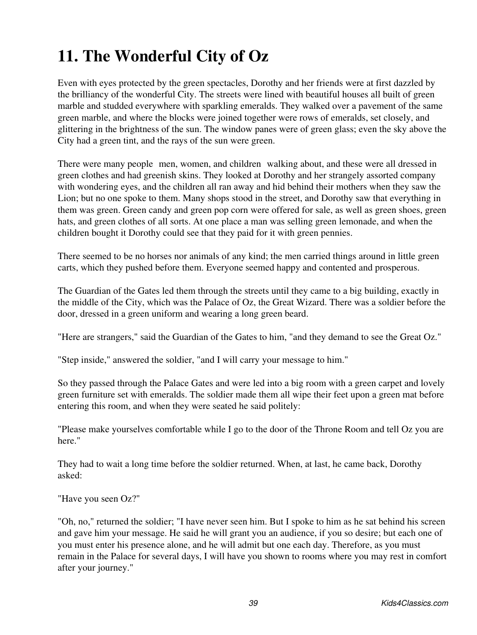# **11. The Wonderful City of Oz**

Even with eyes protected by the green spectacles, Dorothy and her friends were at first dazzled by the brilliancy of the wonderful City. The streets were lined with beautiful houses all built of green marble and studded everywhere with sparkling emeralds. They walked over a pavement of the same green marble, and where the blocks were joined together were rows of emeralds, set closely, and glittering in the brightness of the sun. The window panes were of green glass; even the sky above the City had a green tint, and the rays of the sun were green.

There were many people men, women, and children walking about, and these were all dressed in green clothes and had greenish skins. They looked at Dorothy and her strangely assorted company with wondering eyes, and the children all ran away and hid behind their mothers when they saw the Lion; but no one spoke to them. Many shops stood in the street, and Dorothy saw that everything in them was green. Green candy and green pop corn were offered for sale, as well as green shoes, green hats, and green clothes of all sorts. At one place a man was selling green lemonade, and when the children bought it Dorothy could see that they paid for it with green pennies.

There seemed to be no horses nor animals of any kind; the men carried things around in little green carts, which they pushed before them. Everyone seemed happy and contented and prosperous.

The Guardian of the Gates led them through the streets until they came to a big building, exactly in the middle of the City, which was the Palace of Oz, the Great Wizard. There was a soldier before the door, dressed in a green uniform and wearing a long green beard.

"Here are strangers," said the Guardian of the Gates to him, "and they demand to see the Great Oz."

"Step inside," answered the soldier, "and I will carry your message to him."

So they passed through the Palace Gates and were led into a big room with a green carpet and lovely green furniture set with emeralds. The soldier made them all wipe their feet upon a green mat before entering this room, and when they were seated he said politely:

"Please make yourselves comfortable while I go to the door of the Throne Room and tell Oz you are here."

They had to wait a long time before the soldier returned. When, at last, he came back, Dorothy asked:

"Have you seen Oz?"

"Oh, no," returned the soldier; "I have never seen him. But I spoke to him as he sat behind his screen and gave him your message. He said he will grant you an audience, if you so desire; but each one of you must enter his presence alone, and he will admit but one each day. Therefore, as you must remain in the Palace for several days, I will have you shown to rooms where you may rest in comfort after your journey."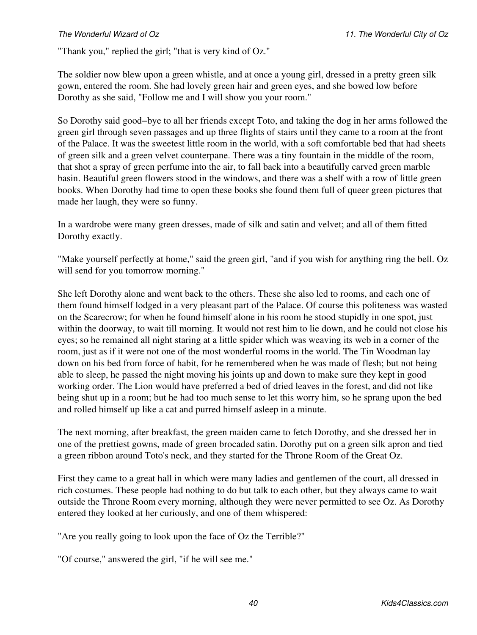"Thank you," replied the girl; "that is very kind of Oz."

The soldier now blew upon a green whistle, and at once a young girl, dressed in a pretty green silk gown, entered the room. She had lovely green hair and green eyes, and she bowed low before Dorothy as she said, "Follow me and I will show you your room."

So Dorothy said good−bye to all her friends except Toto, and taking the dog in her arms followed the green girl through seven passages and up three flights of stairs until they came to a room at the front of the Palace. It was the sweetest little room in the world, with a soft comfortable bed that had sheets of green silk and a green velvet counterpane. There was a tiny fountain in the middle of the room, that shot a spray of green perfume into the air, to fall back into a beautifully carved green marble basin. Beautiful green flowers stood in the windows, and there was a shelf with a row of little green books. When Dorothy had time to open these books she found them full of queer green pictures that made her laugh, they were so funny.

In a wardrobe were many green dresses, made of silk and satin and velvet; and all of them fitted Dorothy exactly.

"Make yourself perfectly at home," said the green girl, "and if you wish for anything ring the bell. Oz will send for you tomorrow morning."

She left Dorothy alone and went back to the others. These she also led to rooms, and each one of them found himself lodged in a very pleasant part of the Palace. Of course this politeness was wasted on the Scarecrow; for when he found himself alone in his room he stood stupidly in one spot, just within the doorway, to wait till morning. It would not rest him to lie down, and he could not close his eyes; so he remained all night staring at a little spider which was weaving its web in a corner of the room, just as if it were not one of the most wonderful rooms in the world. The Tin Woodman lay down on his bed from force of habit, for he remembered when he was made of flesh; but not being able to sleep, he passed the night moving his joints up and down to make sure they kept in good working order. The Lion would have preferred a bed of dried leaves in the forest, and did not like being shut up in a room; but he had too much sense to let this worry him, so he sprang upon the bed and rolled himself up like a cat and purred himself asleep in a minute.

The next morning, after breakfast, the green maiden came to fetch Dorothy, and she dressed her in one of the prettiest gowns, made of green brocaded satin. Dorothy put on a green silk apron and tied a green ribbon around Toto's neck, and they started for the Throne Room of the Great Oz.

First they came to a great hall in which were many ladies and gentlemen of the court, all dressed in rich costumes. These people had nothing to do but talk to each other, but they always came to wait outside the Throne Room every morning, although they were never permitted to see Oz. As Dorothy entered they looked at her curiously, and one of them whispered:

"Are you really going to look upon the face of Oz the Terrible?"

"Of course," answered the girl, "if he will see me."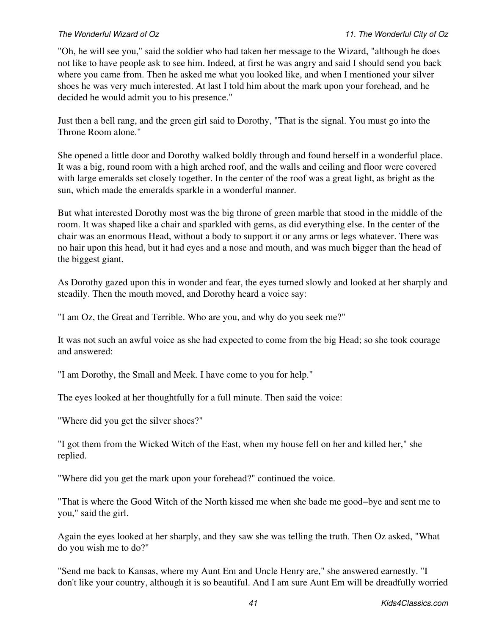"Oh, he will see you," said the soldier who had taken her message to the Wizard, "although he does not like to have people ask to see him. Indeed, at first he was angry and said I should send you back where you came from. Then he asked me what you looked like, and when I mentioned your silver shoes he was very much interested. At last I told him about the mark upon your forehead, and he decided he would admit you to his presence."

Just then a bell rang, and the green girl said to Dorothy, "That is the signal. You must go into the Throne Room alone."

She opened a little door and Dorothy walked boldly through and found herself in a wonderful place. It was a big, round room with a high arched roof, and the walls and ceiling and floor were covered with large emeralds set closely together. In the center of the roof was a great light, as bright as the sun, which made the emeralds sparkle in a wonderful manner.

But what interested Dorothy most was the big throne of green marble that stood in the middle of the room. It was shaped like a chair and sparkled with gems, as did everything else. In the center of the chair was an enormous Head, without a body to support it or any arms or legs whatever. There was no hair upon this head, but it had eyes and a nose and mouth, and was much bigger than the head of the biggest giant.

As Dorothy gazed upon this in wonder and fear, the eyes turned slowly and looked at her sharply and steadily. Then the mouth moved, and Dorothy heard a voice say:

"I am Oz, the Great and Terrible. Who are you, and why do you seek me?"

It was not such an awful voice as she had expected to come from the big Head; so she took courage and answered:

"I am Dorothy, the Small and Meek. I have come to you for help."

The eyes looked at her thoughtfully for a full minute. Then said the voice:

"Where did you get the silver shoes?"

"I got them from the Wicked Witch of the East, when my house fell on her and killed her," she replied.

"Where did you get the mark upon your forehead?" continued the voice.

"That is where the Good Witch of the North kissed me when she bade me good−bye and sent me to you," said the girl.

Again the eyes looked at her sharply, and they saw she was telling the truth. Then Oz asked, "What do you wish me to do?"

"Send me back to Kansas, where my Aunt Em and Uncle Henry are," she answered earnestly. "I don't like your country, although it is so beautiful. And I am sure Aunt Em will be dreadfully worried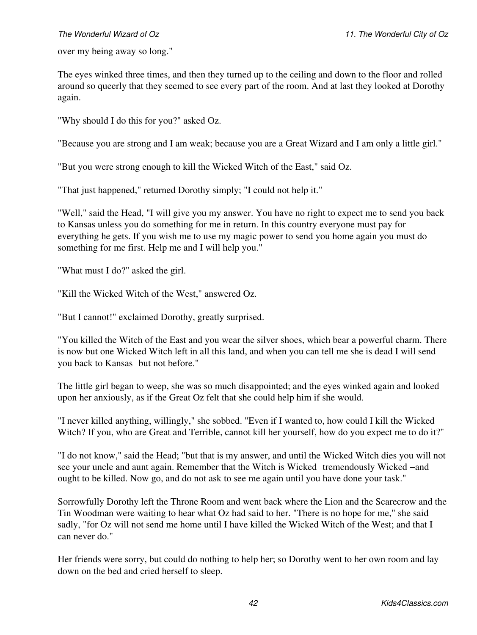over my being away so long."

The eyes winked three times, and then they turned up to the ceiling and down to the floor and rolled around so queerly that they seemed to see every part of the room. And at last they looked at Dorothy again.

"Why should I do this for you?" asked Oz.

"Because you are strong and I am weak; because you are a Great Wizard and I am only a little girl."

"But you were strong enough to kill the Wicked Witch of the East," said Oz.

"That just happened," returned Dorothy simply; "I could not help it."

"Well," said the Head, "I will give you my answer. You have no right to expect me to send you back to Kansas unless you do something for me in return. In this country everyone must pay for everything he gets. If you wish me to use my magic power to send you home again you must do something for me first. Help me and I will help you."

"What must I do?" asked the girl.

"Kill the Wicked Witch of the West," answered Oz.

"But I cannot!" exclaimed Dorothy, greatly surprised.

"You killed the Witch of the East and you wear the silver shoes, which bear a powerful charm. There is now but one Wicked Witch left in all this land, and when you can tell me she is dead I will send you back to Kansas but not before."

The little girl began to weep, she was so much disappointed; and the eyes winked again and looked upon her anxiously, as if the Great Oz felt that she could help him if she would.

"I never killed anything, willingly," she sobbed. "Even if I wanted to, how could I kill the Wicked Witch? If you, who are Great and Terrible, cannot kill her yourself, how do you expect me to do it?"

"I do not know," said the Head; "but that is my answer, and until the Wicked Witch dies you will not see your uncle and aunt again. Remember that the Witch is Wicked tremendously Wicked –and ought to be killed. Now go, and do not ask to see me again until you have done your task."

Sorrowfully Dorothy left the Throne Room and went back where the Lion and the Scarecrow and the Tin Woodman were waiting to hear what Oz had said to her. "There is no hope for me," she said sadly, "for Oz will not send me home until I have killed the Wicked Witch of the West; and that I can never do."

Her friends were sorry, but could do nothing to help her; so Dorothy went to her own room and lay down on the bed and cried herself to sleep.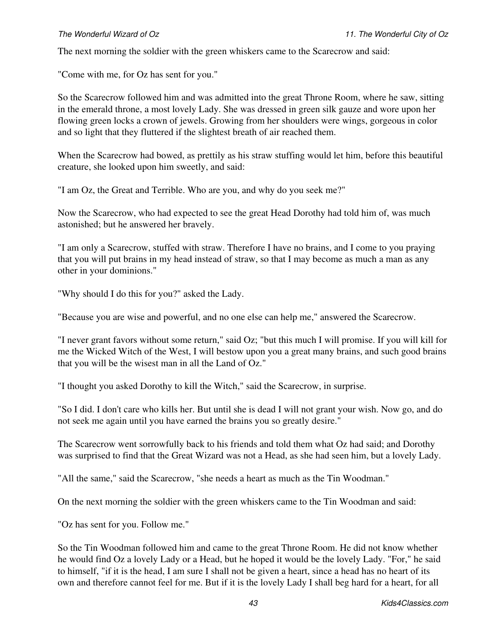The next morning the soldier with the green whiskers came to the Scarecrow and said:

"Come with me, for Oz has sent for you."

So the Scarecrow followed him and was admitted into the great Throne Room, where he saw, sitting in the emerald throne, a most lovely Lady. She was dressed in green silk gauze and wore upon her flowing green locks a crown of jewels. Growing from her shoulders were wings, gorgeous in color and so light that they fluttered if the slightest breath of air reached them.

When the Scarecrow had bowed, as prettily as his straw stuffing would let him, before this beautiful creature, she looked upon him sweetly, and said:

"I am Oz, the Great and Terrible. Who are you, and why do you seek me?"

Now the Scarecrow, who had expected to see the great Head Dorothy had told him of, was much astonished; but he answered her bravely.

"I am only a Scarecrow, stuffed with straw. Therefore I have no brains, and I come to you praying that you will put brains in my head instead of straw, so that I may become as much a man as any other in your dominions."

"Why should I do this for you?" asked the Lady.

"Because you are wise and powerful, and no one else can help me," answered the Scarecrow.

"I never grant favors without some return," said Oz; "but this much I will promise. If you will kill for me the Wicked Witch of the West, I will bestow upon you a great many brains, and such good brains that you will be the wisest man in all the Land of Oz."

"I thought you asked Dorothy to kill the Witch," said the Scarecrow, in surprise.

"So I did. I don't care who kills her. But until she is dead I will not grant your wish. Now go, and do not seek me again until you have earned the brains you so greatly desire."

The Scarecrow went sorrowfully back to his friends and told them what Oz had said; and Dorothy was surprised to find that the Great Wizard was not a Head, as she had seen him, but a lovely Lady.

"All the same," said the Scarecrow, "she needs a heart as much as the Tin Woodman."

On the next morning the soldier with the green whiskers came to the Tin Woodman and said:

"Oz has sent for you. Follow me."

So the Tin Woodman followed him and came to the great Throne Room. He did not know whether he would find Oz a lovely Lady or a Head, but he hoped it would be the lovely Lady. "For," he said to himself, "if it is the head, I am sure I shall not be given a heart, since a head has no heart of its own and therefore cannot feel for me. But if it is the lovely Lady I shall beg hard for a heart, for all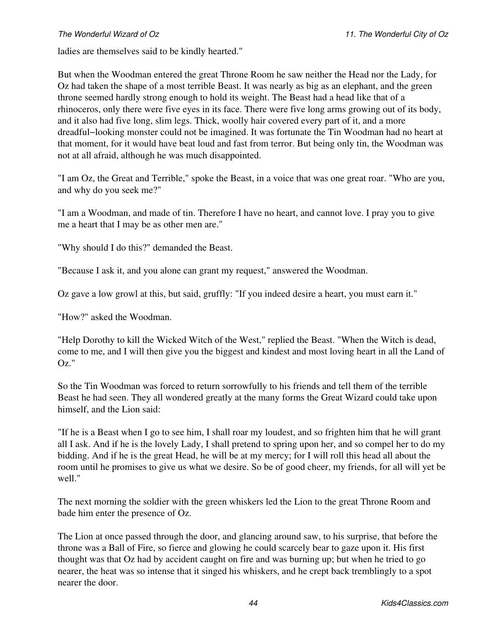ladies are themselves said to be kindly hearted."

But when the Woodman entered the great Throne Room he saw neither the Head nor the Lady, for Oz had taken the shape of a most terrible Beast. It was nearly as big as an elephant, and the green throne seemed hardly strong enough to hold its weight. The Beast had a head like that of a rhinoceros, only there were five eyes in its face. There were five long arms growing out of its body, and it also had five long, slim legs. Thick, woolly hair covered every part of it, and a more dreadful−looking monster could not be imagined. It was fortunate the Tin Woodman had no heart at that moment, for it would have beat loud and fast from terror. But being only tin, the Woodman was not at all afraid, although he was much disappointed.

"I am Oz, the Great and Terrible," spoke the Beast, in a voice that was one great roar. "Who are you, and why do you seek me?"

"I am a Woodman, and made of tin. Therefore I have no heart, and cannot love. I pray you to give me a heart that I may be as other men are."

"Why should I do this?" demanded the Beast.

"Because I ask it, and you alone can grant my request," answered the Woodman.

Oz gave a low growl at this, but said, gruffly: "If you indeed desire a heart, you must earn it."

"How?" asked the Woodman.

"Help Dorothy to kill the Wicked Witch of the West," replied the Beast. "When the Witch is dead, come to me, and I will then give you the biggest and kindest and most loving heart in all the Land of Oz."

So the Tin Woodman was forced to return sorrowfully to his friends and tell them of the terrible Beast he had seen. They all wondered greatly at the many forms the Great Wizard could take upon himself, and the Lion said:

"If he is a Beast when I go to see him, I shall roar my loudest, and so frighten him that he will grant all I ask. And if he is the lovely Lady, I shall pretend to spring upon her, and so compel her to do my bidding. And if he is the great Head, he will be at my mercy; for I will roll this head all about the room until he promises to give us what we desire. So be of good cheer, my friends, for all will yet be well."

The next morning the soldier with the green whiskers led the Lion to the great Throne Room and bade him enter the presence of Oz.

The Lion at once passed through the door, and glancing around saw, to his surprise, that before the throne was a Ball of Fire, so fierce and glowing he could scarcely bear to gaze upon it. His first thought was that Oz had by accident caught on fire and was burning up; but when he tried to go nearer, the heat was so intense that it singed his whiskers, and he crept back tremblingly to a spot nearer the door.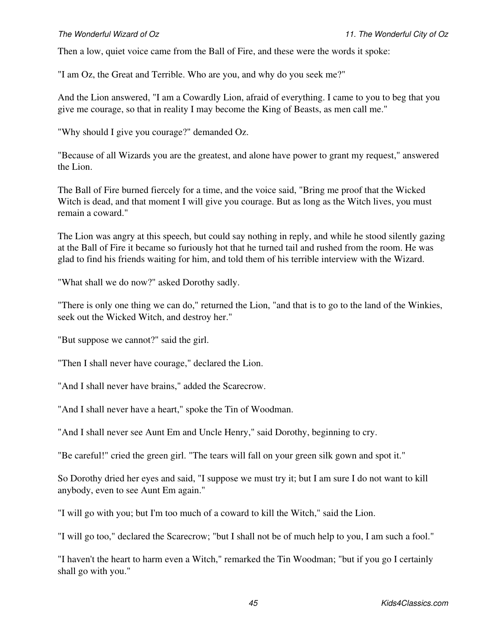Then a low, quiet voice came from the Ball of Fire, and these were the words it spoke:

"I am Oz, the Great and Terrible. Who are you, and why do you seek me?"

And the Lion answered, "I am a Cowardly Lion, afraid of everything. I came to you to beg that you give me courage, so that in reality I may become the King of Beasts, as men call me."

"Why should I give you courage?" demanded Oz.

"Because of all Wizards you are the greatest, and alone have power to grant my request," answered the Lion.

The Ball of Fire burned fiercely for a time, and the voice said, "Bring me proof that the Wicked Witch is dead, and that moment I will give you courage. But as long as the Witch lives, you must remain a coward."

The Lion was angry at this speech, but could say nothing in reply, and while he stood silently gazing at the Ball of Fire it became so furiously hot that he turned tail and rushed from the room. He was glad to find his friends waiting for him, and told them of his terrible interview with the Wizard.

"What shall we do now?" asked Dorothy sadly.

"There is only one thing we can do," returned the Lion, "and that is to go to the land of the Winkies, seek out the Wicked Witch, and destroy her."

"But suppose we cannot?" said the girl.

"Then I shall never have courage," declared the Lion.

"And I shall never have brains," added the Scarecrow.

"And I shall never have a heart," spoke the Tin of Woodman.

"And I shall never see Aunt Em and Uncle Henry," said Dorothy, beginning to cry.

"Be careful!" cried the green girl. "The tears will fall on your green silk gown and spot it."

So Dorothy dried her eyes and said, "I suppose we must try it; but I am sure I do not want to kill anybody, even to see Aunt Em again."

"I will go with you; but I'm too much of a coward to kill the Witch," said the Lion.

"I will go too," declared the Scarecrow; "but I shall not be of much help to you, I am such a fool."

"I haven't the heart to harm even a Witch," remarked the Tin Woodman; "but if you go I certainly shall go with you."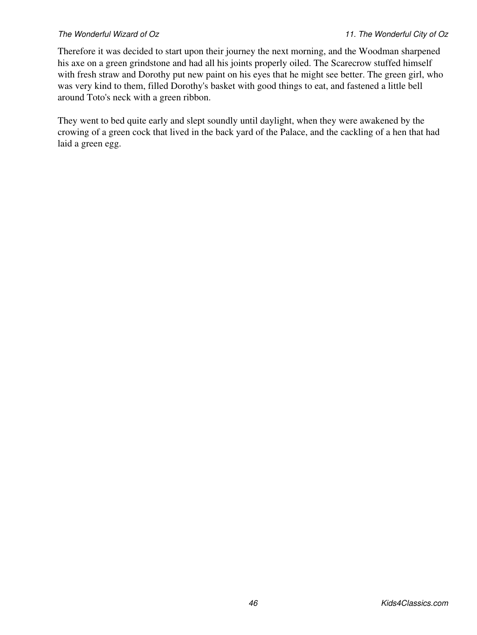Therefore it was decided to start upon their journey the next morning, and the Woodman sharpened his axe on a green grindstone and had all his joints properly oiled. The Scarecrow stuffed himself with fresh straw and Dorothy put new paint on his eyes that he might see better. The green girl, who was very kind to them, filled Dorothy's basket with good things to eat, and fastened a little bell around Toto's neck with a green ribbon.

They went to bed quite early and slept soundly until daylight, when they were awakened by the crowing of a green cock that lived in the back yard of the Palace, and the cackling of a hen that had laid a green egg.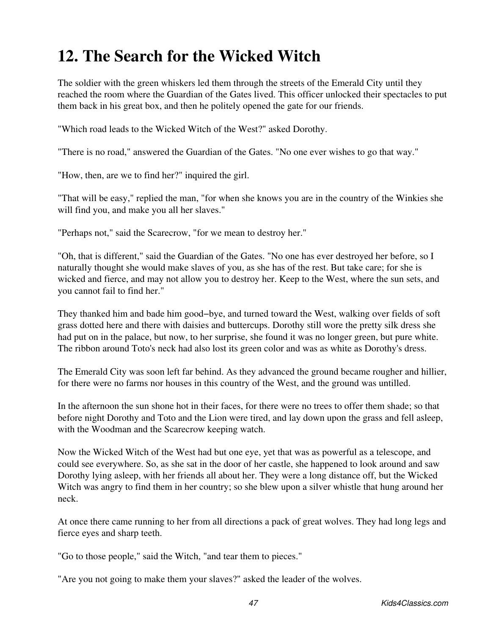## **12. The Search for the Wicked Witch**

The soldier with the green whiskers led them through the streets of the Emerald City until they reached the room where the Guardian of the Gates lived. This officer unlocked their spectacles to put them back in his great box, and then he politely opened the gate for our friends.

"Which road leads to the Wicked Witch of the West?" asked Dorothy.

"There is no road," answered the Guardian of the Gates. "No one ever wishes to go that way."

"How, then, are we to find her?" inquired the girl.

"That will be easy," replied the man, "for when she knows you are in the country of the Winkies she will find you, and make you all her slaves."

"Perhaps not," said the Scarecrow, "for we mean to destroy her."

"Oh, that is different," said the Guardian of the Gates. "No one has ever destroyed her before, so I naturally thought she would make slaves of you, as she has of the rest. But take care; for she is wicked and fierce, and may not allow you to destroy her. Keep to the West, where the sun sets, and you cannot fail to find her."

They thanked him and bade him good−bye, and turned toward the West, walking over fields of soft grass dotted here and there with daisies and buttercups. Dorothy still wore the pretty silk dress she had put on in the palace, but now, to her surprise, she found it was no longer green, but pure white. The ribbon around Toto's neck had also lost its green color and was as white as Dorothy's dress.

The Emerald City was soon left far behind. As they advanced the ground became rougher and hillier, for there were no farms nor houses in this country of the West, and the ground was untilled.

In the afternoon the sun shone hot in their faces, for there were no trees to offer them shade; so that before night Dorothy and Toto and the Lion were tired, and lay down upon the grass and fell asleep, with the Woodman and the Scarecrow keeping watch.

Now the Wicked Witch of the West had but one eye, yet that was as powerful as a telescope, and could see everywhere. So, as she sat in the door of her castle, she happened to look around and saw Dorothy lying asleep, with her friends all about her. They were a long distance off, but the Wicked Witch was angry to find them in her country; so she blew upon a silver whistle that hung around her neck.

At once there came running to her from all directions a pack of great wolves. They had long legs and fierce eyes and sharp teeth.

"Go to those people," said the Witch, "and tear them to pieces."

"Are you not going to make them your slaves?" asked the leader of the wolves.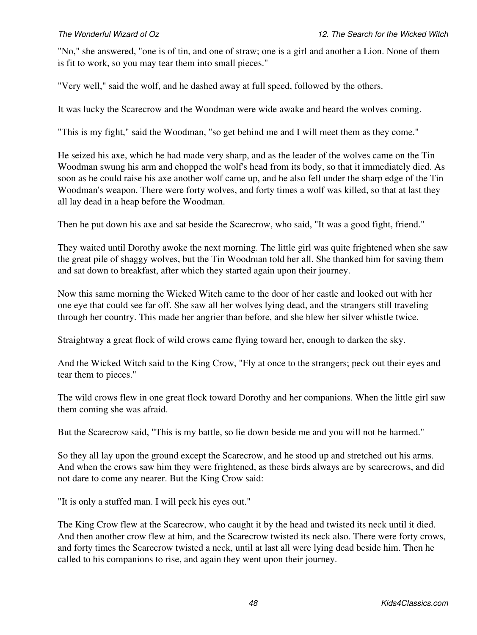"No," she answered, "one is of tin, and one of straw; one is a girl and another a Lion. None of them is fit to work, so you may tear them into small pieces."

"Very well," said the wolf, and he dashed away at full speed, followed by the others.

It was lucky the Scarecrow and the Woodman were wide awake and heard the wolves coming.

"This is my fight," said the Woodman, "so get behind me and I will meet them as they come."

He seized his axe, which he had made very sharp, and as the leader of the wolves came on the Tin Woodman swung his arm and chopped the wolf's head from its body, so that it immediately died. As soon as he could raise his axe another wolf came up, and he also fell under the sharp edge of the Tin Woodman's weapon. There were forty wolves, and forty times a wolf was killed, so that at last they all lay dead in a heap before the Woodman.

Then he put down his axe and sat beside the Scarecrow, who said, "It was a good fight, friend."

They waited until Dorothy awoke the next morning. The little girl was quite frightened when she saw the great pile of shaggy wolves, but the Tin Woodman told her all. She thanked him for saving them and sat down to breakfast, after which they started again upon their journey.

Now this same morning the Wicked Witch came to the door of her castle and looked out with her one eye that could see far off. She saw all her wolves lying dead, and the strangers still traveling through her country. This made her angrier than before, and she blew her silver whistle twice.

Straightway a great flock of wild crows came flying toward her, enough to darken the sky.

And the Wicked Witch said to the King Crow, "Fly at once to the strangers; peck out their eyes and tear them to pieces."

The wild crows flew in one great flock toward Dorothy and her companions. When the little girl saw them coming she was afraid.

But the Scarecrow said, "This is my battle, so lie down beside me and you will not be harmed."

So they all lay upon the ground except the Scarecrow, and he stood up and stretched out his arms. And when the crows saw him they were frightened, as these birds always are by scarecrows, and did not dare to come any nearer. But the King Crow said:

"It is only a stuffed man. I will peck his eyes out."

The King Crow flew at the Scarecrow, who caught it by the head and twisted its neck until it died. And then another crow flew at him, and the Scarecrow twisted its neck also. There were forty crows, and forty times the Scarecrow twisted a neck, until at last all were lying dead beside him. Then he called to his companions to rise, and again they went upon their journey.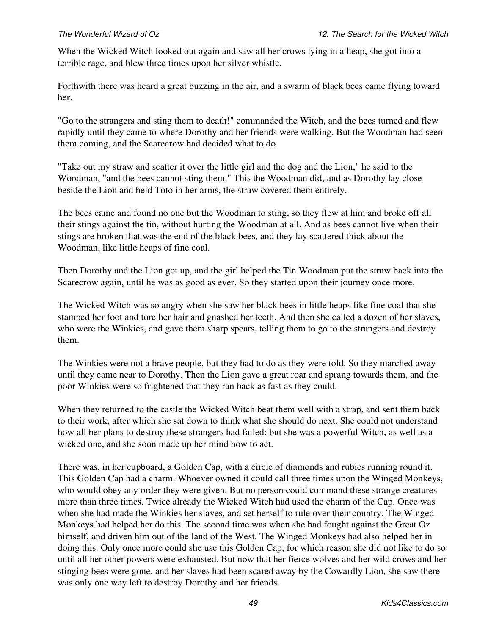When the Wicked Witch looked out again and saw all her crows lying in a heap, she got into a terrible rage, and blew three times upon her silver whistle.

Forthwith there was heard a great buzzing in the air, and a swarm of black bees came flying toward her.

"Go to the strangers and sting them to death!" commanded the Witch, and the bees turned and flew rapidly until they came to where Dorothy and her friends were walking. But the Woodman had seen them coming, and the Scarecrow had decided what to do.

"Take out my straw and scatter it over the little girl and the dog and the Lion," he said to the Woodman, "and the bees cannot sting them." This the Woodman did, and as Dorothy lay close beside the Lion and held Toto in her arms, the straw covered them entirely.

The bees came and found no one but the Woodman to sting, so they flew at him and broke off all their stings against the tin, without hurting the Woodman at all. And as bees cannot live when their stings are broken that was the end of the black bees, and they lay scattered thick about the Woodman, like little heaps of fine coal.

Then Dorothy and the Lion got up, and the girl helped the Tin Woodman put the straw back into the Scarecrow again, until he was as good as ever. So they started upon their journey once more.

The Wicked Witch was so angry when she saw her black bees in little heaps like fine coal that she stamped her foot and tore her hair and gnashed her teeth. And then she called a dozen of her slaves, who were the Winkies, and gave them sharp spears, telling them to go to the strangers and destroy them.

The Winkies were not a brave people, but they had to do as they were told. So they marched away until they came near to Dorothy. Then the Lion gave a great roar and sprang towards them, and the poor Winkies were so frightened that they ran back as fast as they could.

When they returned to the castle the Wicked Witch beat them well with a strap, and sent them back to their work, after which she sat down to think what she should do next. She could not understand how all her plans to destroy these strangers had failed; but she was a powerful Witch, as well as a wicked one, and she soon made up her mind how to act.

There was, in her cupboard, a Golden Cap, with a circle of diamonds and rubies running round it. This Golden Cap had a charm. Whoever owned it could call three times upon the Winged Monkeys, who would obey any order they were given. But no person could command these strange creatures more than three times. Twice already the Wicked Witch had used the charm of the Cap. Once was when she had made the Winkies her slaves, and set herself to rule over their country. The Winged Monkeys had helped her do this. The second time was when she had fought against the Great Oz himself, and driven him out of the land of the West. The Winged Monkeys had also helped her in doing this. Only once more could she use this Golden Cap, for which reason she did not like to do so until all her other powers were exhausted. But now that her fierce wolves and her wild crows and her stinging bees were gone, and her slaves had been scared away by the Cowardly Lion, she saw there was only one way left to destroy Dorothy and her friends.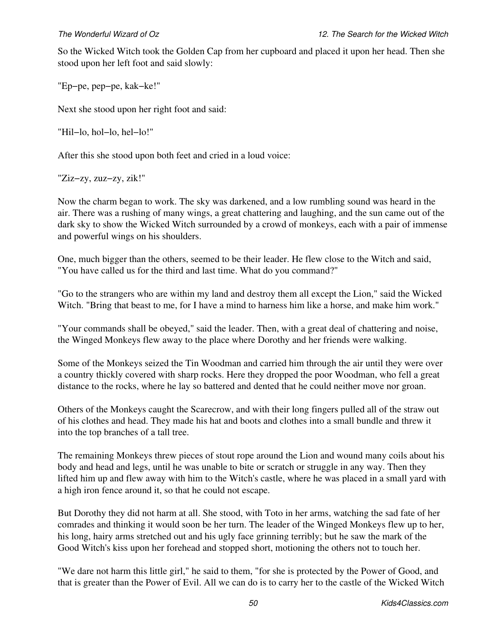So the Wicked Witch took the Golden Cap from her cupboard and placed it upon her head. Then she stood upon her left foot and said slowly:

"Ep−pe, pep−pe, kak−ke!"

Next she stood upon her right foot and said:

"Hil−lo, hol−lo, hel−lo!"

After this she stood upon both feet and cried in a loud voice:

"Ziz−zy, zuz−zy, zik!"

Now the charm began to work. The sky was darkened, and a low rumbling sound was heard in the air. There was a rushing of many wings, a great chattering and laughing, and the sun came out of the dark sky to show the Wicked Witch surrounded by a crowd of monkeys, each with a pair of immense and powerful wings on his shoulders.

One, much bigger than the others, seemed to be their leader. He flew close to the Witch and said, "You have called us for the third and last time. What do you command?"

"Go to the strangers who are within my land and destroy them all except the Lion," said the Wicked Witch. "Bring that beast to me, for I have a mind to harness him like a horse, and make him work."

"Your commands shall be obeyed," said the leader. Then, with a great deal of chattering and noise, the Winged Monkeys flew away to the place where Dorothy and her friends were walking.

Some of the Monkeys seized the Tin Woodman and carried him through the air until they were over a country thickly covered with sharp rocks. Here they dropped the poor Woodman, who fell a great distance to the rocks, where he lay so battered and dented that he could neither move nor groan.

Others of the Monkeys caught the Scarecrow, and with their long fingers pulled all of the straw out of his clothes and head. They made his hat and boots and clothes into a small bundle and threw it into the top branches of a tall tree.

The remaining Monkeys threw pieces of stout rope around the Lion and wound many coils about his body and head and legs, until he was unable to bite or scratch or struggle in any way. Then they lifted him up and flew away with him to the Witch's castle, where he was placed in a small yard with a high iron fence around it, so that he could not escape.

But Dorothy they did not harm at all. She stood, with Toto in her arms, watching the sad fate of her comrades and thinking it would soon be her turn. The leader of the Winged Monkeys flew up to her, his long, hairy arms stretched out and his ugly face grinning terribly; but he saw the mark of the Good Witch's kiss upon her forehead and stopped short, motioning the others not to touch her.

"We dare not harm this little girl," he said to them, "for she is protected by the Power of Good, and that is greater than the Power of Evil. All we can do is to carry her to the castle of the Wicked Witch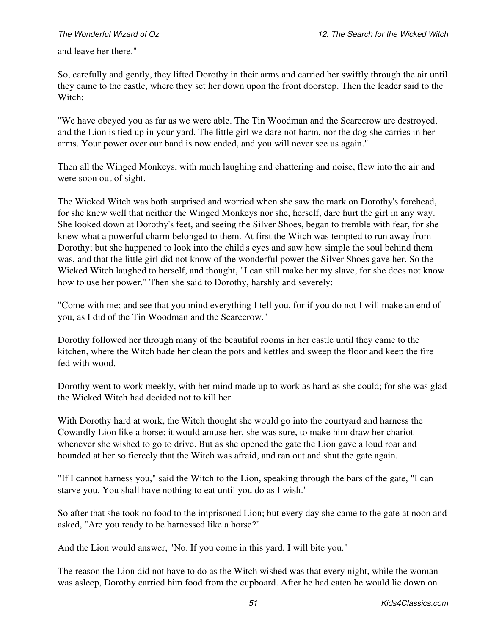and leave her there."

So, carefully and gently, they lifted Dorothy in their arms and carried her swiftly through the air until they came to the castle, where they set her down upon the front doorstep. Then the leader said to the Witch:

"We have obeyed you as far as we were able. The Tin Woodman and the Scarecrow are destroyed, and the Lion is tied up in your yard. The little girl we dare not harm, nor the dog she carries in her arms. Your power over our band is now ended, and you will never see us again."

Then all the Winged Monkeys, with much laughing and chattering and noise, flew into the air and were soon out of sight.

The Wicked Witch was both surprised and worried when she saw the mark on Dorothy's forehead, for she knew well that neither the Winged Monkeys nor she, herself, dare hurt the girl in any way. She looked down at Dorothy's feet, and seeing the Silver Shoes, began to tremble with fear, for she knew what a powerful charm belonged to them. At first the Witch was tempted to run away from Dorothy; but she happened to look into the child's eyes and saw how simple the soul behind them was, and that the little girl did not know of the wonderful power the Silver Shoes gave her. So the Wicked Witch laughed to herself, and thought, "I can still make her my slave, for she does not know how to use her power." Then she said to Dorothy, harshly and severely:

"Come with me; and see that you mind everything I tell you, for if you do not I will make an end of you, as I did of the Tin Woodman and the Scarecrow."

Dorothy followed her through many of the beautiful rooms in her castle until they came to the kitchen, where the Witch bade her clean the pots and kettles and sweep the floor and keep the fire fed with wood.

Dorothy went to work meekly, with her mind made up to work as hard as she could; for she was glad the Wicked Witch had decided not to kill her.

With Dorothy hard at work, the Witch thought she would go into the courtyard and harness the Cowardly Lion like a horse; it would amuse her, she was sure, to make him draw her chariot whenever she wished to go to drive. But as she opened the gate the Lion gave a loud roar and bounded at her so fiercely that the Witch was afraid, and ran out and shut the gate again.

"If I cannot harness you," said the Witch to the Lion, speaking through the bars of the gate, "I can starve you. You shall have nothing to eat until you do as I wish."

So after that she took no food to the imprisoned Lion; but every day she came to the gate at noon and asked, "Are you ready to be harnessed like a horse?"

And the Lion would answer, "No. If you come in this yard, I will bite you."

The reason the Lion did not have to do as the Witch wished was that every night, while the woman was asleep, Dorothy carried him food from the cupboard. After he had eaten he would lie down on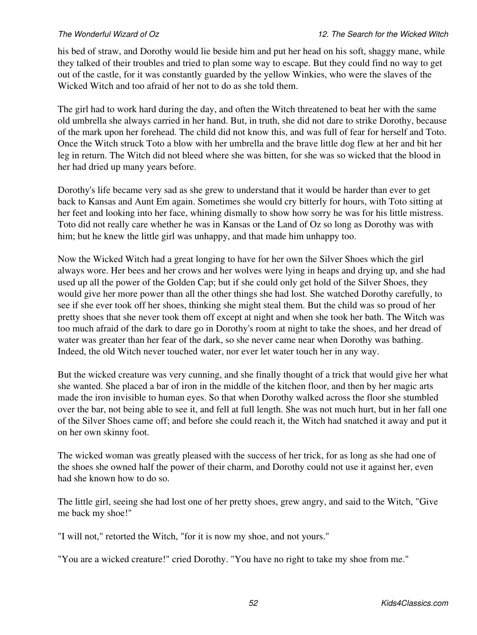his bed of straw, and Dorothy would lie beside him and put her head on his soft, shaggy mane, while they talked of their troubles and tried to plan some way to escape. But they could find no way to get out of the castle, for it was constantly guarded by the yellow Winkies, who were the slaves of the Wicked Witch and too afraid of her not to do as she told them.

The girl had to work hard during the day, and often the Witch threatened to beat her with the same old umbrella she always carried in her hand. But, in truth, she did not dare to strike Dorothy, because of the mark upon her forehead. The child did not know this, and was full of fear for herself and Toto. Once the Witch struck Toto a blow with her umbrella and the brave little dog flew at her and bit her leg in return. The Witch did not bleed where she was bitten, for she was so wicked that the blood in her had dried up many years before.

Dorothy's life became very sad as she grew to understand that it would be harder than ever to get back to Kansas and Aunt Em again. Sometimes she would cry bitterly for hours, with Toto sitting at her feet and looking into her face, whining dismally to show how sorry he was for his little mistress. Toto did not really care whether he was in Kansas or the Land of Oz so long as Dorothy was with him; but he knew the little girl was unhappy, and that made him unhappy too.

Now the Wicked Witch had a great longing to have for her own the Silver Shoes which the girl always wore. Her bees and her crows and her wolves were lying in heaps and drying up, and she had used up all the power of the Golden Cap; but if she could only get hold of the Silver Shoes, they would give her more power than all the other things she had lost. She watched Dorothy carefully, to see if she ever took off her shoes, thinking she might steal them. But the child was so proud of her pretty shoes that she never took them off except at night and when she took her bath. The Witch was too much afraid of the dark to dare go in Dorothy's room at night to take the shoes, and her dread of water was greater than her fear of the dark, so she never came near when Dorothy was bathing. Indeed, the old Witch never touched water, nor ever let water touch her in any way.

But the wicked creature was very cunning, and she finally thought of a trick that would give her what she wanted. She placed a bar of iron in the middle of the kitchen floor, and then by her magic arts made the iron invisible to human eyes. So that when Dorothy walked across the floor she stumbled over the bar, not being able to see it, and fell at full length. She was not much hurt, but in her fall one of the Silver Shoes came off; and before she could reach it, the Witch had snatched it away and put it on her own skinny foot.

The wicked woman was greatly pleased with the success of her trick, for as long as she had one of the shoes she owned half the power of their charm, and Dorothy could not use it against her, even had she known how to do so.

The little girl, seeing she had lost one of her pretty shoes, grew angry, and said to the Witch, "Give me back my shoe!"

"I will not," retorted the Witch, "for it is now my shoe, and not yours."

"You are a wicked creature!" cried Dorothy. "You have no right to take my shoe from me."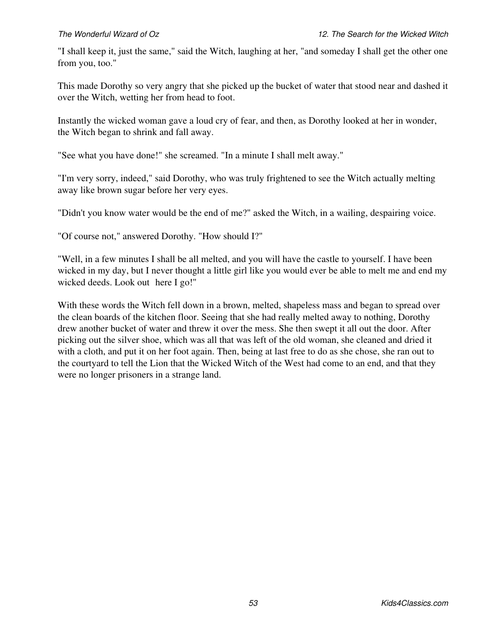"I shall keep it, just the same," said the Witch, laughing at her, "and someday I shall get the other one from you, too."

This made Dorothy so very angry that she picked up the bucket of water that stood near and dashed it over the Witch, wetting her from head to foot.

Instantly the wicked woman gave a loud cry of fear, and then, as Dorothy looked at her in wonder, the Witch began to shrink and fall away.

"See what you have done!" she screamed. "In a minute I shall melt away."

"I'm very sorry, indeed," said Dorothy, who was truly frightened to see the Witch actually melting away like brown sugar before her very eyes.

"Didn't you know water would be the end of me?" asked the Witch, in a wailing, despairing voice.

"Of course not," answered Dorothy. "How should I?"

"Well, in a few minutes I shall be all melted, and you will have the castle to yourself. I have been wicked in my day, but I never thought a little girl like you would ever be able to melt me and end my wicked deeds. Look out here I go!"

With these words the Witch fell down in a brown, melted, shapeless mass and began to spread over the clean boards of the kitchen floor. Seeing that she had really melted away to nothing, Dorothy drew another bucket of water and threw it over the mess. She then swept it all out the door. After picking out the silver shoe, which was all that was left of the old woman, she cleaned and dried it with a cloth, and put it on her foot again. Then, being at last free to do as she chose, she ran out to the courtyard to tell the Lion that the Wicked Witch of the West had come to an end, and that they were no longer prisoners in a strange land.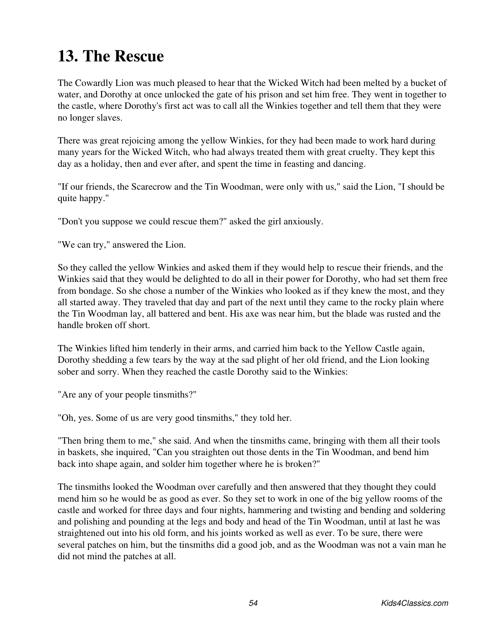# **13. The Rescue**

The Cowardly Lion was much pleased to hear that the Wicked Witch had been melted by a bucket of water, and Dorothy at once unlocked the gate of his prison and set him free. They went in together to the castle, where Dorothy's first act was to call all the Winkies together and tell them that they were no longer slaves.

There was great rejoicing among the yellow Winkies, for they had been made to work hard during many years for the Wicked Witch, who had always treated them with great cruelty. They kept this day as a holiday, then and ever after, and spent the time in feasting and dancing.

"If our friends, the Scarecrow and the Tin Woodman, were only with us," said the Lion, "I should be quite happy."

"Don't you suppose we could rescue them?" asked the girl anxiously.

"We can try," answered the Lion.

So they called the yellow Winkies and asked them if they would help to rescue their friends, and the Winkies said that they would be delighted to do all in their power for Dorothy, who had set them free from bondage. So she chose a number of the Winkies who looked as if they knew the most, and they all started away. They traveled that day and part of the next until they came to the rocky plain where the Tin Woodman lay, all battered and bent. His axe was near him, but the blade was rusted and the handle broken off short.

The Winkies lifted him tenderly in their arms, and carried him back to the Yellow Castle again, Dorothy shedding a few tears by the way at the sad plight of her old friend, and the Lion looking sober and sorry. When they reached the castle Dorothy said to the Winkies:

"Are any of your people tinsmiths?"

"Oh, yes. Some of us are very good tinsmiths," they told her.

"Then bring them to me," she said. And when the tinsmiths came, bringing with them all their tools in baskets, she inquired, "Can you straighten out those dents in the Tin Woodman, and bend him back into shape again, and solder him together where he is broken?"

The tinsmiths looked the Woodman over carefully and then answered that they thought they could mend him so he would be as good as ever. So they set to work in one of the big yellow rooms of the castle and worked for three days and four nights, hammering and twisting and bending and soldering and polishing and pounding at the legs and body and head of the Tin Woodman, until at last he was straightened out into his old form, and his joints worked as well as ever. To be sure, there were several patches on him, but the tinsmiths did a good job, and as the Woodman was not a vain man he did not mind the patches at all.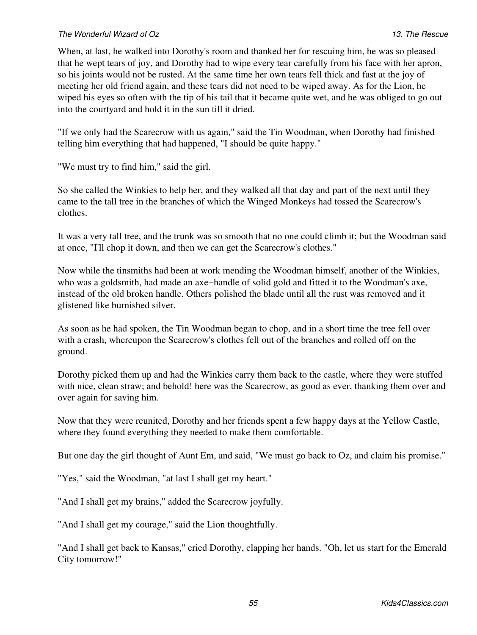### *The Wonderful Wizard of Oz 13. The Rescue*

When, at last, he walked into Dorothy's room and thanked her for rescuing him, he was so pleased that he wept tears of joy, and Dorothy had to wipe every tear carefully from his face with her apron, so his joints would not be rusted. At the same time her own tears fell thick and fast at the joy of meeting her old friend again, and these tears did not need to be wiped away. As for the Lion, he wiped his eyes so often with the tip of his tail that it became quite wet, and he was obliged to go out into the courtyard and hold it in the sun till it dried.

"If we only had the Scarecrow with us again," said the Tin Woodman, when Dorothy had finished telling him everything that had happened, "I should be quite happy."

"We must try to find him," said the girl.

So she called the Winkies to help her, and they walked all that day and part of the next until they came to the tall tree in the branches of which the Winged Monkeys had tossed the Scarecrow's clothes.

It was a very tall tree, and the trunk was so smooth that no one could climb it; but the Woodman said at once, "I'll chop it down, and then we can get the Scarecrow's clothes."

Now while the tinsmiths had been at work mending the Woodman himself, another of the Winkies, who was a goldsmith, had made an axe−handle of solid gold and fitted it to the Woodman's axe, instead of the old broken handle. Others polished the blade until all the rust was removed and it glistened like burnished silver.

As soon as he had spoken, the Tin Woodman began to chop, and in a short time the tree fell over with a crash, whereupon the Scarecrow's clothes fell out of the branches and rolled off on the ground.

Dorothy picked them up and had the Winkies carry them back to the castle, where they were stuffed with nice, clean straw; and behold! here was the Scarecrow, as good as ever, thanking them over and over again for saving him.

Now that they were reunited, Dorothy and her friends spent a few happy days at the Yellow Castle, where they found everything they needed to make them comfortable.

But one day the girl thought of Aunt Em, and said, "We must go back to Oz, and claim his promise."

"Yes," said the Woodman, "at last I shall get my heart."

"And I shall get my brains," added the Scarecrow joyfully.

"And I shall get my courage," said the Lion thoughtfully.

"And I shall get back to Kansas," cried Dorothy, clapping her hands. "Oh, let us start for the Emerald City tomorrow!"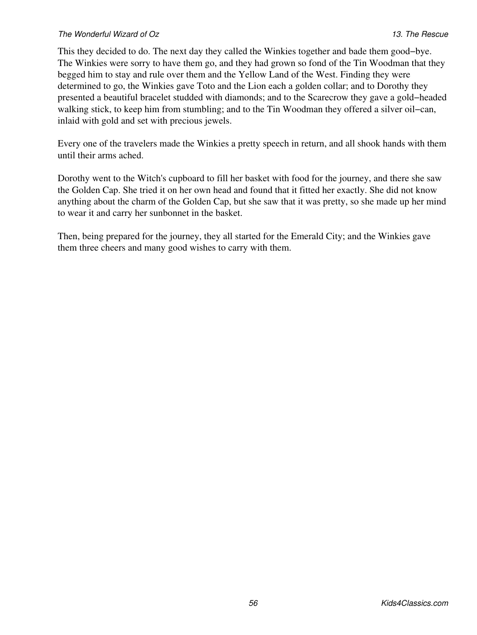### *The Wonderful Wizard of Oz 13. The Rescue*

This they decided to do. The next day they called the Winkies together and bade them good−bye. The Winkies were sorry to have them go, and they had grown so fond of the Tin Woodman that they begged him to stay and rule over them and the Yellow Land of the West. Finding they were determined to go, the Winkies gave Toto and the Lion each a golden collar; and to Dorothy they presented a beautiful bracelet studded with diamonds; and to the Scarecrow they gave a gold−headed walking stick, to keep him from stumbling; and to the Tin Woodman they offered a silver oil−can, inlaid with gold and set with precious jewels.

Every one of the travelers made the Winkies a pretty speech in return, and all shook hands with them until their arms ached.

Dorothy went to the Witch's cupboard to fill her basket with food for the journey, and there she saw the Golden Cap. She tried it on her own head and found that it fitted her exactly. She did not know anything about the charm of the Golden Cap, but she saw that it was pretty, so she made up her mind to wear it and carry her sunbonnet in the basket.

Then, being prepared for the journey, they all started for the Emerald City; and the Winkies gave them three cheers and many good wishes to carry with them.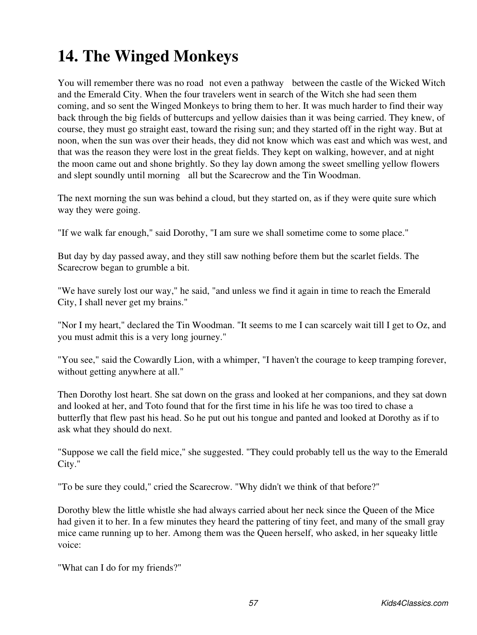# **14. The Winged Monkeys**

You will remember there was no road not even a pathway between the castle of the Wicked Witch and the Emerald City. When the four travelers went in search of the Witch she had seen them coming, and so sent the Winged Monkeys to bring them to her. It was much harder to find their way back through the big fields of buttercups and yellow daisies than it was being carried. They knew, of course, they must go straight east, toward the rising sun; and they started off in the right way. But at noon, when the sun was over their heads, they did not know which was east and which was west, and that was the reason they were lost in the great fields. They kept on walking, however, and at night the moon came out and shone brightly. So they lay down among the sweet smelling yellow flowers and slept soundly until morning all but the Scarecrow and the Tin Woodman.

The next morning the sun was behind a cloud, but they started on, as if they were quite sure which way they were going.

"If we walk far enough," said Dorothy, "I am sure we shall sometime come to some place."

But day by day passed away, and they still saw nothing before them but the scarlet fields. The Scarecrow began to grumble a bit.

"We have surely lost our way," he said, "and unless we find it again in time to reach the Emerald City, I shall never get my brains."

"Nor I my heart," declared the Tin Woodman. "It seems to me I can scarcely wait till I get to Oz, and you must admit this is a very long journey."

"You see," said the Cowardly Lion, with a whimper, "I haven't the courage to keep tramping forever, without getting anywhere at all."

Then Dorothy lost heart. She sat down on the grass and looked at her companions, and they sat down and looked at her, and Toto found that for the first time in his life he was too tired to chase a butterfly that flew past his head. So he put out his tongue and panted and looked at Dorothy as if to ask what they should do next.

"Suppose we call the field mice," she suggested. "They could probably tell us the way to the Emerald City."

"To be sure they could," cried the Scarecrow. "Why didn't we think of that before?"

Dorothy blew the little whistle she had always carried about her neck since the Queen of the Mice had given it to her. In a few minutes they heard the pattering of tiny feet, and many of the small gray mice came running up to her. Among them was the Queen herself, who asked, in her squeaky little voice:

"What can I do for my friends?"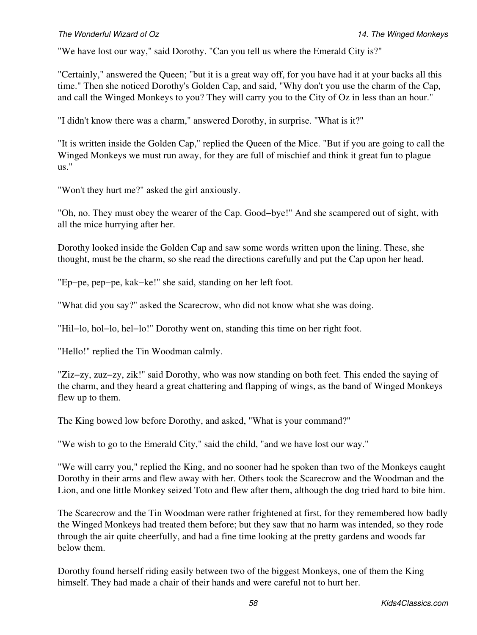"We have lost our way," said Dorothy. "Can you tell us where the Emerald City is?"

"Certainly," answered the Queen; "but it is a great way off, for you have had it at your backs all this time." Then she noticed Dorothy's Golden Cap, and said, "Why don't you use the charm of the Cap, and call the Winged Monkeys to you? They will carry you to the City of Oz in less than an hour."

"I didn't know there was a charm," answered Dorothy, in surprise. "What is it?"

"It is written inside the Golden Cap," replied the Queen of the Mice. "But if you are going to call the Winged Monkeys we must run away, for they are full of mischief and think it great fun to plague us."

"Won't they hurt me?" asked the girl anxiously.

"Oh, no. They must obey the wearer of the Cap. Good−bye!" And she scampered out of sight, with all the mice hurrying after her.

Dorothy looked inside the Golden Cap and saw some words written upon the lining. These, she thought, must be the charm, so she read the directions carefully and put the Cap upon her head.

"Ep−pe, pep−pe, kak−ke!" she said, standing on her left foot.

"What did you say?" asked the Scarecrow, who did not know what she was doing.

"Hil−lo, hol−lo, hel−lo!" Dorothy went on, standing this time on her right foot.

"Hello!" replied the Tin Woodman calmly.

"Ziz−zy, zuz−zy, zik!" said Dorothy, who was now standing on both feet. This ended the saying of the charm, and they heard a great chattering and flapping of wings, as the band of Winged Monkeys flew up to them.

The King bowed low before Dorothy, and asked, "What is your command?"

"We wish to go to the Emerald City," said the child, "and we have lost our way."

"We will carry you," replied the King, and no sooner had he spoken than two of the Monkeys caught Dorothy in their arms and flew away with her. Others took the Scarecrow and the Woodman and the Lion, and one little Monkey seized Toto and flew after them, although the dog tried hard to bite him.

The Scarecrow and the Tin Woodman were rather frightened at first, for they remembered how badly the Winged Monkeys had treated them before; but they saw that no harm was intended, so they rode through the air quite cheerfully, and had a fine time looking at the pretty gardens and woods far below them.

Dorothy found herself riding easily between two of the biggest Monkeys, one of them the King himself. They had made a chair of their hands and were careful not to hurt her.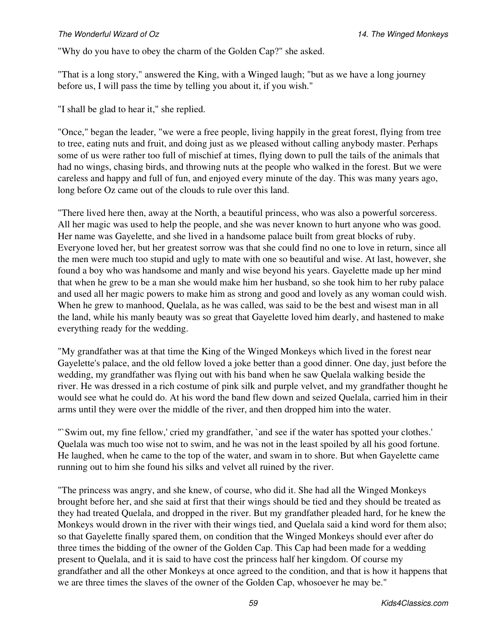"Why do you have to obey the charm of the Golden Cap?" she asked.

"That is a long story," answered the King, with a Winged laugh; "but as we have a long journey before us, I will pass the time by telling you about it, if you wish."

"I shall be glad to hear it," she replied.

"Once," began the leader, "we were a free people, living happily in the great forest, flying from tree to tree, eating nuts and fruit, and doing just as we pleased without calling anybody master. Perhaps some of us were rather too full of mischief at times, flying down to pull the tails of the animals that had no wings, chasing birds, and throwing nuts at the people who walked in the forest. But we were careless and happy and full of fun, and enjoyed every minute of the day. This was many years ago, long before Oz came out of the clouds to rule over this land.

"There lived here then, away at the North, a beautiful princess, who was also a powerful sorceress. All her magic was used to help the people, and she was never known to hurt anyone who was good. Her name was Gayelette, and she lived in a handsome palace built from great blocks of ruby. Everyone loved her, but her greatest sorrow was that she could find no one to love in return, since all the men were much too stupid and ugly to mate with one so beautiful and wise. At last, however, she found a boy who was handsome and manly and wise beyond his years. Gayelette made up her mind that when he grew to be a man she would make him her husband, so she took him to her ruby palace and used all her magic powers to make him as strong and good and lovely as any woman could wish. When he grew to manhood, Quelala, as he was called, was said to be the best and wisest man in all the land, while his manly beauty was so great that Gayelette loved him dearly, and hastened to make everything ready for the wedding.

"My grandfather was at that time the King of the Winged Monkeys which lived in the forest near Gayelette's palace, and the old fellow loved a joke better than a good dinner. One day, just before the wedding, my grandfather was flying out with his band when he saw Quelala walking beside the river. He was dressed in a rich costume of pink silk and purple velvet, and my grandfather thought he would see what he could do. At his word the band flew down and seized Quelala, carried him in their arms until they were over the middle of the river, and then dropped him into the water.

"`Swim out, my fine fellow,' cried my grandfather, `and see if the water has spotted your clothes.' Quelala was much too wise not to swim, and he was not in the least spoiled by all his good fortune. He laughed, when he came to the top of the water, and swam in to shore. But when Gayelette came running out to him she found his silks and velvet all ruined by the river.

"The princess was angry, and she knew, of course, who did it. She had all the Winged Monkeys brought before her, and she said at first that their wings should be tied and they should be treated as they had treated Quelala, and dropped in the river. But my grandfather pleaded hard, for he knew the Monkeys would drown in the river with their wings tied, and Quelala said a kind word for them also; so that Gayelette finally spared them, on condition that the Winged Monkeys should ever after do three times the bidding of the owner of the Golden Cap. This Cap had been made for a wedding present to Quelala, and it is said to have cost the princess half her kingdom. Of course my grandfather and all the other Monkeys at once agreed to the condition, and that is how it happens that we are three times the slaves of the owner of the Golden Cap, whosoever he may be."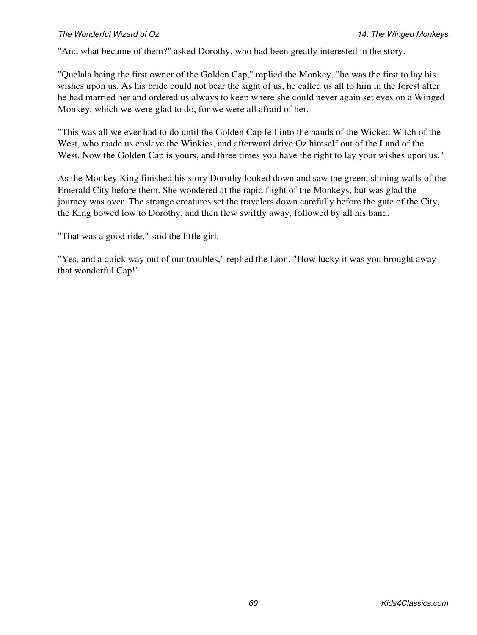"And what became of them?" asked Dorothy, who had been greatly interested in the story.

"Quelala being the first owner of the Golden Cap," replied the Monkey, "he was the first to lay his wishes upon us. As his bride could not bear the sight of us, he called us all to him in the forest after he had married her and ordered us always to keep where she could never again set eyes on a Winged Monkey, which we were glad to do, for we were all afraid of her.

"This was all we ever had to do until the Golden Cap fell into the hands of the Wicked Witch of the West, who made us enslave the Winkies, and afterward drive Oz himself out of the Land of the West. Now the Golden Cap is yours, and three times you have the right to lay your wishes upon us."

As the Monkey King finished his story Dorothy looked down and saw the green, shining walls of the Emerald City before them. She wondered at the rapid flight of the Monkeys, but was glad the journey was over. The strange creatures set the travelers down carefully before the gate of the City, the King bowed low to Dorothy, and then flew swiftly away, followed by all his band.

"That was a good ride," said the little girl.

"Yes, and a quick way out of our troubles," replied the Lion. "How lucky it was you brought away that wonderful Cap!"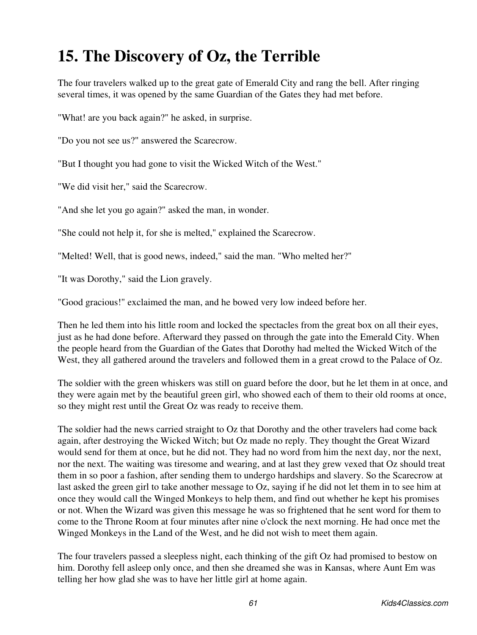### **15. The Discovery of Oz, the Terrible**

The four travelers walked up to the great gate of Emerald City and rang the bell. After ringing several times, it was opened by the same Guardian of the Gates they had met before.

"What! are you back again?" he asked, in surprise.

"Do you not see us?" answered the Scarecrow.

"But I thought you had gone to visit the Wicked Witch of the West."

"We did visit her," said the Scarecrow.

"And she let you go again?" asked the man, in wonder.

"She could not help it, for she is melted," explained the Scarecrow.

"Melted! Well, that is good news, indeed," said the man. "Who melted her?"

"It was Dorothy," said the Lion gravely.

"Good gracious!" exclaimed the man, and he bowed very low indeed before her.

Then he led them into his little room and locked the spectacles from the great box on all their eyes, just as he had done before. Afterward they passed on through the gate into the Emerald City. When the people heard from the Guardian of the Gates that Dorothy had melted the Wicked Witch of the West, they all gathered around the travelers and followed them in a great crowd to the Palace of Oz.

The soldier with the green whiskers was still on guard before the door, but he let them in at once, and they were again met by the beautiful green girl, who showed each of them to their old rooms at once, so they might rest until the Great Oz was ready to receive them.

The soldier had the news carried straight to Oz that Dorothy and the other travelers had come back again, after destroying the Wicked Witch; but Oz made no reply. They thought the Great Wizard would send for them at once, but he did not. They had no word from him the next day, nor the next, nor the next. The waiting was tiresome and wearing, and at last they grew vexed that Oz should treat them in so poor a fashion, after sending them to undergo hardships and slavery. So the Scarecrow at last asked the green girl to take another message to Oz, saying if he did not let them in to see him at once they would call the Winged Monkeys to help them, and find out whether he kept his promises or not. When the Wizard was given this message he was so frightened that he sent word for them to come to the Throne Room at four minutes after nine o'clock the next morning. He had once met the Winged Monkeys in the Land of the West, and he did not wish to meet them again.

The four travelers passed a sleepless night, each thinking of the gift Oz had promised to bestow on him. Dorothy fell asleep only once, and then she dreamed she was in Kansas, where Aunt Em was telling her how glad she was to have her little girl at home again.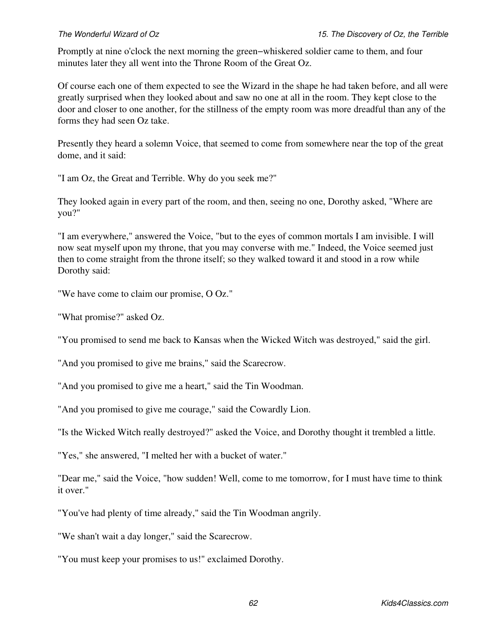Promptly at nine o'clock the next morning the green−whiskered soldier came to them, and four minutes later they all went into the Throne Room of the Great Oz.

Of course each one of them expected to see the Wizard in the shape he had taken before, and all were greatly surprised when they looked about and saw no one at all in the room. They kept close to the door and closer to one another, for the stillness of the empty room was more dreadful than any of the forms they had seen Oz take.

Presently they heard a solemn Voice, that seemed to come from somewhere near the top of the great dome, and it said:

"I am Oz, the Great and Terrible. Why do you seek me?"

They looked again in every part of the room, and then, seeing no one, Dorothy asked, "Where are you?"

"I am everywhere," answered the Voice, "but to the eyes of common mortals I am invisible. I will now seat myself upon my throne, that you may converse with me." Indeed, the Voice seemed just then to come straight from the throne itself; so they walked toward it and stood in a row while Dorothy said:

"We have come to claim our promise, O Oz."

"What promise?" asked Oz.

"You promised to send me back to Kansas when the Wicked Witch was destroyed," said the girl.

"And you promised to give me brains," said the Scarecrow.

"And you promised to give me a heart," said the Tin Woodman.

"And you promised to give me courage," said the Cowardly Lion.

"Is the Wicked Witch really destroyed?" asked the Voice, and Dorothy thought it trembled a little.

"Yes," she answered, "I melted her with a bucket of water."

"Dear me," said the Voice, "how sudden! Well, come to me tomorrow, for I must have time to think it over."

"You've had plenty of time already," said the Tin Woodman angrily.

"We shan't wait a day longer," said the Scarecrow.

"You must keep your promises to us!" exclaimed Dorothy.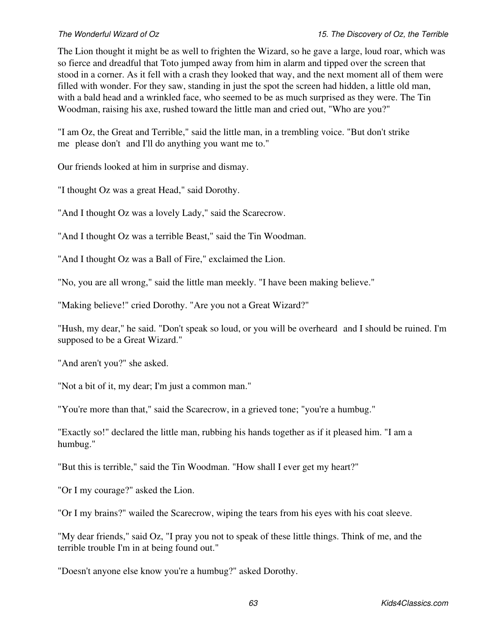The Lion thought it might be as well to frighten the Wizard, so he gave a large, loud roar, which was so fierce and dreadful that Toto jumped away from him in alarm and tipped over the screen that stood in a corner. As it fell with a crash they looked that way, and the next moment all of them were filled with wonder. For they saw, standing in just the spot the screen had hidden, a little old man, with a bald head and a wrinkled face, who seemed to be as much surprised as they were. The Tin Woodman, raising his axe, rushed toward the little man and cried out, "Who are you?"

"I am Oz, the Great and Terrible," said the little man, in a trembling voice. "But don't strike me please don't and I'll do anything you want me to."

Our friends looked at him in surprise and dismay.

"I thought Oz was a great Head," said Dorothy.

"And I thought Oz was a lovely Lady," said the Scarecrow.

"And I thought Oz was a terrible Beast," said the Tin Woodman.

"And I thought Oz was a Ball of Fire," exclaimed the Lion.

"No, you are all wrong," said the little man meekly. "I have been making believe."

"Making believe!" cried Dorothy. "Are you not a Great Wizard?"

"Hush, my dear," he said. "Don't speak so loud, or you will be overheardand I should be ruined. I'm supposed to be a Great Wizard."

"And aren't you?" she asked.

"Not a bit of it, my dear; I'm just a common man."

"You're more than that," said the Scarecrow, in a grieved tone; "you're a humbug."

"Exactly so!" declared the little man, rubbing his hands together as if it pleased him. "I am a humbug."

"But this is terrible," said the Tin Woodman. "How shall I ever get my heart?"

"Or I my courage?" asked the Lion.

"Or I my brains?" wailed the Scarecrow, wiping the tears from his eyes with his coat sleeve.

"My dear friends," said Oz, "I pray you not to speak of these little things. Think of me, and the terrible trouble I'm in at being found out."

"Doesn't anyone else know you're a humbug?" asked Dorothy.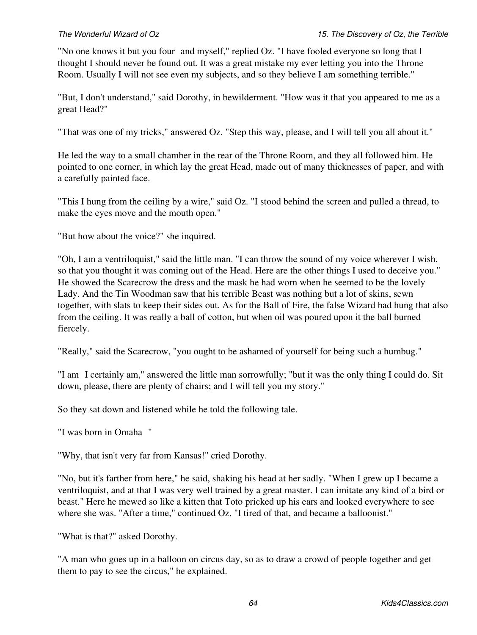"No one knows it but you four and myself," replied Oz. "I have fooled everyone so long that I thought I should never be found out. It was a great mistake my ever letting you into the Throne Room. Usually I will not see even my subjects, and so they believe I am something terrible."

"But, I don't understand," said Dorothy, in bewilderment. "How was it that you appeared to me as a great Head?"

"That was one of my tricks," answered Oz. "Step this way, please, and I will tell you all about it."

He led the way to a small chamber in the rear of the Throne Room, and they all followed him. He pointed to one corner, in which lay the great Head, made out of many thicknesses of paper, and with a carefully painted face.

"This I hung from the ceiling by a wire," said Oz. "I stood behind the screen and pulled a thread, to make the eyes move and the mouth open."

"But how about the voice?" she inquired.

"Oh, I am a ventriloquist," said the little man. "I can throw the sound of my voice wherever I wish, so that you thought it was coming out of the Head. Here are the other things I used to deceive you." He showed the Scarecrow the dress and the mask he had worn when he seemed to be the lovely Lady. And the Tin Woodman saw that his terrible Beast was nothing but a lot of skins, sewn together, with slats to keep their sides out. As for the Ball of Fire, the false Wizard had hung that also from the ceiling. It was really a ball of cotton, but when oil was poured upon it the ball burned fiercely.

"Really," said the Scarecrow, "you ought to be ashamed of yourself for being such a humbug."

"I am I certainly am," answered the little man sorrowfully; "but it was the only thing I could do. Sit down, please, there are plenty of chairs; and I will tell you my story."

So they sat down and listened while he told the following tale.

"I was born in Omaha"

"Why, that isn't very far from Kansas!" cried Dorothy.

"No, but it's farther from here," he said, shaking his head at her sadly. "When I grew up I became a ventriloquist, and at that I was very well trained by a great master. I can imitate any kind of a bird or beast." Here he mewed so like a kitten that Toto pricked up his ears and looked everywhere to see where she was. "After a time," continued Oz, "I tired of that, and became a balloonist."

"What is that?" asked Dorothy.

"A man who goes up in a balloon on circus day, so as to draw a crowd of people together and get them to pay to see the circus," he explained.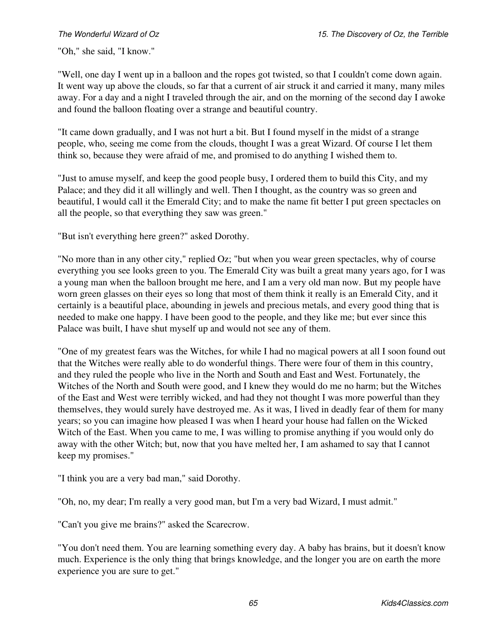"Oh," she said, "I know."

"Well, one day I went up in a balloon and the ropes got twisted, so that I couldn't come down again. It went way up above the clouds, so far that a current of air struck it and carried it many, many miles away. For a day and a night I traveled through the air, and on the morning of the second day I awoke and found the balloon floating over a strange and beautiful country.

"It came down gradually, and I was not hurt a bit. But I found myself in the midst of a strange people, who, seeing me come from the clouds, thought I was a great Wizard. Of course I let them think so, because they were afraid of me, and promised to do anything I wished them to.

"Just to amuse myself, and keep the good people busy, I ordered them to build this City, and my Palace; and they did it all willingly and well. Then I thought, as the country was so green and beautiful, I would call it the Emerald City; and to make the name fit better I put green spectacles on all the people, so that everything they saw was green."

"But isn't everything here green?" asked Dorothy.

"No more than in any other city," replied Oz; "but when you wear green spectacles, why of course everything you see looks green to you. The Emerald City was built a great many years ago, for I was a young man when the balloon brought me here, and I am a very old man now. But my people have worn green glasses on their eyes so long that most of them think it really is an Emerald City, and it certainly is a beautiful place, abounding in jewels and precious metals, and every good thing that is needed to make one happy. I have been good to the people, and they like me; but ever since this Palace was built, I have shut myself up and would not see any of them.

"One of my greatest fears was the Witches, for while I had no magical powers at all I soon found out that the Witches were really able to do wonderful things. There were four of them in this country, and they ruled the people who live in the North and South and East and West. Fortunately, the Witches of the North and South were good, and I knew they would do me no harm; but the Witches of the East and West were terribly wicked, and had they not thought I was more powerful than they themselves, they would surely have destroyed me. As it was, I lived in deadly fear of them for many years; so you can imagine how pleased I was when I heard your house had fallen on the Wicked Witch of the East. When you came to me, I was willing to promise anything if you would only do away with the other Witch; but, now that you have melted her, I am ashamed to say that I cannot keep my promises."

"I think you are a very bad man," said Dorothy.

"Oh, no, my dear; I'm really a very good man, but I'm a very bad Wizard, I must admit."

"Can't you give me brains?" asked the Scarecrow.

"You don't need them. You are learning something every day. A baby has brains, but it doesn't know much. Experience is the only thing that brings knowledge, and the longer you are on earth the more experience you are sure to get."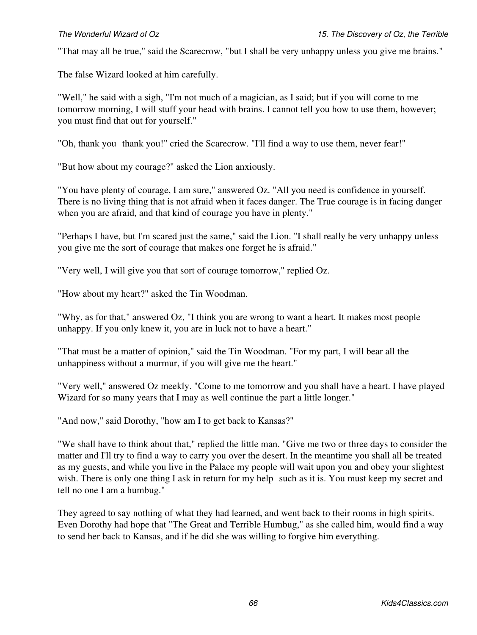"That may all be true," said the Scarecrow, "but I shall be very unhappy unless you give me brains."

The false Wizard looked at him carefully.

"Well," he said with a sigh, "I'm not much of a magician, as I said; but if you will come to me tomorrow morning, I will stuff your head with brains. I cannot tell you how to use them, however; you must find that out for yourself."

"Oh, thank you thank you!" cried the Scarecrow. "I'll find a way to use them, never fear!"

"But how about my courage?" asked the Lion anxiously.

"You have plenty of courage, I am sure," answered Oz. "All you need is confidence in yourself. There is no living thing that is not afraid when it faces danger. The True courage is in facing danger when you are afraid, and that kind of courage you have in plenty."

"Perhaps I have, but I'm scared just the same," said the Lion. "I shall really be very unhappy unless you give me the sort of courage that makes one forget he is afraid."

"Very well, I will give you that sort of courage tomorrow," replied Oz.

"How about my heart?" asked the Tin Woodman.

"Why, as for that," answered Oz, "I think you are wrong to want a heart. It makes most people unhappy. If you only knew it, you are in luck not to have a heart."

"That must be a matter of opinion," said the Tin Woodman. "For my part, I will bear all the unhappiness without a murmur, if you will give me the heart."

"Very well," answered Oz meekly. "Come to me tomorrow and you shall have a heart. I have played Wizard for so many years that I may as well continue the part a little longer."

"And now," said Dorothy, "how am I to get back to Kansas?"

"We shall have to think about that," replied the little man. "Give me two or three days to consider the matter and I'll try to find a way to carry you over the desert. In the meantime you shall all be treated as my guests, and while you live in the Palace my people will wait upon you and obey your slightest wish. There is only one thing I ask in return for my help such as it is. You must keep my secret and tell no one I am a humbug."

They agreed to say nothing of what they had learned, and went back to their rooms in high spirits. Even Dorothy had hope that "The Great and Terrible Humbug," as she called him, would find a way to send her back to Kansas, and if he did she was willing to forgive him everything.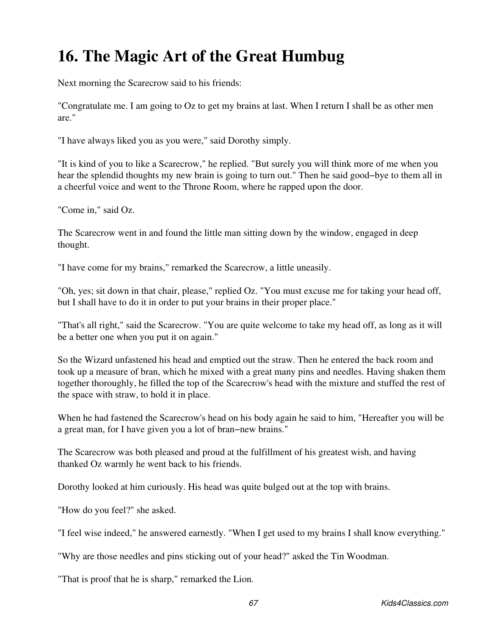## **16. The Magic Art of the Great Humbug**

Next morning the Scarecrow said to his friends:

"Congratulate me. I am going to Oz to get my brains at last. When I return I shall be as other men are."

"I have always liked you as you were," said Dorothy simply.

"It is kind of you to like a Scarecrow," he replied. "But surely you will think more of me when you hear the splendid thoughts my new brain is going to turn out." Then he said good−bye to them all in a cheerful voice and went to the Throne Room, where he rapped upon the door.

"Come in," said Oz.

The Scarecrow went in and found the little man sitting down by the window, engaged in deep thought.

"I have come for my brains," remarked the Scarecrow, a little uneasily.

"Oh, yes; sit down in that chair, please," replied Oz. "You must excuse me for taking your head off, but I shall have to do it in order to put your brains in their proper place."

"That's all right," said the Scarecrow. "You are quite welcome to take my head off, as long as it will be a better one when you put it on again."

So the Wizard unfastened his head and emptied out the straw. Then he entered the back room and took up a measure of bran, which he mixed with a great many pins and needles. Having shaken them together thoroughly, he filled the top of the Scarecrow's head with the mixture and stuffed the rest of the space with straw, to hold it in place.

When he had fastened the Scarecrow's head on his body again he said to him, "Hereafter you will be a great man, for I have given you a lot of bran−new brains."

The Scarecrow was both pleased and proud at the fulfillment of his greatest wish, and having thanked Oz warmly he went back to his friends.

Dorothy looked at him curiously. His head was quite bulged out at the top with brains.

"How do you feel?" she asked.

"I feel wise indeed," he answered earnestly. "When I get used to my brains I shall know everything."

"Why are those needles and pins sticking out of your head?" asked the Tin Woodman.

"That is proof that he is sharp," remarked the Lion.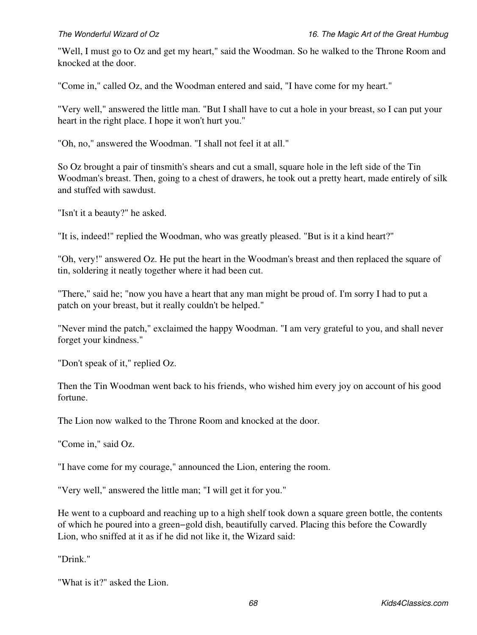"Well, I must go to Oz and get my heart," said the Woodman. So he walked to the Throne Room and knocked at the door.

"Come in," called Oz, and the Woodman entered and said, "I have come for my heart."

"Very well," answered the little man. "But I shall have to cut a hole in your breast, so I can put your heart in the right place. I hope it won't hurt you."

"Oh, no," answered the Woodman. "I shall not feel it at all."

So Oz brought a pair of tinsmith's shears and cut a small, square hole in the left side of the Tin Woodman's breast. Then, going to a chest of drawers, he took out a pretty heart, made entirely of silk and stuffed with sawdust.

"Isn't it a beauty?" he asked.

"It is, indeed!" replied the Woodman, who was greatly pleased. "But is it a kind heart?"

"Oh, very!" answered Oz. He put the heart in the Woodman's breast and then replaced the square of tin, soldering it neatly together where it had been cut.

"There," said he; "now you have a heart that any man might be proud of. I'm sorry I had to put a patch on your breast, but it really couldn't be helped."

"Never mind the patch," exclaimed the happy Woodman. "I am very grateful to you, and shall never forget your kindness."

"Don't speak of it," replied Oz.

Then the Tin Woodman went back to his friends, who wished him every joy on account of his good fortune.

The Lion now walked to the Throne Room and knocked at the door.

"Come in," said Oz.

"I have come for my courage," announced the Lion, entering the room.

"Very well," answered the little man; "I will get it for you."

He went to a cupboard and reaching up to a high shelf took down a square green bottle, the contents of which he poured into a green−gold dish, beautifully carved. Placing this before the Cowardly Lion, who sniffed at it as if he did not like it, the Wizard said:

"Drink."

"What is it?" asked the Lion.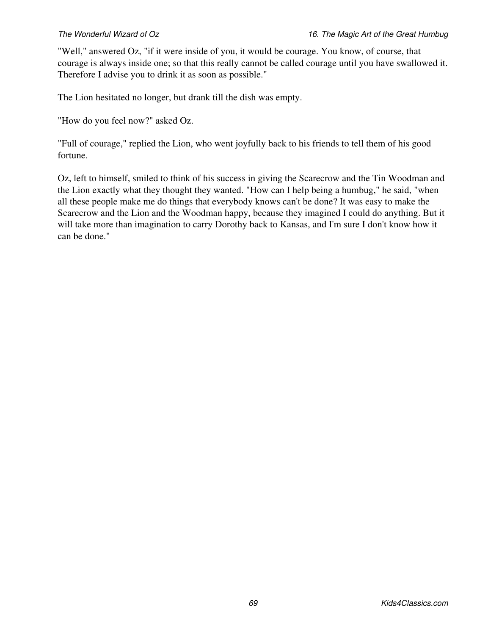"Well," answered Oz, "if it were inside of you, it would be courage. You know, of course, that courage is always inside one; so that this really cannot be called courage until you have swallowed it. Therefore I advise you to drink it as soon as possible."

The Lion hesitated no longer, but drank till the dish was empty.

"How do you feel now?" asked Oz.

"Full of courage," replied the Lion, who went joyfully back to his friends to tell them of his good fortune.

Oz, left to himself, smiled to think of his success in giving the Scarecrow and the Tin Woodman and the Lion exactly what they thought they wanted. "How can I help being a humbug," he said, "when all these people make me do things that everybody knows can't be done? It was easy to make the Scarecrow and the Lion and the Woodman happy, because they imagined I could do anything. But it will take more than imagination to carry Dorothy back to Kansas, and I'm sure I don't know how it can be done."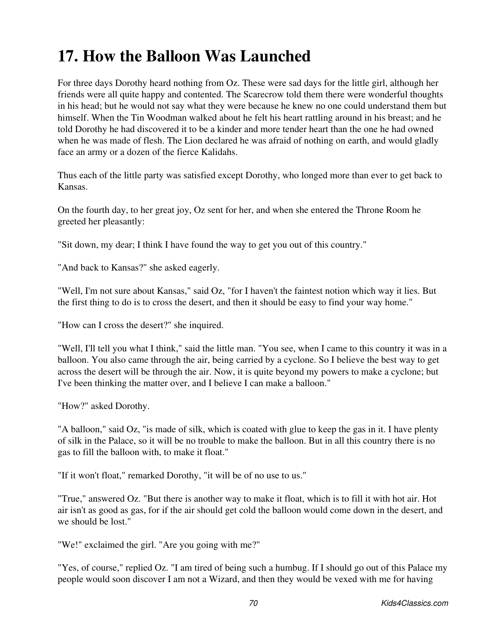## **17. How the Balloon Was Launched**

For three days Dorothy heard nothing from Oz. These were sad days for the little girl, although her friends were all quite happy and contented. The Scarecrow told them there were wonderful thoughts in his head; but he would not say what they were because he knew no one could understand them but himself. When the Tin Woodman walked about he felt his heart rattling around in his breast; and he told Dorothy he had discovered it to be a kinder and more tender heart than the one he had owned when he was made of flesh. The Lion declared he was afraid of nothing on earth, and would gladly face an army or a dozen of the fierce Kalidahs.

Thus each of the little party was satisfied except Dorothy, who longed more than ever to get back to Kansas.

On the fourth day, to her great joy, Oz sent for her, and when she entered the Throne Room he greeted her pleasantly:

"Sit down, my dear; I think I have found the way to get you out of this country."

"And back to Kansas?" she asked eagerly.

"Well, I'm not sure about Kansas," said Oz, "for I haven't the faintest notion which way it lies. But the first thing to do is to cross the desert, and then it should be easy to find your way home."

"How can I cross the desert?" she inquired.

"Well, I'll tell you what I think," said the little man. "You see, when I came to this country it was in a balloon. You also came through the air, being carried by a cyclone. So I believe the best way to get across the desert will be through the air. Now, it is quite beyond my powers to make a cyclone; but I've been thinking the matter over, and I believe I can make a balloon."

"How?" asked Dorothy.

"A balloon," said Oz, "is made of silk, which is coated with glue to keep the gas in it. I have plenty of silk in the Palace, so it will be no trouble to make the balloon. But in all this country there is no gas to fill the balloon with, to make it float."

"If it won't float," remarked Dorothy, "it will be of no use to us."

"True," answered Oz. "But there is another way to make it float, which is to fill it with hot air. Hot air isn't as good as gas, for if the air should get cold the balloon would come down in the desert, and we should be lost."

"We!" exclaimed the girl. "Are you going with me?"

"Yes, of course," replied Oz. "I am tired of being such a humbug. If I should go out of this Palace my people would soon discover I am not a Wizard, and then they would be vexed with me for having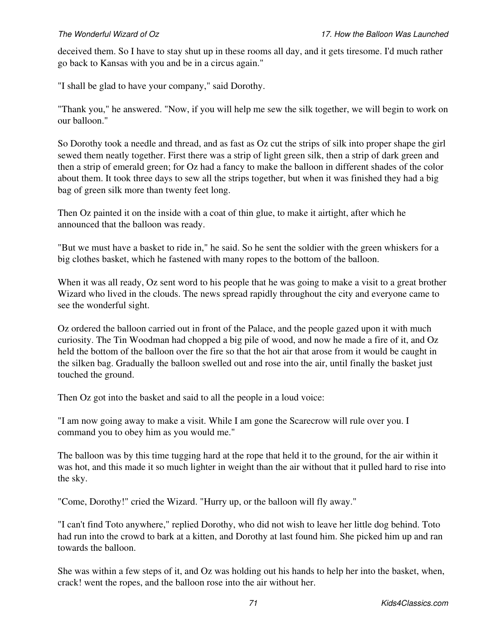deceived them. So I have to stay shut up in these rooms all day, and it gets tiresome. I'd much rather go back to Kansas with you and be in a circus again."

"I shall be glad to have your company," said Dorothy.

"Thank you," he answered. "Now, if you will help me sew the silk together, we will begin to work on our balloon."

So Dorothy took a needle and thread, and as fast as Oz cut the strips of silk into proper shape the girl sewed them neatly together. First there was a strip of light green silk, then a strip of dark green and then a strip of emerald green; for Oz had a fancy to make the balloon in different shades of the color about them. It took three days to sew all the strips together, but when it was finished they had a big bag of green silk more than twenty feet long.

Then Oz painted it on the inside with a coat of thin glue, to make it airtight, after which he announced that the balloon was ready.

"But we must have a basket to ride in," he said. So he sent the soldier with the green whiskers for a big clothes basket, which he fastened with many ropes to the bottom of the balloon.

When it was all ready, Oz sent word to his people that he was going to make a visit to a great brother Wizard who lived in the clouds. The news spread rapidly throughout the city and everyone came to see the wonderful sight.

Oz ordered the balloon carried out in front of the Palace, and the people gazed upon it with much curiosity. The Tin Woodman had chopped a big pile of wood, and now he made a fire of it, and Oz held the bottom of the balloon over the fire so that the hot air that arose from it would be caught in the silken bag. Gradually the balloon swelled out and rose into the air, until finally the basket just touched the ground.

Then Oz got into the basket and said to all the people in a loud voice:

"I am now going away to make a visit. While I am gone the Scarecrow will rule over you. I command you to obey him as you would me."

The balloon was by this time tugging hard at the rope that held it to the ground, for the air within it was hot, and this made it so much lighter in weight than the air without that it pulled hard to rise into the sky.

"Come, Dorothy!" cried the Wizard. "Hurry up, or the balloon will fly away."

"I can't find Toto anywhere," replied Dorothy, who did not wish to leave her little dog behind. Toto had run into the crowd to bark at a kitten, and Dorothy at last found him. She picked him up and ran towards the balloon.

She was within a few steps of it, and Oz was holding out his hands to help her into the basket, when, crack! went the ropes, and the balloon rose into the air without her.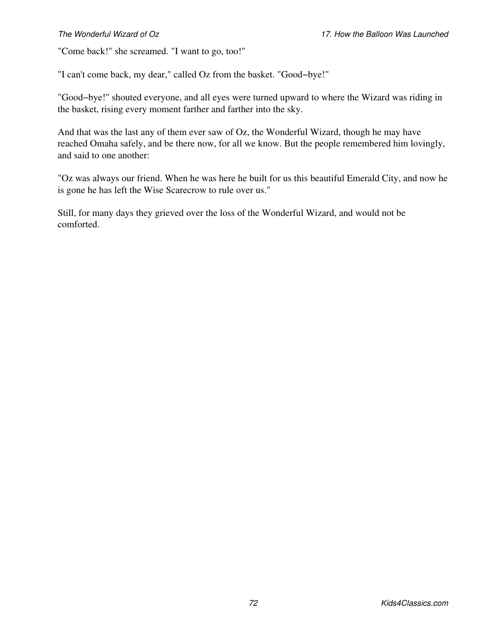"Come back!" she screamed. "I want to go, too!"

"I can't come back, my dear," called Oz from the basket. "Good−bye!"

"Good−bye!" shouted everyone, and all eyes were turned upward to where the Wizard was riding in the basket, rising every moment farther and farther into the sky.

And that was the last any of them ever saw of Oz, the Wonderful Wizard, though he may have reached Omaha safely, and be there now, for all we know. But the people remembered him lovingly, and said to one another:

"Oz was always our friend. When he was here he built for us this beautiful Emerald City, and now he is gone he has left the Wise Scarecrow to rule over us."

Still, for many days they grieved over the loss of the Wonderful Wizard, and would not be comforted.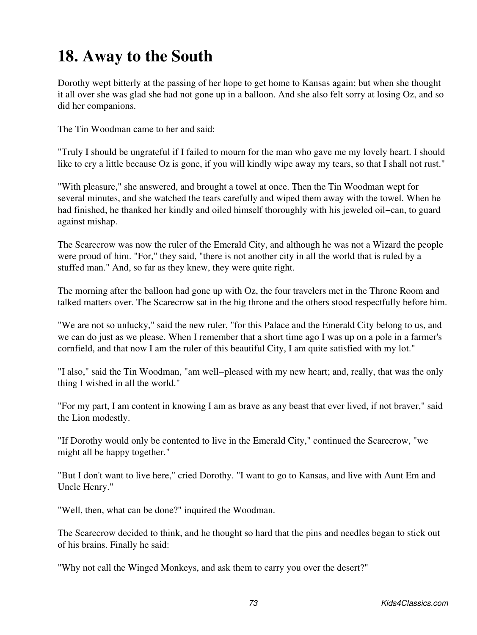### **18. Away to the South**

Dorothy wept bitterly at the passing of her hope to get home to Kansas again; but when she thought it all over she was glad she had not gone up in a balloon. And she also felt sorry at losing Oz, and so did her companions.

The Tin Woodman came to her and said:

"Truly I should be ungrateful if I failed to mourn for the man who gave me my lovely heart. I should like to cry a little because Oz is gone, if you will kindly wipe away my tears, so that I shall not rust."

"With pleasure," she answered, and brought a towel at once. Then the Tin Woodman wept for several minutes, and she watched the tears carefully and wiped them away with the towel. When he had finished, he thanked her kindly and oiled himself thoroughly with his jeweled oil−can, to guard against mishap.

The Scarecrow was now the ruler of the Emerald City, and although he was not a Wizard the people were proud of him. "For," they said, "there is not another city in all the world that is ruled by a stuffed man." And, so far as they knew, they were quite right.

The morning after the balloon had gone up with Oz, the four travelers met in the Throne Room and talked matters over. The Scarecrow sat in the big throne and the others stood respectfully before him.

"We are not so unlucky," said the new ruler, "for this Palace and the Emerald City belong to us, and we can do just as we please. When I remember that a short time ago I was up on a pole in a farmer's cornfield, and that now I am the ruler of this beautiful City, I am quite satisfied with my lot."

"I also," said the Tin Woodman, "am well−pleased with my new heart; and, really, that was the only thing I wished in all the world."

"For my part, I am content in knowing I am as brave as any beast that ever lived, if not braver," said the Lion modestly.

"If Dorothy would only be contented to live in the Emerald City," continued the Scarecrow, "we might all be happy together."

"But I don't want to live here," cried Dorothy. "I want to go to Kansas, and live with Aunt Em and Uncle Henry."

"Well, then, what can be done?" inquired the Woodman.

The Scarecrow decided to think, and he thought so hard that the pins and needles began to stick out of his brains. Finally he said:

"Why not call the Winged Monkeys, and ask them to carry you over the desert?"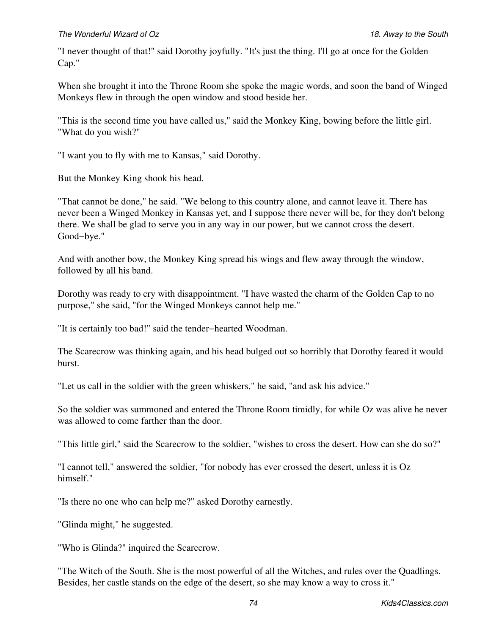"I never thought of that!" said Dorothy joyfully. "It's just the thing. I'll go at once for the Golden Cap."

When she brought it into the Throne Room she spoke the magic words, and soon the band of Winged Monkeys flew in through the open window and stood beside her.

"This is the second time you have called us," said the Monkey King, bowing before the little girl. "What do you wish?"

"I want you to fly with me to Kansas," said Dorothy.

But the Monkey King shook his head.

"That cannot be done," he said. "We belong to this country alone, and cannot leave it. There has never been a Winged Monkey in Kansas yet, and I suppose there never will be, for they don't belong there. We shall be glad to serve you in any way in our power, but we cannot cross the desert. Good−bye."

And with another bow, the Monkey King spread his wings and flew away through the window, followed by all his band.

Dorothy was ready to cry with disappointment. "I have wasted the charm of the Golden Cap to no purpose," she said, "for the Winged Monkeys cannot help me."

"It is certainly too bad!" said the tender−hearted Woodman.

The Scarecrow was thinking again, and his head bulged out so horribly that Dorothy feared it would burst.

"Let us call in the soldier with the green whiskers," he said, "and ask his advice."

So the soldier was summoned and entered the Throne Room timidly, for while Oz was alive he never was allowed to come farther than the door.

"This little girl," said the Scarecrow to the soldier, "wishes to cross the desert. How can she do so?"

"I cannot tell," answered the soldier, "for nobody has ever crossed the desert, unless it is Oz himself."

"Is there no one who can help me?" asked Dorothy earnestly.

"Glinda might," he suggested.

"Who is Glinda?" inquired the Scarecrow.

"The Witch of the South. She is the most powerful of all the Witches, and rules over the Quadlings. Besides, her castle stands on the edge of the desert, so she may know a way to cross it."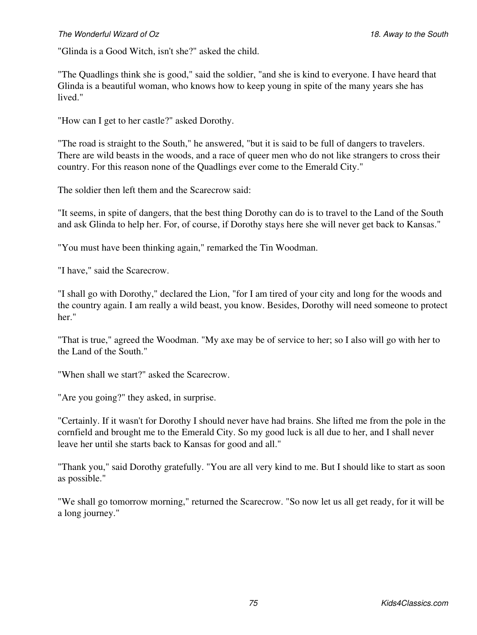### *The Wonderful Wizard of Oz 18. Away to the South*

"Glinda is a Good Witch, isn't she?" asked the child.

"The Quadlings think she is good," said the soldier, "and she is kind to everyone. I have heard that Glinda is a beautiful woman, who knows how to keep young in spite of the many years she has lived."

"How can I get to her castle?" asked Dorothy.

"The road is straight to the South," he answered, "but it is said to be full of dangers to travelers. There are wild beasts in the woods, and a race of queer men who do not like strangers to cross their country. For this reason none of the Quadlings ever come to the Emerald City."

The soldier then left them and the Scarecrow said:

"It seems, in spite of dangers, that the best thing Dorothy can do is to travel to the Land of the South and ask Glinda to help her. For, of course, if Dorothy stays here she will never get back to Kansas."

"You must have been thinking again," remarked the Tin Woodman.

"I have," said the Scarecrow.

"I shall go with Dorothy," declared the Lion, "for I am tired of your city and long for the woods and the country again. I am really a wild beast, you know. Besides, Dorothy will need someone to protect her."

"That is true," agreed the Woodman. "My axe may be of service to her; so I also will go with her to the Land of the South."

"When shall we start?" asked the Scarecrow.

"Are you going?" they asked, in surprise.

"Certainly. If it wasn't for Dorothy I should never have had brains. She lifted me from the pole in the cornfield and brought me to the Emerald City. So my good luck is all due to her, and I shall never leave her until she starts back to Kansas for good and all."

"Thank you," said Dorothy gratefully. "You are all very kind to me. But I should like to start as soon as possible."

"We shall go tomorrow morning," returned the Scarecrow. "So now let us all get ready, for it will be a long journey."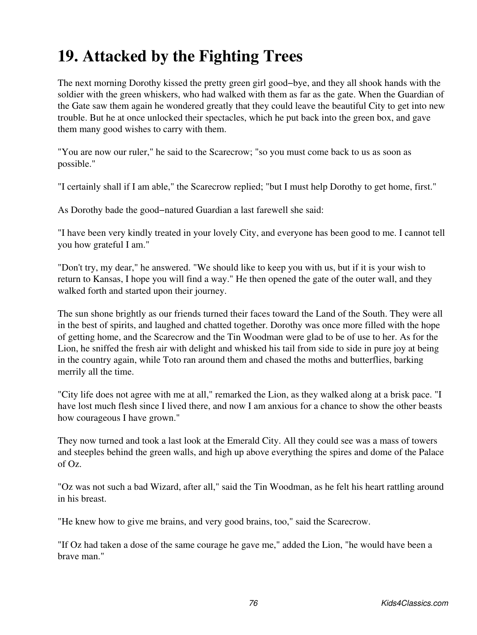### **19. Attacked by the Fighting Trees**

The next morning Dorothy kissed the pretty green girl good−bye, and they all shook hands with the soldier with the green whiskers, who had walked with them as far as the gate. When the Guardian of the Gate saw them again he wondered greatly that they could leave the beautiful City to get into new trouble. But he at once unlocked their spectacles, which he put back into the green box, and gave them many good wishes to carry with them.

"You are now our ruler," he said to the Scarecrow; "so you must come back to us as soon as possible."

"I certainly shall if I am able," the Scarecrow replied; "but I must help Dorothy to get home, first."

As Dorothy bade the good−natured Guardian a last farewell she said:

"I have been very kindly treated in your lovely City, and everyone has been good to me. I cannot tell you how grateful I am."

"Don't try, my dear," he answered. "We should like to keep you with us, but if it is your wish to return to Kansas, I hope you will find a way." He then opened the gate of the outer wall, and they walked forth and started upon their journey.

The sun shone brightly as our friends turned their faces toward the Land of the South. They were all in the best of spirits, and laughed and chatted together. Dorothy was once more filled with the hope of getting home, and the Scarecrow and the Tin Woodman were glad to be of use to her. As for the Lion, he sniffed the fresh air with delight and whisked his tail from side to side in pure joy at being in the country again, while Toto ran around them and chased the moths and butterflies, barking merrily all the time.

"City life does not agree with me at all," remarked the Lion, as they walked along at a brisk pace. "I have lost much flesh since I lived there, and now I am anxious for a chance to show the other beasts how courageous I have grown."

They now turned and took a last look at the Emerald City. All they could see was a mass of towers and steeples behind the green walls, and high up above everything the spires and dome of the Palace of Oz.

"Oz was not such a bad Wizard, after all," said the Tin Woodman, as he felt his heart rattling around in his breast.

"He knew how to give me brains, and very good brains, too," said the Scarecrow.

"If Oz had taken a dose of the same courage he gave me," added the Lion, "he would have been a brave man."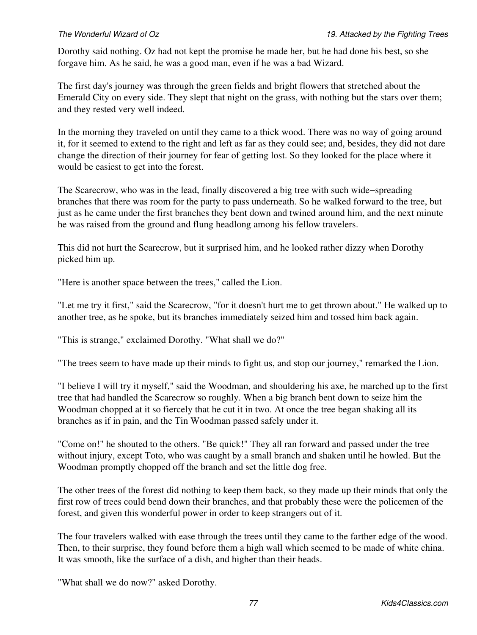Dorothy said nothing. Oz had not kept the promise he made her, but he had done his best, so she forgave him. As he said, he was a good man, even if he was a bad Wizard.

The first day's journey was through the green fields and bright flowers that stretched about the Emerald City on every side. They slept that night on the grass, with nothing but the stars over them; and they rested very well indeed.

In the morning they traveled on until they came to a thick wood. There was no way of going around it, for it seemed to extend to the right and left as far as they could see; and, besides, they did not dare change the direction of their journey for fear of getting lost. So they looked for the place where it would be easiest to get into the forest.

The Scarecrow, who was in the lead, finally discovered a big tree with such wide−spreading branches that there was room for the party to pass underneath. So he walked forward to the tree, but just as he came under the first branches they bent down and twined around him, and the next minute he was raised from the ground and flung headlong among his fellow travelers.

This did not hurt the Scarecrow, but it surprised him, and he looked rather dizzy when Dorothy picked him up.

"Here is another space between the trees," called the Lion.

"Let me try it first," said the Scarecrow, "for it doesn't hurt me to get thrown about." He walked up to another tree, as he spoke, but its branches immediately seized him and tossed him back again.

"This is strange," exclaimed Dorothy. "What shall we do?"

"The trees seem to have made up their minds to fight us, and stop our journey," remarked the Lion.

"I believe I will try it myself," said the Woodman, and shouldering his axe, he marched up to the first tree that had handled the Scarecrow so roughly. When a big branch bent down to seize him the Woodman chopped at it so fiercely that he cut it in two. At once the tree began shaking all its branches as if in pain, and the Tin Woodman passed safely under it.

"Come on!" he shouted to the others. "Be quick!" They all ran forward and passed under the tree without injury, except Toto, who was caught by a small branch and shaken until he howled. But the Woodman promptly chopped off the branch and set the little dog free.

The other trees of the forest did nothing to keep them back, so they made up their minds that only the first row of trees could bend down their branches, and that probably these were the policemen of the forest, and given this wonderful power in order to keep strangers out of it.

The four travelers walked with ease through the trees until they came to the farther edge of the wood. Then, to their surprise, they found before them a high wall which seemed to be made of white china. It was smooth, like the surface of a dish, and higher than their heads.

"What shall we do now?" asked Dorothy.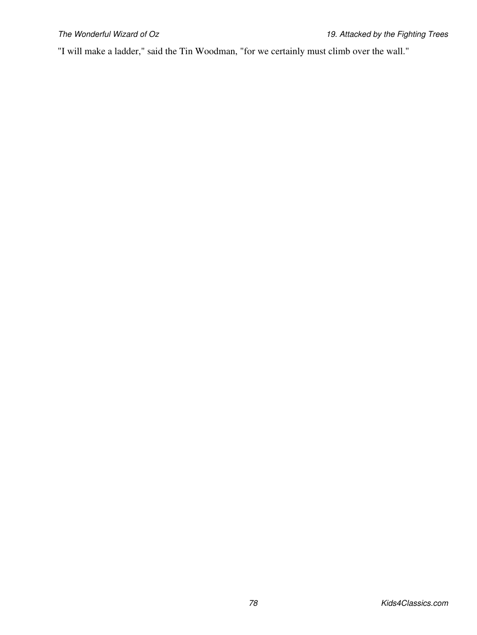"I will make a ladder," said the Tin Woodman, "for we certainly must climb over the wall."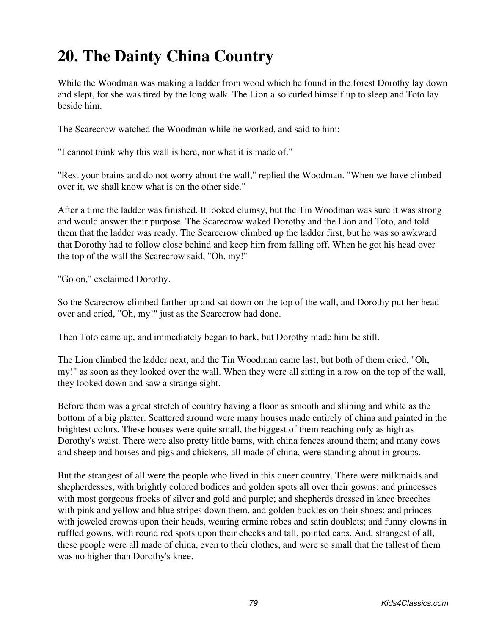## **20. The Dainty China Country**

While the Woodman was making a ladder from wood which he found in the forest Dorothy lay down and slept, for she was tired by the long walk. The Lion also curled himself up to sleep and Toto lay beside him.

The Scarecrow watched the Woodman while he worked, and said to him:

"I cannot think why this wall is here, nor what it is made of."

"Rest your brains and do not worry about the wall," replied the Woodman. "When we have climbed over it, we shall know what is on the other side."

After a time the ladder was finished. It looked clumsy, but the Tin Woodman was sure it was strong and would answer their purpose. The Scarecrow waked Dorothy and the Lion and Toto, and told them that the ladder was ready. The Scarecrow climbed up the ladder first, but he was so awkward that Dorothy had to follow close behind and keep him from falling off. When he got his head over the top of the wall the Scarecrow said, "Oh, my!"

"Go on," exclaimed Dorothy.

So the Scarecrow climbed farther up and sat down on the top of the wall, and Dorothy put her head over and cried, "Oh, my!" just as the Scarecrow had done.

Then Toto came up, and immediately began to bark, but Dorothy made him be still.

The Lion climbed the ladder next, and the Tin Woodman came last; but both of them cried, "Oh, my!" as soon as they looked over the wall. When they were all sitting in a row on the top of the wall, they looked down and saw a strange sight.

Before them was a great stretch of country having a floor as smooth and shining and white as the bottom of a big platter. Scattered around were many houses made entirely of china and painted in the brightest colors. These houses were quite small, the biggest of them reaching only as high as Dorothy's waist. There were also pretty little barns, with china fences around them; and many cows and sheep and horses and pigs and chickens, all made of china, were standing about in groups.

But the strangest of all were the people who lived in this queer country. There were milkmaids and shepherdesses, with brightly colored bodices and golden spots all over their gowns; and princesses with most gorgeous frocks of silver and gold and purple; and shepherds dressed in knee breeches with pink and yellow and blue stripes down them, and golden buckles on their shoes; and princes with jeweled crowns upon their heads, wearing ermine robes and satin doublets; and funny clowns in ruffled gowns, with round red spots upon their cheeks and tall, pointed caps. And, strangest of all, these people were all made of china, even to their clothes, and were so small that the tallest of them was no higher than Dorothy's knee.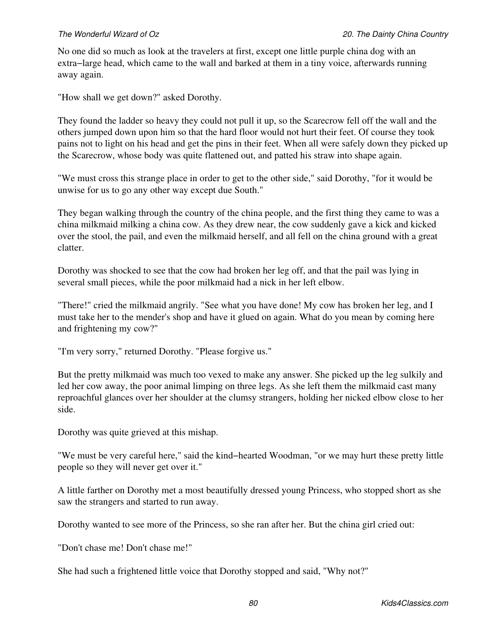No one did so much as look at the travelers at first, except one little purple china dog with an extra−large head, which came to the wall and barked at them in a tiny voice, afterwards running away again.

"How shall we get down?" asked Dorothy.

They found the ladder so heavy they could not pull it up, so the Scarecrow fell off the wall and the others jumped down upon him so that the hard floor would not hurt their feet. Of course they took pains not to light on his head and get the pins in their feet. When all were safely down they picked up the Scarecrow, whose body was quite flattened out, and patted his straw into shape again.

"We must cross this strange place in order to get to the other side," said Dorothy, "for it would be unwise for us to go any other way except due South."

They began walking through the country of the china people, and the first thing they came to was a china milkmaid milking a china cow. As they drew near, the cow suddenly gave a kick and kicked over the stool, the pail, and even the milkmaid herself, and all fell on the china ground with a great clatter.

Dorothy was shocked to see that the cow had broken her leg off, and that the pail was lying in several small pieces, while the poor milkmaid had a nick in her left elbow.

"There!" cried the milkmaid angrily. "See what you have done! My cow has broken her leg, and I must take her to the mender's shop and have it glued on again. What do you mean by coming here and frightening my cow?"

"I'm very sorry," returned Dorothy. "Please forgive us."

But the pretty milkmaid was much too vexed to make any answer. She picked up the leg sulkily and led her cow away, the poor animal limping on three legs. As she left them the milkmaid cast many reproachful glances over her shoulder at the clumsy strangers, holding her nicked elbow close to her side.

Dorothy was quite grieved at this mishap.

"We must be very careful here," said the kind−hearted Woodman, "or we may hurt these pretty little people so they will never get over it."

A little farther on Dorothy met a most beautifully dressed young Princess, who stopped short as she saw the strangers and started to run away.

Dorothy wanted to see more of the Princess, so she ran after her. But the china girl cried out:

"Don't chase me! Don't chase me!"

She had such a frightened little voice that Dorothy stopped and said, "Why not?"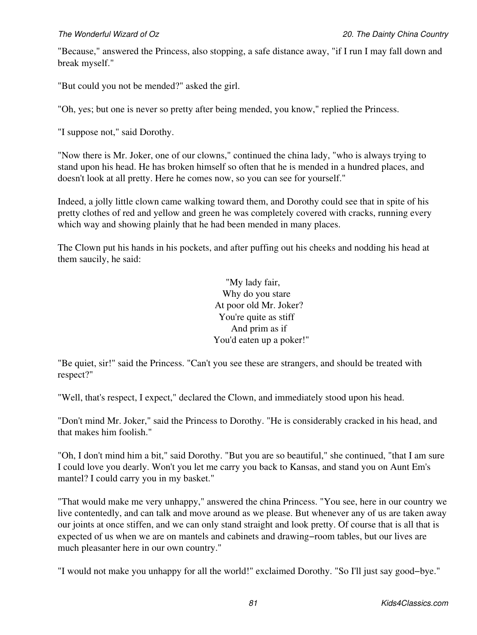"Because," answered the Princess, also stopping, a safe distance away, "if I run I may fall down and break myself."

"But could you not be mended?" asked the girl.

"Oh, yes; but one is never so pretty after being mended, you know," replied the Princess.

"I suppose not," said Dorothy.

"Now there is Mr. Joker, one of our clowns," continued the china lady, "who is always trying to stand upon his head. He has broken himself so often that he is mended in a hundred places, and doesn't look at all pretty. Here he comes now, so you can see for yourself."

Indeed, a jolly little clown came walking toward them, and Dorothy could see that in spite of his pretty clothes of red and yellow and green he was completely covered with cracks, running every which way and showing plainly that he had been mended in many places.

The Clown put his hands in his pockets, and after puffing out his cheeks and nodding his head at them saucily, he said:

> "My lady fair, Why do you stare At poor old Mr. Joker? You're quite as stiff And prim as if You'd eaten up a poker!"

"Be quiet, sir!" said the Princess. "Can't you see these are strangers, and should be treated with respect?"

"Well, that's respect, I expect," declared the Clown, and immediately stood upon his head.

"Don't mind Mr. Joker," said the Princess to Dorothy. "He is considerably cracked in his head, and that makes him foolish."

"Oh, I don't mind him a bit," said Dorothy. "But you are so beautiful," she continued, "that I am sure I could love you dearly. Won't you let me carry you back to Kansas, and stand you on Aunt Em's mantel? I could carry you in my basket."

"That would make me very unhappy," answered the china Princess. "You see, here in our country we live contentedly, and can talk and move around as we please. But whenever any of us are taken away our joints at once stiffen, and we can only stand straight and look pretty. Of course that is all that is expected of us when we are on mantels and cabinets and drawing−room tables, but our lives are much pleasanter here in our own country."

"I would not make you unhappy for all the world!" exclaimed Dorothy. "So I'll just say good−bye."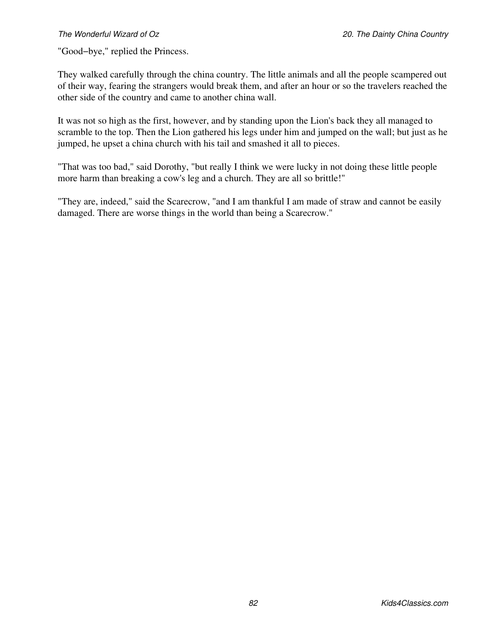"Good−bye," replied the Princess.

They walked carefully through the china country. The little animals and all the people scampered out of their way, fearing the strangers would break them, and after an hour or so the travelers reached the other side of the country and came to another china wall.

It was not so high as the first, however, and by standing upon the Lion's back they all managed to scramble to the top. Then the Lion gathered his legs under him and jumped on the wall; but just as he jumped, he upset a china church with his tail and smashed it all to pieces.

"That was too bad," said Dorothy, "but really I think we were lucky in not doing these little people more harm than breaking a cow's leg and a church. They are all so brittle!"

"They are, indeed," said the Scarecrow, "and I am thankful I am made of straw and cannot be easily damaged. There are worse things in the world than being a Scarecrow."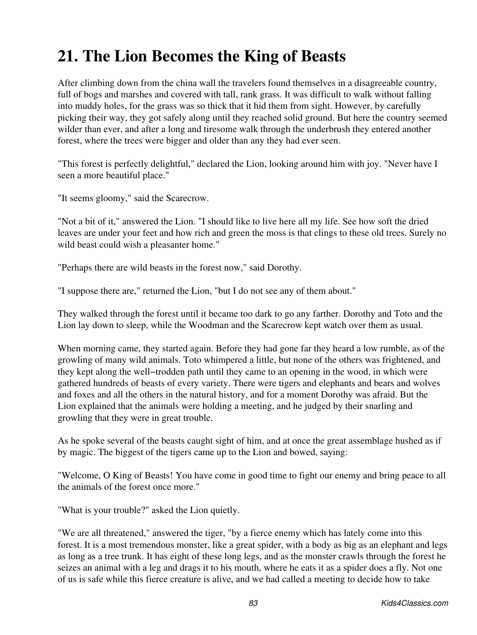### **21. The Lion Becomes the King of Beasts**

After climbing down from the china wall the travelers found themselves in a disagreeable country, full of bogs and marshes and covered with tall, rank grass. It was difficult to walk without falling into muddy holes, for the grass was so thick that it hid them from sight. However, by carefully picking their way, they got safely along until they reached solid ground. But here the country seemed wilder than ever, and after a long and tiresome walk through the underbrush they entered another forest, where the trees were bigger and older than any they had ever seen.

"This forest is perfectly delightful," declared the Lion, looking around him with joy. "Never have I seen a more beautiful place."

"It seems gloomy," said the Scarecrow.

"Not a bit of it," answered the Lion. "I should like to live here all my life. See how soft the dried leaves are under your feet and how rich and green the moss is that clings to these old trees. Surely no wild beast could wish a pleasanter home."

"Perhaps there are wild beasts in the forest now," said Dorothy.

"I suppose there are," returned the Lion, "but I do not see any of them about."

They walked through the forest until it became too dark to go any farther. Dorothy and Toto and the Lion lay down to sleep, while the Woodman and the Scarecrow kept watch over them as usual.

When morning came, they started again. Before they had gone far they heard a low rumble, as of the growling of many wild animals. Toto whimpered a little, but none of the others was frightened, and they kept along the well−trodden path until they came to an opening in the wood, in which were gathered hundreds of beasts of every variety. There were tigers and elephants and bears and wolves and foxes and all the others in the natural history, and for a moment Dorothy was afraid. But the Lion explained that the animals were holding a meeting, and he judged by their snarling and growling that they were in great trouble.

As he spoke several of the beasts caught sight of him, and at once the great assemblage hushed as if by magic. The biggest of the tigers came up to the Lion and bowed, saying:

"Welcome, O King of Beasts! You have come in good time to fight our enemy and bring peace to all the animals of the forest once more."

"What is your trouble?" asked the Lion quietly.

"We are all threatened," answered the tiger, "by a fierce enemy which has lately come into this forest. It is a most tremendous monster, like a great spider, with a body as big as an elephant and legs as long as a tree trunk. It has eight of these long legs, and as the monster crawls through the forest he seizes an animal with a leg and drags it to his mouth, where he eats it as a spider does a fly. Not one of us is safe while this fierce creature is alive, and we had called a meeting to decide how to take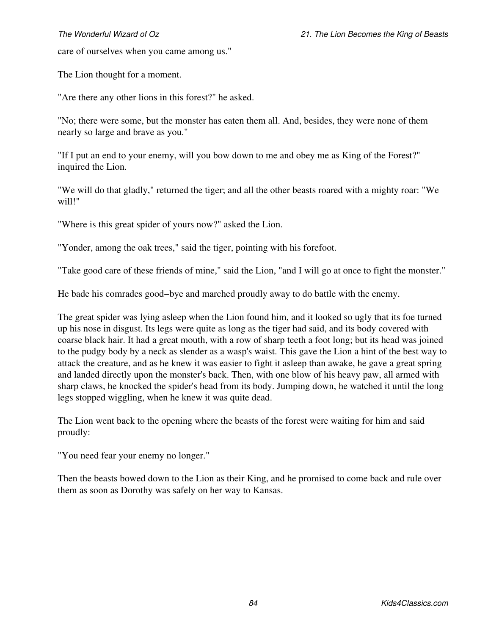care of ourselves when you came among us."

The Lion thought for a moment.

"Are there any other lions in this forest?" he asked.

"No; there were some, but the monster has eaten them all. And, besides, they were none of them nearly so large and brave as you."

"If I put an end to your enemy, will you bow down to me and obey me as King of the Forest?" inquired the Lion.

"We will do that gladly," returned the tiger; and all the other beasts roared with a mighty roar: "We will!"

"Where is this great spider of yours now?" asked the Lion.

"Yonder, among the oak trees," said the tiger, pointing with his forefoot.

"Take good care of these friends of mine," said the Lion, "and I will go at once to fight the monster."

He bade his comrades good–bye and marched proudly away to do battle with the enemy.

The great spider was lying asleep when the Lion found him, and it looked so ugly that its foe turned up his nose in disgust. Its legs were quite as long as the tiger had said, and its body covered with coarse black hair. It had a great mouth, with a row of sharp teeth a foot long; but its head was joined to the pudgy body by a neck as slender as a wasp's waist. This gave the Lion a hint of the best way to attack the creature, and as he knew it was easier to fight it asleep than awake, he gave a great spring and landed directly upon the monster's back. Then, with one blow of his heavy paw, all armed with sharp claws, he knocked the spider's head from its body. Jumping down, he watched it until the long legs stopped wiggling, when he knew it was quite dead.

The Lion went back to the opening where the beasts of the forest were waiting for him and said proudly:

"You need fear your enemy no longer."

Then the beasts bowed down to the Lion as their King, and he promised to come back and rule over them as soon as Dorothy was safely on her way to Kansas.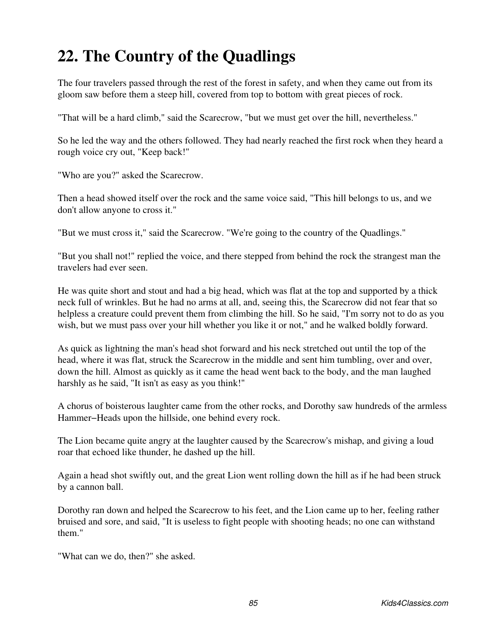### **22. The Country of the Quadlings**

The four travelers passed through the rest of the forest in safety, and when they came out from its gloom saw before them a steep hill, covered from top to bottom with great pieces of rock.

"That will be a hard climb," said the Scarecrow, "but we must get over the hill, nevertheless."

So he led the way and the others followed. They had nearly reached the first rock when they heard a rough voice cry out, "Keep back!"

"Who are you?" asked the Scarecrow.

Then a head showed itself over the rock and the same voice said, "This hill belongs to us, and we don't allow anyone to cross it."

"But we must cross it," said the Scarecrow. "We're going to the country of the Quadlings."

"But you shall not!" replied the voice, and there stepped from behind the rock the strangest man the travelers had ever seen.

He was quite short and stout and had a big head, which was flat at the top and supported by a thick neck full of wrinkles. But he had no arms at all, and, seeing this, the Scarecrow did not fear that so helpless a creature could prevent them from climbing the hill. So he said, "I'm sorry not to do as you wish, but we must pass over your hill whether you like it or not," and he walked boldly forward.

As quick as lightning the man's head shot forward and his neck stretched out until the top of the head, where it was flat, struck the Scarecrow in the middle and sent him tumbling, over and over, down the hill. Almost as quickly as it came the head went back to the body, and the man laughed harshly as he said, "It isn't as easy as you think!"

A chorus of boisterous laughter came from the other rocks, and Dorothy saw hundreds of the armless Hammer−Heads upon the hillside, one behind every rock.

The Lion became quite angry at the laughter caused by the Scarecrow's mishap, and giving a loud roar that echoed like thunder, he dashed up the hill.

Again a head shot swiftly out, and the great Lion went rolling down the hill as if he had been struck by a cannon ball.

Dorothy ran down and helped the Scarecrow to his feet, and the Lion came up to her, feeling rather bruised and sore, and said, "It is useless to fight people with shooting heads; no one can withstand them."

"What can we do, then?" she asked.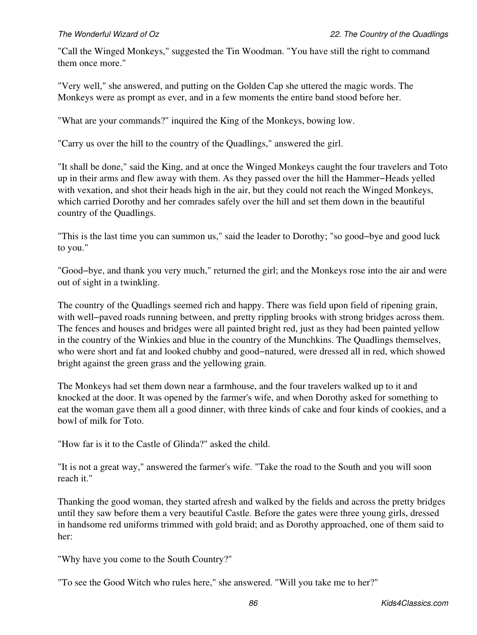"Call the Winged Monkeys," suggested the Tin Woodman. "You have still the right to command them once more."

"Very well," she answered, and putting on the Golden Cap she uttered the magic words. The Monkeys were as prompt as ever, and in a few moments the entire band stood before her.

"What are your commands?" inquired the King of the Monkeys, bowing low.

"Carry us over the hill to the country of the Quadlings," answered the girl.

"It shall be done," said the King, and at once the Winged Monkeys caught the four travelers and Toto up in their arms and flew away with them. As they passed over the hill the Hammer−Heads yelled with vexation, and shot their heads high in the air, but they could not reach the Winged Monkeys, which carried Dorothy and her comrades safely over the hill and set them down in the beautiful country of the Quadlings.

"This is the last time you can summon us," said the leader to Dorothy; "so good−bye and good luck to you."

"Good−bye, and thank you very much," returned the girl; and the Monkeys rose into the air and were out of sight in a twinkling.

The country of the Quadlings seemed rich and happy. There was field upon field of ripening grain, with well−paved roads running between, and pretty rippling brooks with strong bridges across them. The fences and houses and bridges were all painted bright red, just as they had been painted yellow in the country of the Winkies and blue in the country of the Munchkins. The Quadlings themselves, who were short and fat and looked chubby and good−natured, were dressed all in red, which showed bright against the green grass and the yellowing grain.

The Monkeys had set them down near a farmhouse, and the four travelers walked up to it and knocked at the door. It was opened by the farmer's wife, and when Dorothy asked for something to eat the woman gave them all a good dinner, with three kinds of cake and four kinds of cookies, and a bowl of milk for Toto.

"How far is it to the Castle of Glinda?" asked the child.

"It is not a great way," answered the farmer's wife. "Take the road to the South and you will soon reach it."

Thanking the good woman, they started afresh and walked by the fields and across the pretty bridges until they saw before them a very beautiful Castle. Before the gates were three young girls, dressed in handsome red uniforms trimmed with gold braid; and as Dorothy approached, one of them said to her:

"Why have you come to the South Country?"

"To see the Good Witch who rules here," she answered. "Will you take me to her?"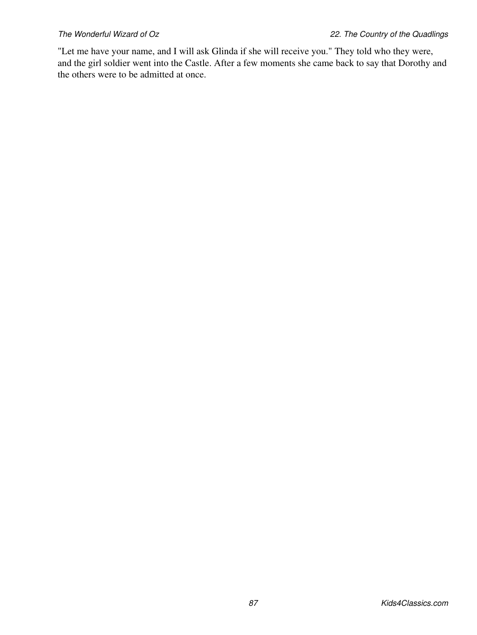"Let me have your name, and I will ask Glinda if she will receive you." They told who they were, and the girl soldier went into the Castle. After a few moments she came back to say that Dorothy and the others were to be admitted at once.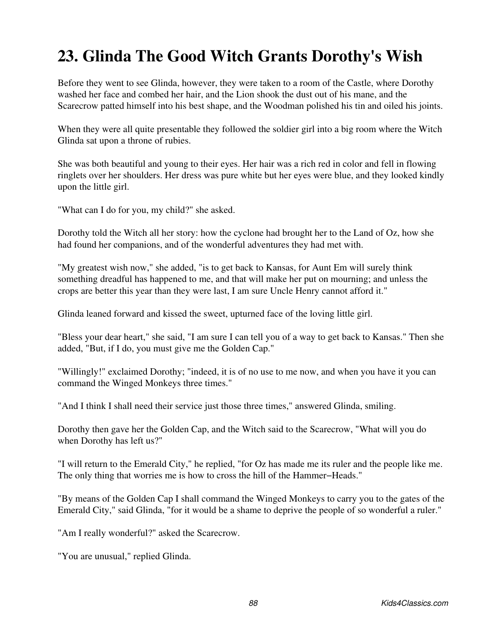## **23. Glinda The Good Witch Grants Dorothy's Wish**

Before they went to see Glinda, however, they were taken to a room of the Castle, where Dorothy washed her face and combed her hair, and the Lion shook the dust out of his mane, and the Scarecrow patted himself into his best shape, and the Woodman polished his tin and oiled his joints.

When they were all quite presentable they followed the soldier girl into a big room where the Witch Glinda sat upon a throne of rubies.

She was both beautiful and young to their eyes. Her hair was a rich red in color and fell in flowing ringlets over her shoulders. Her dress was pure white but her eyes were blue, and they looked kindly upon the little girl.

"What can I do for you, my child?" she asked.

Dorothy told the Witch all her story: how the cyclone had brought her to the Land of Oz, how she had found her companions, and of the wonderful adventures they had met with.

"My greatest wish now," she added, "is to get back to Kansas, for Aunt Em will surely think something dreadful has happened to me, and that will make her put on mourning; and unless the crops are better this year than they were last, I am sure Uncle Henry cannot afford it."

Glinda leaned forward and kissed the sweet, upturned face of the loving little girl.

"Bless your dear heart," she said, "I am sure I can tell you of a way to get back to Kansas." Then she added, "But, if I do, you must give me the Golden Cap."

"Willingly!" exclaimed Dorothy; "indeed, it is of no use to me now, and when you have it you can command the Winged Monkeys three times."

"And I think I shall need their service just those three times," answered Glinda, smiling.

Dorothy then gave her the Golden Cap, and the Witch said to the Scarecrow, "What will you do when Dorothy has left us?"

"I will return to the Emerald City," he replied, "for Oz has made me its ruler and the people like me. The only thing that worries me is how to cross the hill of the Hammer−Heads."

"By means of the Golden Cap I shall command the Winged Monkeys to carry you to the gates of the Emerald City," said Glinda, "for it would be a shame to deprive the people of so wonderful a ruler."

"Am I really wonderful?" asked the Scarecrow.

"You are unusual," replied Glinda.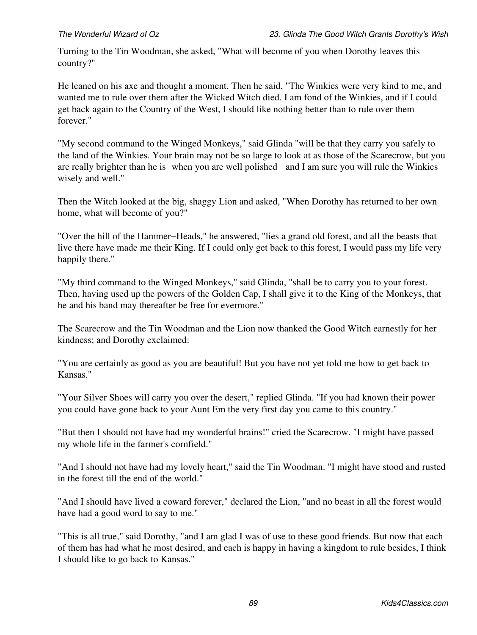Turning to the Tin Woodman, she asked, "What will become of you when Dorothy leaves this country?"

He leaned on his axe and thought a moment. Then he said, "The Winkies were very kind to me, and wanted me to rule over them after the Wicked Witch died. I am fond of the Winkies, and if I could get back again to the Country of the West, I should like nothing better than to rule over them forever."

"My second command to the Winged Monkeys," said Glinda "will be that they carry you safely to the land of the Winkies. Your brain may not be so large to look at as those of the Scarecrow, but you are really brighter than he is when you are well polished and I am sure you will rule the Winkies wisely and well."

Then the Witch looked at the big, shaggy Lion and asked, "When Dorothy has returned to her own home, what will become of you?"

"Over the hill of the Hammer−Heads," he answered, "lies a grand old forest, and all the beasts that live there have made me their King. If I could only get back to this forest, I would pass my life very happily there."

"My third command to the Winged Monkeys," said Glinda, "shall be to carry you to your forest. Then, having used up the powers of the Golden Cap, I shall give it to the King of the Monkeys, that he and his band may thereafter be free for evermore."

The Scarecrow and the Tin Woodman and the Lion now thanked the Good Witch earnestly for her kindness; and Dorothy exclaimed:

"You are certainly as good as you are beautiful! But you have not yet told me how to get back to Kansas."

"Your Silver Shoes will carry you over the desert," replied Glinda. "If you had known their power you could have gone back to your Aunt Em the very first day you came to this country."

"But then I should not have had my wonderful brains!" cried the Scarecrow. "I might have passed my whole life in the farmer's cornfield."

"And I should not have had my lovely heart," said the Tin Woodman. "I might have stood and rusted in the forest till the end of the world."

"And I should have lived a coward forever," declared the Lion, "and no beast in all the forest would have had a good word to say to me."

"This is all true," said Dorothy, "and I am glad I was of use to these good friends. But now that each of them has had what he most desired, and each is happy in having a kingdom to rule besides, I think I should like to go back to Kansas."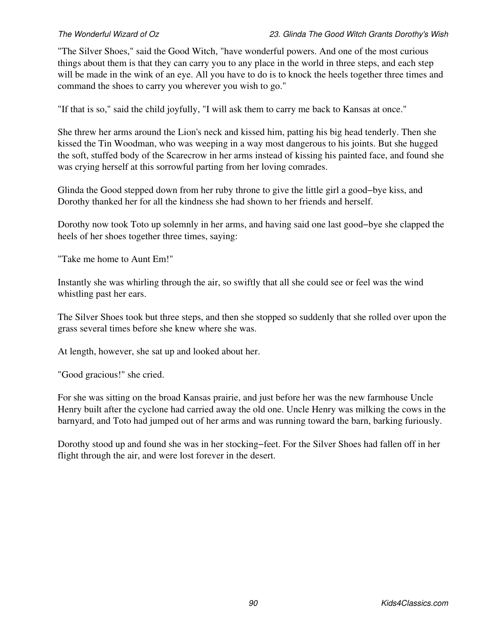"The Silver Shoes," said the Good Witch, "have wonderful powers. And one of the most curious things about them is that they can carry you to any place in the world in three steps, and each step will be made in the wink of an eye. All you have to do is to knock the heels together three times and command the shoes to carry you wherever you wish to go."

"If that is so," said the child joyfully, "I will ask them to carry me back to Kansas at once."

She threw her arms around the Lion's neck and kissed him, patting his big head tenderly. Then she kissed the Tin Woodman, who was weeping in a way most dangerous to his joints. But she hugged the soft, stuffed body of the Scarecrow in her arms instead of kissing his painted face, and found she was crying herself at this sorrowful parting from her loving comrades.

Glinda the Good stepped down from her ruby throne to give the little girl a good−bye kiss, and Dorothy thanked her for all the kindness she had shown to her friends and herself.

Dorothy now took Toto up solemnly in her arms, and having said one last good−bye she clapped the heels of her shoes together three times, saying:

"Take me home to Aunt Em!"

Instantly she was whirling through the air, so swiftly that all she could see or feel was the wind whistling past her ears.

The Silver Shoes took but three steps, and then she stopped so suddenly that she rolled over upon the grass several times before she knew where she was.

At length, however, she sat up and looked about her.

"Good gracious!" she cried.

For she was sitting on the broad Kansas prairie, and just before her was the new farmhouse Uncle Henry built after the cyclone had carried away the old one. Uncle Henry was milking the cows in the barnyard, and Toto had jumped out of her arms and was running toward the barn, barking furiously.

Dorothy stood up and found she was in her stocking−feet. For the Silver Shoes had fallen off in her flight through the air, and were lost forever in the desert.